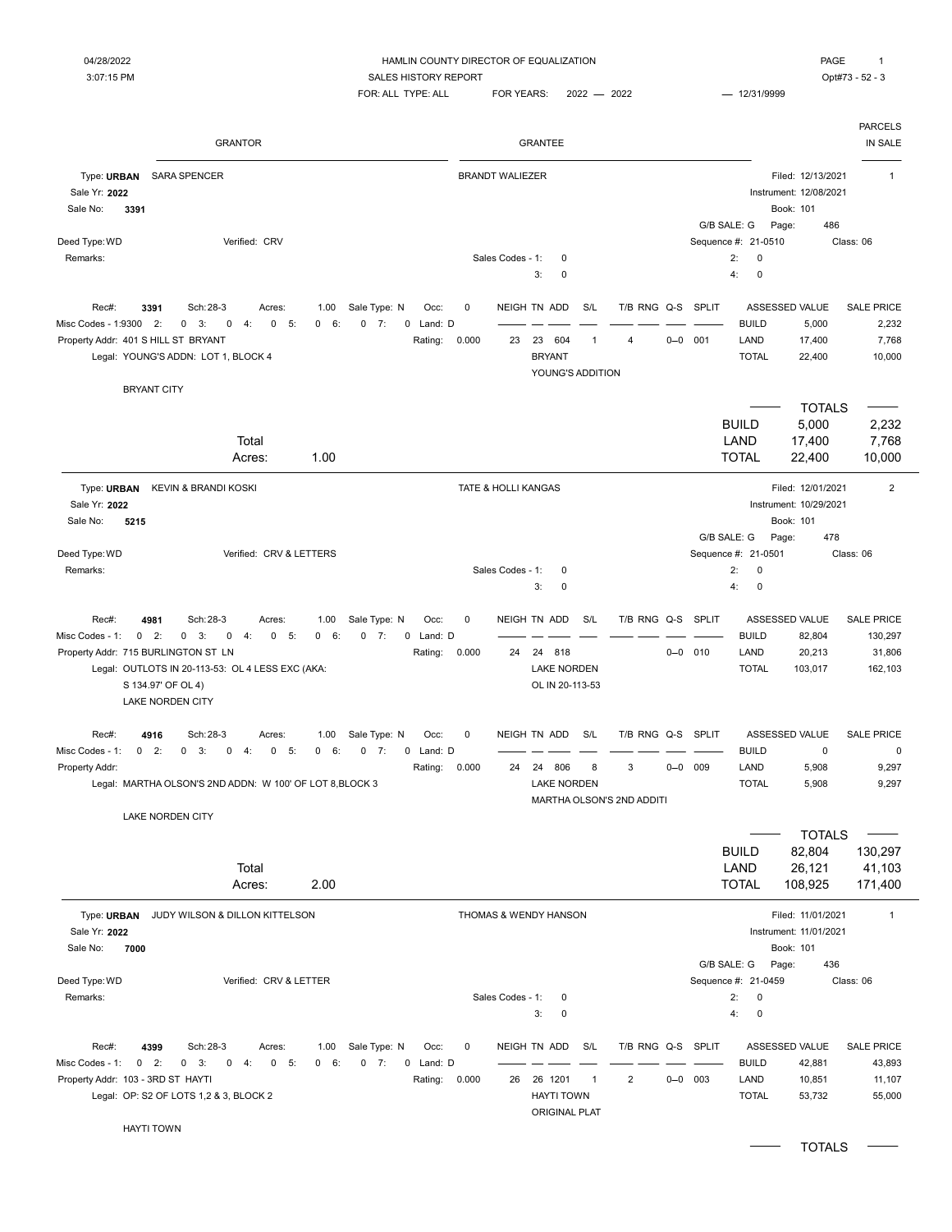#### 04/28/2022 **Example 2012 THE COUNTY DIRECTOR OF EQUALIZATION PAGE 1**

3:07:15 PM CONTEXT SALES HISTORY REPORT SALES HISTORY REPORT SALES AND THE SALES HISTORY REPORT  $FOR: ALL TYPE: ALL \qquad FOR YEARS: \qquad 2022 \qquad \qquad 2022 \qquad \qquad 12/31/9999$ 

 $\overline{a}$ 

|                                                            | <b>GRANTOR</b>                                            |                               |                         |                        |                  | <b>GRANTEE</b>                    |     |                           |         |              |                                           |                                                          | <b>PARCELS</b><br>IN SALE |
|------------------------------------------------------------|-----------------------------------------------------------|-------------------------------|-------------------------|------------------------|------------------|-----------------------------------|-----|---------------------------|---------|--------------|-------------------------------------------|----------------------------------------------------------|---------------------------|
| Type: URBAN<br>Sale Yr: 2022<br>Sale No:<br>3391           | <b>SARA SPENCER</b>                                       |                               |                         | <b>BRANDT WALIEZER</b> |                  |                                   |     |                           |         |              |                                           | Filed: 12/13/2021<br>Instrument: 12/08/2021<br>Book: 101 | $\mathbf{1}$              |
|                                                            |                                                           |                               |                         |                        |                  |                                   |     |                           |         |              | G/B SALE: G                               | 486<br>Page:                                             |                           |
| Deed Type: WD<br>Remarks:                                  | Verified: CRV                                             |                               |                         |                        | Sales Codes - 1: | 0<br>$\mathbf 0$<br>3:            |     |                           |         |              | Sequence #: 21-0510<br>2:<br>0<br>4:<br>0 |                                                          | Class: 06                 |
|                                                            |                                                           |                               |                         |                        |                  |                                   |     |                           |         |              |                                           |                                                          |                           |
| Rec#:                                                      | Sch: 28-3<br>3391<br>Acres:                               | 1.00<br>Sale Type: N          | Occ:                    | 0                      |                  | NEIGH TN ADD                      | S/L | T/B RNG Q-S               |         | <b>SPLIT</b> |                                           | ASSESSED VALUE                                           | <b>SALE PRICE</b>         |
| Misc Codes - 1:9300<br>Property Addr: 401 S HILL ST BRYANT | 2:<br>0<br>0<br>3:<br>0<br>4:<br>5:                       | 6:<br>0<br>7:<br>$\mathbf{0}$ | 0<br>Land: D<br>Rating: | 0.000                  | 23               | 23 604                            | -1  | 4                         |         | $0 - 0$ 001  | <b>BUILD</b><br>LAND                      | 5,000<br>17,400                                          | 2,232<br>7,768            |
|                                                            | Legal: YOUNG'S ADDN: LOT 1, BLOCK 4                       |                               |                         |                        |                  | <b>BRYANT</b><br>YOUNG'S ADDITION |     |                           |         |              | <b>TOTAL</b>                              | 22,400                                                   | 10,000                    |
|                                                            | <b>BRYANT CITY</b>                                        |                               |                         |                        |                  |                                   |     |                           |         |              |                                           |                                                          |                           |
|                                                            |                                                           |                               |                         |                        |                  |                                   |     |                           |         |              |                                           | <b>TOTALS</b>                                            |                           |
|                                                            |                                                           |                               |                         |                        |                  |                                   |     |                           |         |              | <b>BUILD</b>                              | 5,000                                                    | 2,232                     |
|                                                            | Total<br>Acres:                                           | 1.00                          |                         |                        |                  |                                   |     |                           |         |              | LAND<br><b>TOTAL</b>                      | 17,400<br>22,400                                         | 7,768<br>10,000           |
| Type: URBAN<br>Sale Yr: 2022                               | KEVIN & BRANDI KOSKI                                      |                               |                         | TATE & HOLLI KANGAS    |                  |                                   |     |                           |         |              |                                           | Filed: 12/01/2021<br>Instrument: 10/29/2021              | $\overline{2}$            |
| 5215<br>Sale No:                                           |                                                           |                               |                         |                        |                  |                                   |     |                           |         |              |                                           | Book: 101                                                |                           |
| Deed Type: WD                                              | Verified: CRV & LETTERS                                   |                               |                         |                        |                  |                                   |     |                           |         |              | G/B SALE: G<br>Sequence #: 21-0501        | 478<br>Page:                                             | Class: 06                 |
| Remarks:                                                   |                                                           |                               |                         |                        | Sales Codes - 1: | 0                                 |     |                           |         |              | 2:<br>$\mathbf 0$                         |                                                          |                           |
|                                                            |                                                           |                               |                         |                        |                  | $\mathbf 0$<br>3:                 |     |                           |         |              | 4:<br>0                                   |                                                          |                           |
| Rec#:                                                      | Sch: 28-3<br>4981<br>Acres:                               | Sale Type: N<br>1.00          | Occ:                    | $\mathbf 0$            |                  | NEIGH TN ADD                      | S/L | T/B RNG Q-S               |         | <b>SPLIT</b> |                                           | ASSESSED VALUE                                           | <b>SALE PRICE</b>         |
| Misc Codes - 1:<br>Property Addr: 715 BURLINGTON ST LN     | $0$ 2:<br>0<br>3:<br>$\pmb{0}$<br>4:<br>$\mathbf 0$<br>5: | 6:<br>$0$ 7:<br>$\mathbf{0}$  | Land: D<br>0            | 0.000                  | 24               | 24 818                            |     |                           |         | $0 - 0$ 010  | <b>BUILD</b><br>LAND                      | 82,804<br>20,213                                         | 130,297<br>31,806         |
|                                                            | Legal: OUTLOTS IN 20-113-53: OL 4 LESS EXC (AKA:          |                               | Rating:                 |                        |                  | <b>LAKE NORDEN</b>                |     |                           |         |              | <b>TOTAL</b>                              | 103,017                                                  | 162,103                   |
|                                                            | S 134.97' OF OL 4)                                        |                               |                         |                        |                  | OL IN 20-113-53                   |     |                           |         |              |                                           |                                                          |                           |
|                                                            | <b>LAKE NORDEN CITY</b>                                   |                               |                         |                        |                  |                                   |     |                           |         |              |                                           |                                                          |                           |
| Rec#:                                                      | 4916<br>Sch: 28-3<br>Acres:                               | Sale Type: N<br>1.00          | Occ:                    | $\pmb{0}$              |                  | NEIGH TN ADD                      | S/L | T/B RNG Q-S               |         | SPLIT        |                                           | <b>ASSESSED VALUE</b>                                    | <b>SALE PRICE</b>         |
| Misc Codes - 1:<br>Property Addr:                          | $0$ 2:<br>0<br>$0 \quad 3:$<br>0<br>$-4$ :<br>5:          | 0 6:<br>$0 \t 7:$             | 0 Land: D<br>Rating:    | 0.000                  | 24               | 24 806                            | 8   | 3                         | $0 - 0$ | 009          | <b>BUILD</b><br>LAND                      | $\mathbf 0$<br>5,908                                     | 0<br>9,297                |
|                                                            | Legal: MARTHA OLSON'S 2ND ADDN: W 100' OF LOT 8, BLOCK 3  |                               |                         |                        |                  | <b>LAKE NORDEN</b>                |     | MARTHA OLSON'S 2ND ADDITI |         |              | <b>TOTAL</b>                              | 5,908                                                    | 9,297                     |
|                                                            | LAKE NORDEN CITY                                          |                               |                         |                        |                  |                                   |     |                           |         |              |                                           |                                                          |                           |
|                                                            |                                                           |                               |                         |                        |                  |                                   |     |                           |         |              |                                           | <b>TOTALS</b>                                            |                           |
|                                                            | Total                                                     |                               |                         |                        |                  |                                   |     |                           |         |              | <b>BUILD</b><br>LAND                      | 82,804<br>26,121                                         | 130,297<br>41,103         |
|                                                            | Acres:                                                    | 2.00                          |                         |                        |                  |                                   |     |                           |         |              | <b>TOTAL</b>                              | 108,925                                                  | 171,400                   |
|                                                            | Type: URBAN JUDY WILSON & DILLON KITTELSON                |                               |                         |                        |                  | THOMAS & WENDY HANSON             |     |                           |         |              |                                           | Filed: 11/01/2021                                        | $\overline{1}$            |
| Sale Yr: 2022                                              |                                                           |                               |                         |                        |                  |                                   |     |                           |         |              |                                           | Instrument: 11/01/2021                                   |                           |
| Sale No:<br>7000                                           |                                                           |                               |                         |                        |                  |                                   |     |                           |         |              | G/B SALE: G                               | Book: 101<br>436<br>Page:                                |                           |
| Deed Type: WD                                              | Verified: CRV & LETTER                                    |                               |                         |                        |                  |                                   |     |                           |         |              | Sequence #: 21-0459                       |                                                          | Class: 06                 |
| Remarks:                                                   |                                                           |                               |                         |                        | Sales Codes - 1: | 0                                 |     |                           |         |              | 2:<br>0                                   |                                                          |                           |
|                                                            |                                                           |                               |                         |                        |                  | 3:<br>0                           |     |                           |         |              | 4:<br>0                                   |                                                          |                           |
| Rec#:                                                      | 4399<br>Sch: 28-3<br>Acres:                               | 1.00<br>Sale Type: N          | Occ:                    | 0                      |                  | NEIGH TN ADD                      | S/L | T/B RNG Q-S SPLIT         |         |              |                                           | ASSESSED VALUE                                           | <b>SALE PRICE</b>         |
| Misc Codes - 1:                                            | $0 \t 2:$<br>$0 \t 4:$<br>$0 - 5:$<br>$0 \quad 3:$        | 0 6:<br>$0 \t 7:$             | 0 Land: D               |                        |                  |                                   |     |                           |         |              | <b>BUILD</b>                              | 42,881                                                   | 43,893                    |
| Property Addr: 103 - 3RD ST HAYTI                          |                                                           |                               | Rating:                 | 0.000                  | 26               | 26 1201                           | -1  | 2                         |         | $0 - 0$ 003  | LAND                                      | 10,851                                                   | 11,107                    |
|                                                            | Legal: OP: S2 OF LOTS 1,2 & 3, BLOCK 2                    |                               |                         |                        |                  | <b>HAYTI TOWN</b>                 |     |                           |         |              | <b>TOTAL</b>                              | 53,732                                                   | 55,000                    |
|                                                            | <b>HAYTI TOWN</b>                                         |                               |                         |                        |                  | <b>ORIGINAL PLAT</b>              |     |                           |         |              |                                           |                                                          |                           |
|                                                            |                                                           |                               |                         |                        |                  |                                   |     |                           |         |              |                                           | <b>TOTALS</b>                                            |                           |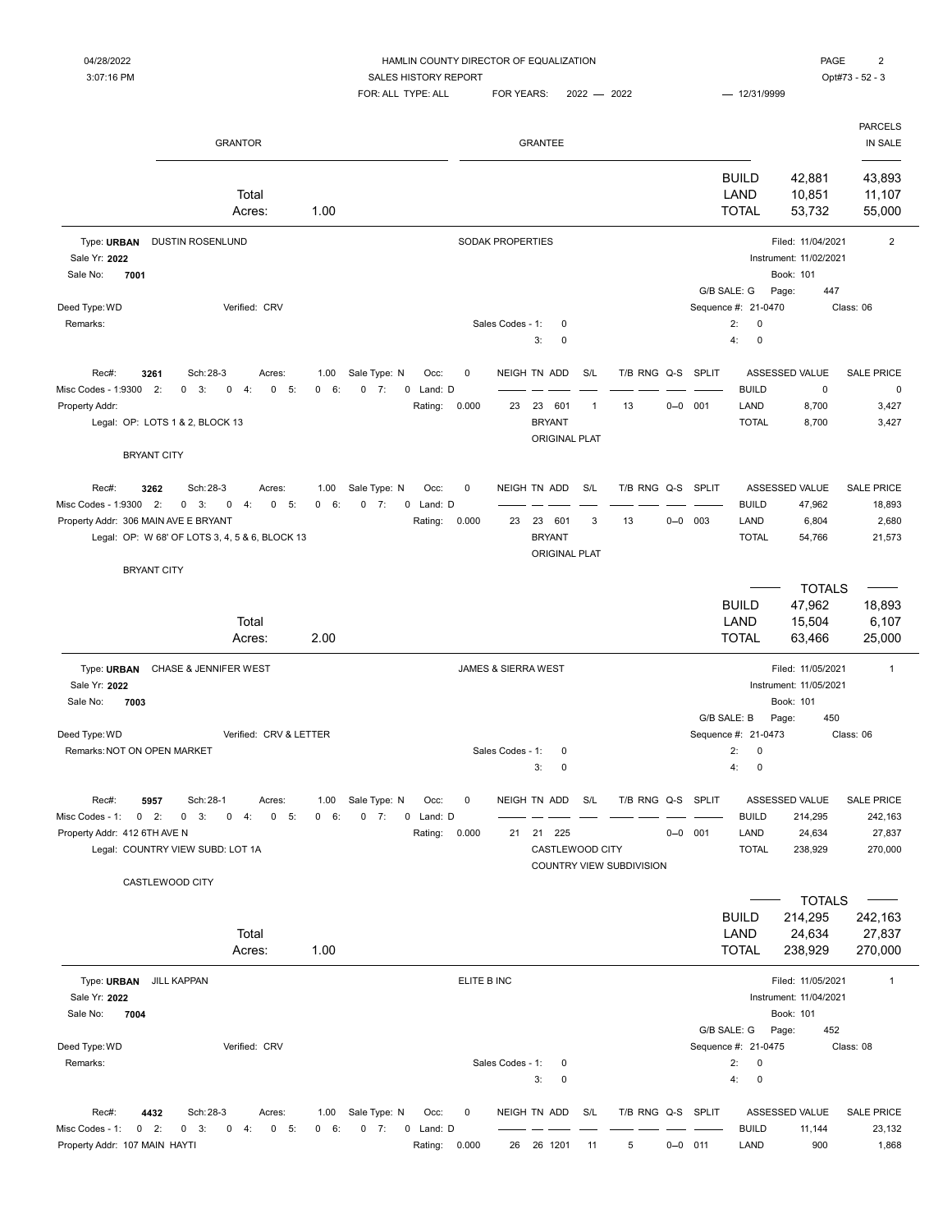3:07:16 PM CONTEXT SALES HISTORY REPORT SALES HISTORY REPORT SALES AND THE SALES HISTORY REPORT

|                                                                                                                | <b>GRANTOR</b>                                                                                                         |              |                                                                        |                      |                                | <b>GRANTEE</b>                                                     |                     |                                               |         |             |                                                                  |                                                                          | <b>PARCELS</b><br>IN SALE                         |
|----------------------------------------------------------------------------------------------------------------|------------------------------------------------------------------------------------------------------------------------|--------------|------------------------------------------------------------------------|----------------------|--------------------------------|--------------------------------------------------------------------|---------------------|-----------------------------------------------|---------|-------------|------------------------------------------------------------------|--------------------------------------------------------------------------|---------------------------------------------------|
|                                                                                                                | Total<br>Acres:                                                                                                        | 1.00         |                                                                        |                      |                                |                                                                    |                     |                                               |         |             | <b>BUILD</b><br>LAND<br><b>TOTAL</b>                             | 42,881<br>10,851<br>53,732                                               | 43,893<br>11,107<br>55,000                        |
| Type: URBAN DUSTIN ROSENLUND<br>Sale Yr: 2022<br>7001<br>Sale No:                                              |                                                                                                                        |              |                                                                        |                      | SODAK PROPERTIES               |                                                                    |                     |                                               |         |             | G/B SALE: G                                                      | Filed: 11/04/2021<br>Instrument: 11/02/2021<br>Book: 101<br>Page:<br>447 | $\overline{2}$                                    |
| Deed Type: WD<br>Remarks:                                                                                      | Verified: CRV                                                                                                          |              |                                                                        |                      | Sales Codes - 1:               | 0<br>3:<br>0                                                       |                     |                                               |         |             | Sequence #: 21-0470<br>2:<br>$\pmb{0}$<br>4:<br>0                |                                                                          | Class: 06                                         |
| Rec#:<br>3261<br>Misc Codes - 1:9300<br>2:<br>Property Addr:<br>Legal: OP: LOTS 1 & 2, BLOCK 13                | Sch: 28-3<br>Acres:<br>$0 \quad 3:$<br>$0 - 5:$<br>0<br>4:                                                             | 1.00<br>0 6: | Sale Type: N<br>Occ:<br>$0 \t 7:$<br>$\mathbf 0$<br>Land: D<br>Rating: | 0<br>0.000           | 23                             | NEIGH TN ADD<br>23<br>601<br><b>BRYANT</b>                         | S/L<br>$\mathbf{1}$ | T/B RNG Q-S SPLIT<br>13                       | $0 - 0$ | 001         | <b>BUILD</b><br>LAND<br><b>TOTAL</b>                             | ASSESSED VALUE<br>0<br>8,700<br>8,700                                    | SALE PRICE<br>0<br>3,427<br>3,427                 |
| <b>BRYANT CITY</b>                                                                                             |                                                                                                                        |              |                                                                        |                      |                                | <b>ORIGINAL PLAT</b>                                               |                     |                                               |         |             |                                                                  |                                                                          |                                                   |
| Rec#:<br>3262<br>Misc Codes - 1:9300 2:<br>Property Addr: 306 MAIN AVE E BRYANT                                | Sch: 28-3<br>Acres:<br>$0 \quad 3:$<br>$\mathbf 0$<br>$0 - 5:$<br>4:<br>Legal: OP: W 68' OF LOTS 3, 4, 5 & 6, BLOCK 13 | 1.00<br>0 6: | Sale Type: N<br>Occ:<br>$0 \t 7:$<br>0 Land: D<br>Rating:              | $\mathbf 0$<br>0.000 | 23                             | NEIGH TN ADD<br>23<br>601<br><b>BRYANT</b><br><b>ORIGINAL PLAT</b> | S/L<br>3            | T/B RNG Q-S SPLIT<br>13                       |         | $0 - 0$ 003 | <b>BUILD</b><br>LAND<br><b>TOTAL</b>                             | ASSESSED VALUE<br>47,962<br>6,804<br>54,766                              | SALE PRICE<br>18,893<br>2,680<br>21,573           |
| <b>BRYANT CITY</b>                                                                                             | Total<br>Acres:                                                                                                        | 2.00         |                                                                        |                      |                                |                                                                    |                     |                                               |         |             | <b>BUILD</b><br>LAND<br><b>TOTAL</b>                             | <b>TOTALS</b><br>47,962<br>15,504<br>63,466                              | 18,893<br>6,107<br>25,000                         |
| Type: URBAN CHASE & JENNIFER WEST<br>Sale Yr: 2022<br>Sale No:<br>7003                                         |                                                                                                                        |              |                                                                        |                      | <b>JAMES &amp; SIERRA WEST</b> |                                                                    |                     |                                               |         |             |                                                                  | Filed: 11/05/2021<br>Instrument: 11/05/2021<br>Book: 101                 | $\mathbf{1}$                                      |
| Deed Type: WD<br>Remarks: NOT ON OPEN MARKET                                                                   | Verified: CRV & LETTER                                                                                                 |              |                                                                        |                      | Sales Codes - 1:               | 0<br>3:<br>0                                                       |                     |                                               |         |             | G/B SALE: B<br>Sequence #: 21-0473<br>2:<br>0<br>4:<br>$\pmb{0}$ | Page:<br>450                                                             | Class: 06                                         |
| Rec#:<br>5957<br>$0$ 2:<br>Misc Codes - 1:<br>Property Addr: 412 6TH AVE N<br>Legal: COUNTRY VIEW SUBD: LOT 1A | Sch: 28-1<br>Acres:<br>$0 \quad 3: \quad 0 \quad 4:$<br>$0\quad 5$ :                                                   |              | 1.00 Sale Type: N<br>Occ:<br>0 6: 0 7: 0 Land: D<br>Rating:            | 0<br>0.000           | 21                             | NEIGH TN ADD<br>21 225<br>CASTLEWOOD CITY                          | S/L                 | T/B RNG Q-S SPLIT<br>COUNTRY VIEW SUBDIVISION |         | $0 - 0$ 001 | <b>BUILD</b><br>LAND<br><b>TOTAL</b>                             | ASSESSED VALUE<br>214,295<br>24,634<br>238,929                           | <b>SALE PRICE</b><br>242,163<br>27,837<br>270,000 |
| CASTLEWOOD CITY                                                                                                | Total<br>Acres:                                                                                                        | 1.00         |                                                                        |                      |                                |                                                                    |                     |                                               |         |             | <b>BUILD</b><br>LAND<br><b>TOTAL</b>                             | <b>TOTALS</b><br>214,295<br>24,634<br>238,929                            | 242,163<br>27,837<br>270,000                      |
| Type: URBAN JILL KAPPAN<br>Sale Yr: 2022<br>Sale No:<br>7004                                                   |                                                                                                                        |              |                                                                        | ELITE B INC          |                                |                                                                    |                     |                                               |         |             |                                                                  | Filed: 11/05/2021<br>Instrument: 11/04/2021<br>Book: 101                 | $\mathbf{1}$                                      |
| Deed Type: WD<br>Remarks:                                                                                      | Verified: CRV                                                                                                          |              |                                                                        |                      | Sales Codes - 1:               | 0<br>3:<br>$\mathsf 0$                                             |                     |                                               |         |             | G/B SALE: G<br>Sequence #: 21-0475<br>2:<br>0<br>4:<br>$\pmb{0}$ | Page:<br>452                                                             | Class: 08                                         |
| Rec#:<br>4432<br>Misc Codes - 1:<br>$0$ 2:<br>Property Addr: 107 MAIN HAYTI                                    | Sch: 28-3<br>Acres:<br>$0 \t 3$ :<br>$0 \t 4:$<br>$0\quad 5:$                                                          | 1.00<br>0 6: | Sale Type: N<br>Occ:<br>$0 \t 7:$<br>Land: D<br>0<br>Rating: 0.000     | 0                    |                                | NEIGH TN ADD<br>26 26 1201                                         | S/L<br>11           | T/B RNG Q-S SPLIT<br>5                        |         | $0 - 0$ 011 | <b>BUILD</b><br>LAND                                             | ASSESSED VALUE<br>11,144<br>900                                          | SALE PRICE<br>23,132<br>1,868                     |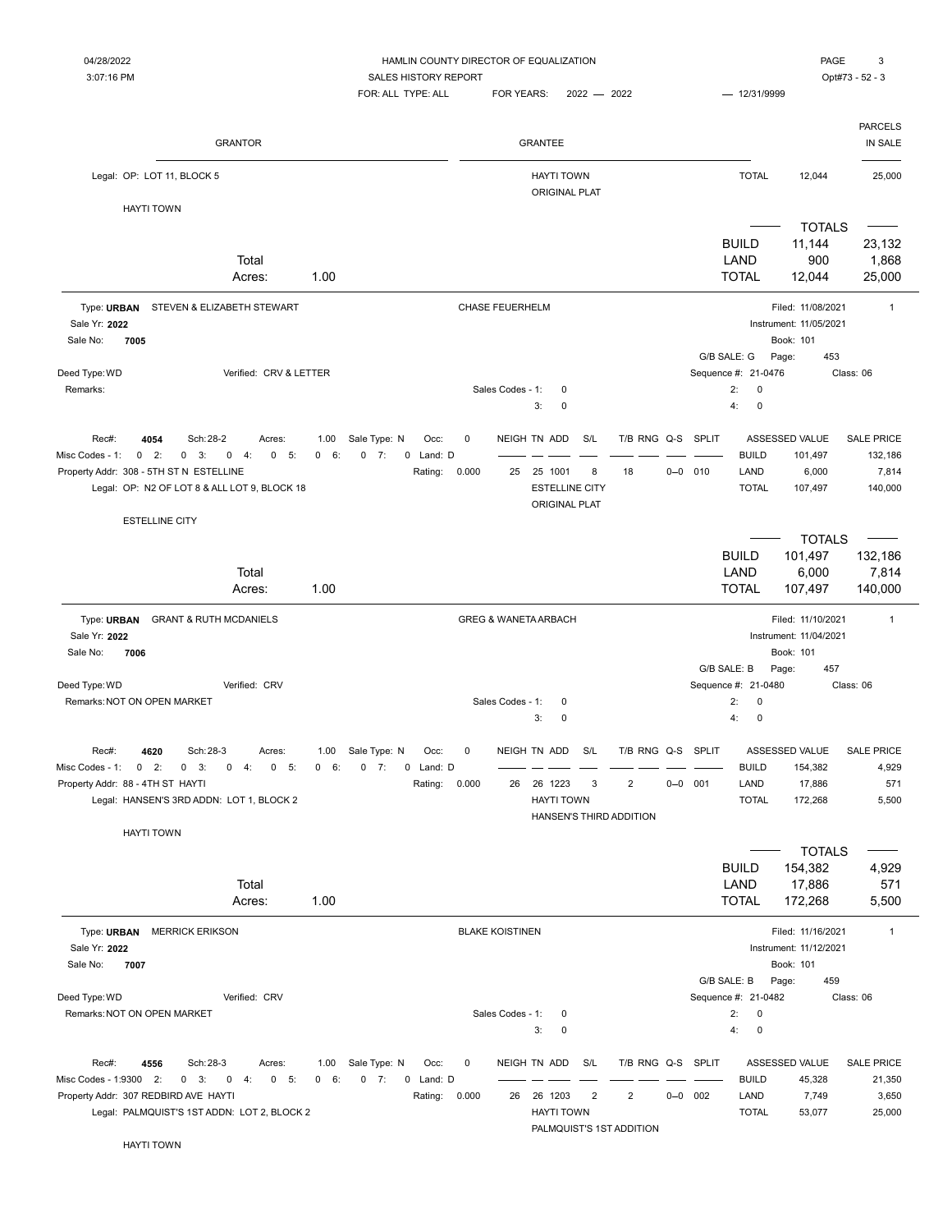## 04/28/2022 HAMLIN COUNTY DIRECTOR OF EQUALIZATION PAGE 3

3:07:16 PM CONTEXT SALES HISTORY REPORT SALES HISTORY REPORT SALES AND THE SALES HISTORY REPORT

 $FOR: ALL$  TYPE: ALL  $FOR$  YEARS:  $2022 - 2022$   $- 12/31/9999$ 

PARCELS

| <b>GRANTOR</b>                                                                                                                                                                                                                                |              |                                                           |                    |                        | <b>GRANTEE</b>                                                           |                       |                                                                 |             |                                                               |                                                                          | IN SALE                                          |
|-----------------------------------------------------------------------------------------------------------------------------------------------------------------------------------------------------------------------------------------------|--------------|-----------------------------------------------------------|--------------------|------------------------|--------------------------------------------------------------------------|-----------------------|-----------------------------------------------------------------|-------------|---------------------------------------------------------------|--------------------------------------------------------------------------|--------------------------------------------------|
| Legal: OP: LOT 11, BLOCK 5                                                                                                                                                                                                                    |              |                                                           |                    |                        | <b>HAYTI TOWN</b><br><b>ORIGINAL PLAT</b>                                |                       |                                                                 |             | <b>TOTAL</b>                                                  | 12,044                                                                   | 25,000                                           |
| <b>HAYTI TOWN</b>                                                                                                                                                                                                                             |              |                                                           |                    |                        |                                                                          |                       |                                                                 |             |                                                               |                                                                          |                                                  |
| Total<br>Acres:                                                                                                                                                                                                                               | 1.00         |                                                           |                    |                        |                                                                          |                       |                                                                 |             | <b>BUILD</b><br>LAND<br><b>TOTAL</b>                          | <b>TOTALS</b><br>11,144<br>900<br>12,044                                 | 23,132<br>1,868<br>25,000                        |
| Type: URBAN STEVEN & ELIZABETH STEWART<br>Sale Yr: 2022<br>Sale No:<br>7005                                                                                                                                                                   |              |                                                           |                    | <b>CHASE FEUERHELM</b> |                                                                          |                       |                                                                 |             |                                                               | Filed: 11/08/2021<br>Instrument: 11/05/2021<br>Book: 101                 | $\mathbf{1}$                                     |
|                                                                                                                                                                                                                                               |              |                                                           |                    |                        |                                                                          |                       |                                                                 |             | G/B SALE: G                                                   | Page:<br>453                                                             |                                                  |
| Deed Type: WD<br>Verified: CRV & LETTER<br>Remarks:                                                                                                                                                                                           |              |                                                           |                    | Sales Codes - 1:       | 0<br>3:<br>$\mathbf 0$                                                   |                       |                                                                 |             | Sequence #: 21-0476<br>2:<br>0<br>4:<br>$\mathbf 0$           |                                                                          | Class: 06                                        |
| Rec#:<br>4054<br>Sch: 28-2<br>Acres:<br>Misc Codes - 1:<br>$\mathbf{0}$<br>2:<br>$\mathbf{0}$<br>3:<br>$0 \t 4$ :<br>0 5:<br>Property Addr: 308 - 5TH ST N ESTELLINE<br>Legal: OP: N2 OF LOT 8 & ALL LOT 9, BLOCK 18<br><b>ESTELLINE CITY</b> | 1.00<br>0 6: | Sale Type: N<br>Occ:<br>$0 \t 7:$<br>0 Land: D<br>Rating: | 0<br>0.000         | 25                     | NEIGH TN ADD<br>25 1001<br><b>ESTELLINE CITY</b><br><b>ORIGINAL PLAT</b> | S/L<br>8              | T/B RNG Q-S SPLIT<br>18                                         | $0 - 0$ 010 | <b>BUILD</b><br>LAND<br><b>TOTAL</b>                          | ASSESSED VALUE<br>101,497<br>6,000<br>107,497                            | <b>SALE PRICE</b><br>132,186<br>7,814<br>140,000 |
|                                                                                                                                                                                                                                               |              |                                                           |                    |                        |                                                                          |                       |                                                                 |             |                                                               | <b>TOTALS</b>                                                            |                                                  |
| Total<br>Acres:                                                                                                                                                                                                                               | 1.00         |                                                           |                    |                        |                                                                          |                       |                                                                 |             | <b>BUILD</b><br>LAND<br><b>TOTAL</b>                          | 101,497<br>6,000<br>107,497                                              | 132,186<br>7,814<br>140,000                      |
| Type: URBAN<br><b>GRANT &amp; RUTH MCDANIELS</b><br>Sale Yr: 2022<br>Sale No:<br>7006<br>Deed Type: WD<br>Verified: CRV                                                                                                                       |              |                                                           |                    |                        | <b>GREG &amp; WANETA ARBACH</b>                                          |                       |                                                                 |             | G/B SALE: B<br>Sequence #: 21-0480                            | Filed: 11/10/2021<br>Instrument: 11/04/2021<br>Book: 101<br>Page:<br>457 | $\mathbf{1}$<br>Class: 06                        |
| Remarks: NOT ON OPEN MARKET                                                                                                                                                                                                                   |              |                                                           |                    | Sales Codes - 1:       | 0<br>3:<br>0                                                             |                       |                                                                 |             | 2:<br>0<br>4:<br>$\mathbf 0$                                  |                                                                          |                                                  |
| Rec#:<br>4620<br>Sch: 28-3<br>Acres:<br>Misc Codes - 1:<br>0<br>2:<br>3:<br>5:<br>$\mathbf{0}$<br>0<br>4:<br>0<br>Property Addr: 88 - 4TH ST HAYTI<br>Legal: HANSEN'S 3RD ADDN: LOT 1, BLOCK 2                                                | 1.00<br>0 6: | Sale Type: N<br>Occ:<br>$0 \t 7:$<br>0 Land: D<br>Rating: | $\pmb{0}$<br>0.000 | 26                     | NEIGH TN ADD<br>26 1223<br><b>HAYTI TOWN</b><br>HANSEN'S THIRD ADDITION  | S/L<br>3              | T/B RNG Q-S SPLIT<br>$\overline{2}$                             | $0 - 0$ 001 | <b>BUILD</b><br>LAND<br><b>TOTAL</b>                          | ASSESSED VALUE<br>154,382<br>17,886<br>172,268                           | <b>SALE PRICE</b><br>4,929<br>571<br>5,500       |
| <b>HAYTI TOWN</b><br>Total<br>Acres:                                                                                                                                                                                                          | 1.00         |                                                           |                    |                        |                                                                          |                       |                                                                 |             | <b>BUILD</b><br>LAND<br><b>TOTAL</b>                          | <b>TOTALS</b><br>154,382<br>17,886<br>172,268                            | 4,929<br>571<br>5,500                            |
| Type: URBAN MERRICK ERIKSON<br>Sale Yr: 2022<br>Sale No:<br>7007                                                                                                                                                                              |              |                                                           |                    | <b>BLAKE KOISTINEN</b> |                                                                          |                       |                                                                 |             | G/B SALE: B                                                   | Filed: 11/16/2021<br>Instrument: 11/12/2021<br>Book: 101<br>459<br>Page: | $\mathbf{1}$                                     |
| Deed Type: WD<br>Verified: CRV<br>Remarks: NOT ON OPEN MARKET                                                                                                                                                                                 |              |                                                           |                    | Sales Codes - 1:       | 0<br>3:<br>0                                                             |                       |                                                                 |             | Sequence #: 21-0482<br>2:<br>$\mathbf 0$<br>4:<br>$\mathbf 0$ |                                                                          | Class: 06                                        |
| Rec#:<br>4556<br>Sch: 28-3<br>Acres:<br>Misc Codes - 1:9300 2:<br>$0 \quad 3:$<br>$0 \t 4:$<br>$0\quad 5:$<br>Property Addr: 307 REDBIRD AVE HAYTI<br>Legal: PALMQUIST'S 1ST ADDN: LOT 2, BLOCK 2                                             | 1.00<br>0 6: | Sale Type: N<br>Occ:<br>$0 \t 7:$<br>0 Land: D<br>Rating: | 0<br>0.000         |                        | NEIGH TN ADD<br>26 26 1203<br><b>HAYTI TOWN</b>                          | S/L<br>$\overline{2}$ | T/B RNG Q-S SPLIT<br>$\overline{2}$<br>PALMQUIST'S 1ST ADDITION | $0 - 0$ 002 | <b>BUILD</b><br>LAND<br><b>TOTAL</b>                          | ASSESSED VALUE<br>45,328<br>7,749<br>53,077                              | <b>SALE PRICE</b><br>21,350<br>3,650<br>25,000   |
| <b>HAYTI TOWN</b>                                                                                                                                                                                                                             |              |                                                           |                    |                        |                                                                          |                       |                                                                 |             |                                                               |                                                                          |                                                  |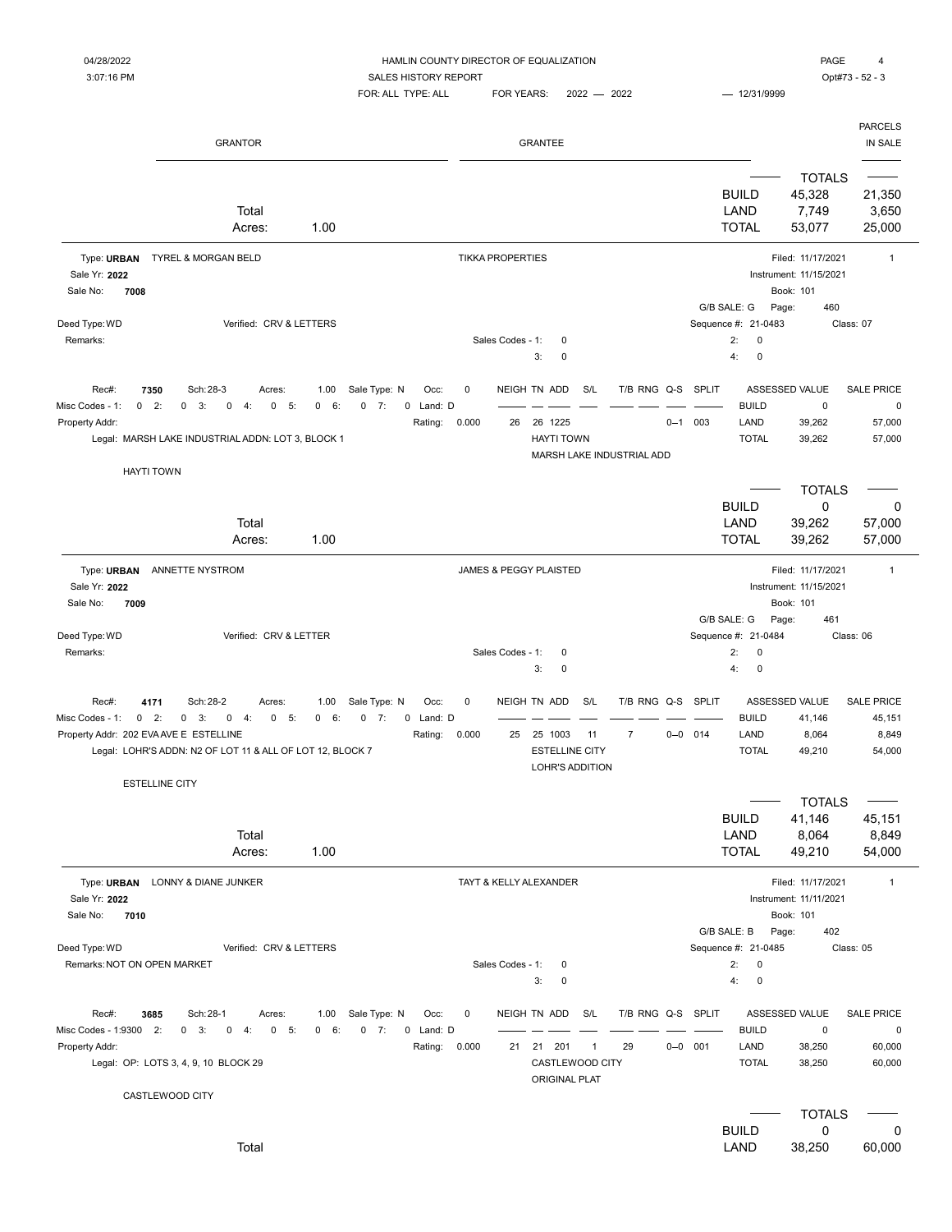#### 04/28/2022 HAMLIN COUNTY DIRECTOR OF EQUALIZATION PAGE 4

3:07:16 PM CONTEXT SALES HISTORY REPORT SALES HISTORY REPORT SALES AND THE SALES HISTORY REPORT  $FOR: ALL$  TYPE: ALL  $FOR$  YEARS:  $2022 - 2022$   $- 12/31/9999$ 

|                                                   | <b>GRANTOR</b>                                                                                                                                                       |                                           |                                 |            |                         | <b>GRANTEE</b>                                                       |                     |                                          |             |                                                                          |                                                                          | <b>PARCELS</b><br>IN SALE                            |
|---------------------------------------------------|----------------------------------------------------------------------------------------------------------------------------------------------------------------------|-------------------------------------------|---------------------------------|------------|-------------------------|----------------------------------------------------------------------|---------------------|------------------------------------------|-------------|--------------------------------------------------------------------------|--------------------------------------------------------------------------|------------------------------------------------------|
|                                                   | Total<br>Acres:                                                                                                                                                      | 1.00                                      |                                 |            |                         |                                                                      |                     |                                          |             | <b>BUILD</b><br>LAND<br><b>TOTAL</b>                                     | <b>TOTALS</b><br>45,328<br>7,749<br>53,077                               | 21,350<br>3,650<br>25,000                            |
| Sale Yr: 2022<br>Sale No:<br>7008                 | Type: URBAN TYREL & MORGAN BELD                                                                                                                                      |                                           |                                 |            | <b>TIKKA PROPERTIES</b> |                                                                      |                     |                                          |             |                                                                          | Filed: 11/17/2021<br>Instrument: 11/15/2021<br>Book: 101                 | $\mathbf{1}$                                         |
| Deed Type: WD<br>Remarks:                         | Verified: CRV & LETTERS                                                                                                                                              |                                           |                                 |            | Sales Codes - 1:        | 0<br>3:<br>0                                                         |                     |                                          |             | G/B SALE: G<br>Sequence #: 21-0483<br>2:<br>0<br>$\mathbf 0$<br>4:       | Page:<br>460                                                             | Class: 07                                            |
| Rec#:<br>Misc Codes - 1:<br>0<br>Property Addr:   | Sch: 28-3<br>7350<br>Acres:<br>2:<br>3:<br>0<br>5:<br>$\mathbf 0$<br>0<br>4:<br>Legal: MARSH LAKE INDUSTRIAL ADDN: LOT 3, BLOCK 1                                    | Sale Type: N<br>1.00<br>0 6:<br>$0 \t 7:$ | Occ:<br>Land: D<br>0<br>Rating: | 0<br>0.000 | 26                      | NEIGH TN ADD<br>26 1225<br><b>HAYTI TOWN</b>                         | S/L                 | T/B RNG Q-S<br>MARSH LAKE INDUSTRIAL ADD | $0 - 1$     | <b>SPLIT</b><br><b>BUILD</b><br>003<br>LAND<br><b>TOTAL</b>              | ASSESSED VALUE<br>0<br>39,262<br>39,262                                  | <b>SALE PRICE</b><br>$\mathbf 0$<br>57,000<br>57,000 |
|                                                   | <b>HAYTI TOWN</b><br>Total<br>Acres:                                                                                                                                 | 1.00                                      |                                 |            |                         |                                                                      |                     |                                          |             | <b>BUILD</b><br>LAND<br><b>TOTAL</b>                                     | <b>TOTALS</b><br>$\mathbf 0$<br>39,262<br>39,262                         | 0<br>57,000<br>57,000                                |
| Sale Yr: 2022<br>Sale No:<br>7009                 | Type: URBAN ANNETTE NYSTROM                                                                                                                                          |                                           |                                 |            |                         | JAMES & PEGGY PLAISTED                                               |                     |                                          |             | G/B SALE: G                                                              | Filed: 11/17/2021<br>Instrument: 11/15/2021<br>Book: 101<br>Page:<br>461 | $\overline{1}$                                       |
| Deed Type: WD<br>Remarks:                         | Verified: CRV & LETTER                                                                                                                                               |                                           |                                 |            | Sales Codes - 1:        | 0<br>3:<br>0                                                         |                     |                                          |             | Sequence #: 21-0484<br>2:<br>0<br>$\pmb{0}$<br>4:                        |                                                                          | Class: 06                                            |
| Rec#:<br>$0$ 2:<br>Misc Codes - 1:                | 4171<br>Sch: 28-2<br>Acres:<br>$0 \t 3:$<br>0 5:<br>$0 \t 4:$<br>Property Addr: 202 EVA AVE E ESTELLINE<br>Legal: LOHR'S ADDN: N2 OF LOT 11 & ALL OF LOT 12, BLOCK 7 | 1.00<br>Sale Type: N<br>0 6:<br>0<br>7:   | Occ:<br>0 Land: D<br>Rating:    | 0<br>0.000 | 25                      | NEIGH TN ADD<br>25 1003<br><b>ESTELLINE CITY</b><br>LOHR'S ADDITION  | S/L<br>11           | T/B RNG Q-S<br>$\overline{7}$            | $0 - 0$ 014 | <b>SPLIT</b><br><b>BUILD</b><br>LAND<br><b>TOTAL</b>                     | ASSESSED VALUE<br>41,146<br>8,064<br>49,210                              | <b>SALE PRICE</b><br>45,151<br>8,849<br>54,000       |
|                                                   | <b>ESTELLINE CITY</b><br>Total<br>Acres:                                                                                                                             | 1.00                                      |                                 |            |                         |                                                                      |                     |                                          |             | <b>BUILD</b><br>LAND<br><b>TOTAL</b>                                     | <b>TOTALS</b><br>41,146<br>8,064<br>49,210                               | 45,151<br>8,849<br>54,000                            |
| Sale Yr: 2022<br>Sale No:<br>7010                 | Type: URBAN LONNY & DIANE JUNKER                                                                                                                                     |                                           |                                 |            |                         | TAYT & KELLY ALEXANDER                                               |                     |                                          |             |                                                                          | Filed: 11/17/2021<br>Instrument: 11/11/2021<br>Book: 101                 | $\mathbf{1}$                                         |
| Deed Type: WD<br>Remarks: NOT ON OPEN MARKET      | Verified: CRV & LETTERS                                                                                                                                              |                                           |                                 |            | Sales Codes - 1:        | 0<br>3:<br>0                                                         |                     |                                          |             | G/B SALE: B<br>Sequence #: 21-0485<br>2:<br>$\pmb{0}$<br>4:<br>$\pmb{0}$ | Page:<br>402                                                             | Class: 05                                            |
| Rec#:<br>Misc Codes - 1:9300 2:<br>Property Addr: | Sch: 28-1<br>3685<br>Acres:<br>$0 \quad 3:$<br>$\mathbf 0$<br>4:<br>$0 - 5$<br>Legal: OP: LOTS 3, 4, 9, 10 BLOCK 29                                                  | Sale Type: N<br>1.00<br>$0 \t 7:$<br>0 6: | Occ:<br>0 Land: D<br>Rating:    | 0<br>0.000 |                         | NEIGH TN ADD<br>21 21 201<br>CASTLEWOOD CITY<br><b>ORIGINAL PLAT</b> | S/L<br>$\mathbf{1}$ | T/B RNG Q-S SPLIT<br>29                  | $0 - 0$ 001 | <b>BUILD</b><br>LAND<br><b>TOTAL</b>                                     | ASSESSED VALUE<br>$\mathsf 0$<br>38,250<br>38,250                        | <b>SALE PRICE</b><br>$\pmb{0}$<br>60,000<br>60,000   |
|                                                   | CASTLEWOOD CITY<br>Total                                                                                                                                             |                                           |                                 |            |                         |                                                                      |                     |                                          |             | <b>BUILD</b><br><b>LAND</b>                                              | <b>TOTALS</b><br>0<br>38,250                                             | 0<br>60,000                                          |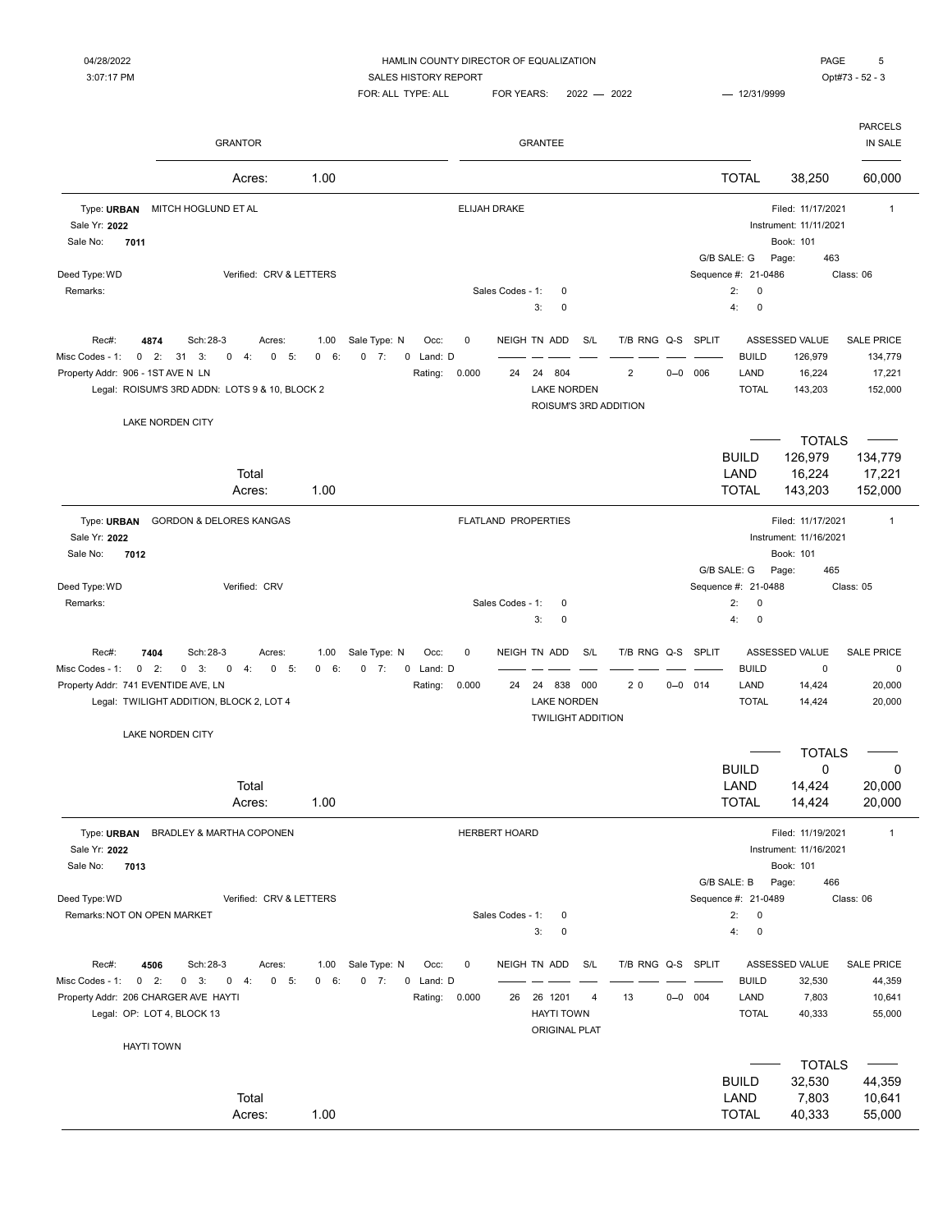|                                                                           | <b>GRANTOR</b>                                                                                                                                          |                            |                                                           |                      |                      | <b>GRANTEE</b>                                                              |            |                                     |                                                |                                      |                                                                          | <b>PARCELS</b><br>IN SALE                         |
|---------------------------------------------------------------------------|---------------------------------------------------------------------------------------------------------------------------------------------------------|----------------------------|-----------------------------------------------------------|----------------------|----------------------|-----------------------------------------------------------------------------|------------|-------------------------------------|------------------------------------------------|--------------------------------------|--------------------------------------------------------------------------|---------------------------------------------------|
|                                                                           | Acres:                                                                                                                                                  | 1.00                       |                                                           |                      |                      |                                                                             |            |                                     |                                                | <b>TOTAL</b>                         | 38,250                                                                   | 60,000                                            |
| Type: URBAN<br>Sale Yr: 2022<br>7011<br>Sale No:                          | MITCH HOGLUND ET AL                                                                                                                                     |                            |                                                           |                      | <b>ELIJAH DRAKE</b>  |                                                                             |            |                                     |                                                |                                      | Filed: 11/17/2021<br>Instrument: 11/11/2021<br>Book: 101                 | $\mathbf{1}$                                      |
| Deed Type: WD<br>Remarks:                                                 | Verified: CRV & LETTERS                                                                                                                                 |                            |                                                           |                      | Sales Codes - 1:     | $\mathbf 0$<br>3:<br>$\mathbf 0$                                            |            |                                     | G/B SALE: G<br>Sequence #: 21-0486<br>2:<br>4: | $\pmb{0}$<br>$\pmb{0}$               | 463<br>Page:                                                             | Class: 06                                         |
| Rec#:<br>Misc Codes - 1:<br>Property Addr: 906 - 1ST AVE N LN             | 4874<br>Sch: 28-3<br>Acres:<br>$0 \t2$ :<br>31<br>3:<br>4:<br>0<br>5:<br>0<br>Legal: ROISUM'S 3RD ADDN: LOTS 9 & 10, BLOCK 2<br><b>LAKE NORDEN CITY</b> | 1.00<br>6:<br>$\mathbf{0}$ | Sale Type: N<br>Occ:<br>7:<br>0 Land: D<br>0<br>Rating:   | 0<br>0.000           | 24                   | NEIGH TN ADD<br>24<br>804<br><b>LAKE NORDEN</b><br>ROISUM'S 3RD ADDITION    | S/L        | T/B RNG Q-S SPLIT<br>$\overline{2}$ | $0 - 0$ 006                                    | <b>BUILD</b><br>LAND<br><b>TOTAL</b> | ASSESSED VALUE<br>126,979<br>16,224<br>143,203                           | <b>SALE PRICE</b><br>134,779<br>17,221<br>152,000 |
|                                                                           | Total<br>Acres:                                                                                                                                         | 1.00                       |                                                           |                      |                      |                                                                             |            |                                     |                                                | <b>BUILD</b><br>LAND<br><b>TOTAL</b> | <b>TOTALS</b><br>126,979<br>16,224<br>143,203                            | 134,779<br>17,221<br>152,000                      |
| Type: URBAN<br>Sale Yr: 2022<br>7012<br>Sale No:                          | <b>GORDON &amp; DELORES KANGAS</b>                                                                                                                      |                            |                                                           |                      |                      | FLATLAND PROPERTIES                                                         |            |                                     | G/B SALE: G                                    |                                      | Filed: 11/17/2021<br>Instrument: 11/16/2021<br>Book: 101<br>465<br>Page: | $\mathbf{1}$                                      |
| Deed Type: WD<br>Remarks:                                                 | Verified: CRV                                                                                                                                           |                            |                                                           |                      | Sales Codes - 1:     | $\mathbf 0$<br>3:<br>$\mathbf 0$                                            |            |                                     | Sequence #: 21-0488<br>2:<br>4:                | $\mathbf 0$<br>$\pmb{0}$             |                                                                          | Class: 05                                         |
| Rec#:<br>$0$ 2:<br>Misc Codes - 1:<br>Property Addr: 741 EVENTIDE AVE, LN | 7404<br>Sch: 28-3<br>Acres:<br>$0 \quad 3:$<br>$\mathbf 0$<br>4:<br>0<br>5:<br>Legal: TWILIGHT ADDITION, BLOCK 2, LOT 4                                 | 1.00<br>6:<br>0            | Sale Type: N<br>Occ:<br>$0 \t 7:$<br>0 Land: D<br>Rating: | $\mathbf 0$<br>0.000 | 24                   | NEIGH TN ADD<br>838<br>24<br><b>LAKE NORDEN</b><br><b>TWILIGHT ADDITION</b> | S/L<br>000 | T/B RNG Q-S<br>20                   | SPLIT<br>$0 - 0$ 014                           | <b>BUILD</b><br>LAND<br><b>TOTAL</b> | ASSESSED VALUE<br>$\pmb{0}$<br>14,424<br>14,424                          | <b>SALE PRICE</b><br>0<br>20,000<br>20,000        |
|                                                                           | <b>LAKE NORDEN CITY</b><br>Total<br>Acres:                                                                                                              | 1.00                       |                                                           |                      |                      |                                                                             |            |                                     |                                                | <b>BUILD</b><br>LAND<br><b>TOTAL</b> | <b>TOTALS</b><br>0<br>14,424<br>14,424                                   | 0<br>20,000<br>20,000                             |
| Sale Yr: 2022<br>Sale No:<br>7013                                         | Type: URBAN BRADLEY & MARTHA COPONEN                                                                                                                    |                            |                                                           |                      | <b>HERBERT HOARD</b> |                                                                             |            |                                     | G/B SALE: B                                    |                                      | Filed: 11/19/2021<br>Instrument: 11/16/2021<br>Book: 101<br>Page:<br>466 | $\mathbf{1}$                                      |
| Deed Type: WD<br>Remarks: NOT ON OPEN MARKET                              | Verified: CRV & LETTERS                                                                                                                                 |                            |                                                           |                      | Sales Codes - 1:     | 0<br>3:<br>$\mathbf 0$                                                      |            |                                     | Sequence #: 21-0489<br>2:<br>4:                | $\pmb{0}$<br>$\pmb{0}$               |                                                                          | Class: 06                                         |
| Rec#:<br>Misc Codes - 1: 0 2:<br>Property Addr: 206 CHARGER AVE HAYTI     | 4506<br>Sch: 28-3<br>Acres:<br>$0 \quad 3:$<br>$0 \t 4:$<br>0 5:<br>Legal: OP: LOT 4, BLOCK 13                                                          | 1.00<br>0 6:               | Sale Type: N<br>Occ:<br>$0$ 7:<br>0 Land: D<br>Rating:    | $\mathsf 0$<br>0.000 | 26                   | NEIGH TN ADD<br>26 1201<br><b>HAYTI TOWN</b><br><b>ORIGINAL PLAT</b>        | S/L<br>4   | T/B RNG Q-S SPLIT<br>13             | $0 - 0$ 004                                    | <b>BUILD</b><br>LAND<br><b>TOTAL</b> | ASSESSED VALUE<br>32,530<br>7,803<br>40,333                              | <b>SALE PRICE</b><br>44,359<br>10,641<br>55,000   |
|                                                                           | <b>HAYTI TOWN</b>                                                                                                                                       |                            |                                                           |                      |                      |                                                                             |            |                                     |                                                |                                      | <b>TOTALS</b>                                                            |                                                   |
|                                                                           | Total<br>Acres:                                                                                                                                         | 1.00                       |                                                           |                      |                      |                                                                             |            |                                     |                                                | <b>BUILD</b><br>LAND<br><b>TOTAL</b> | 32,530<br>7,803<br>40,333                                                | 44,359<br>10,641<br>55,000                        |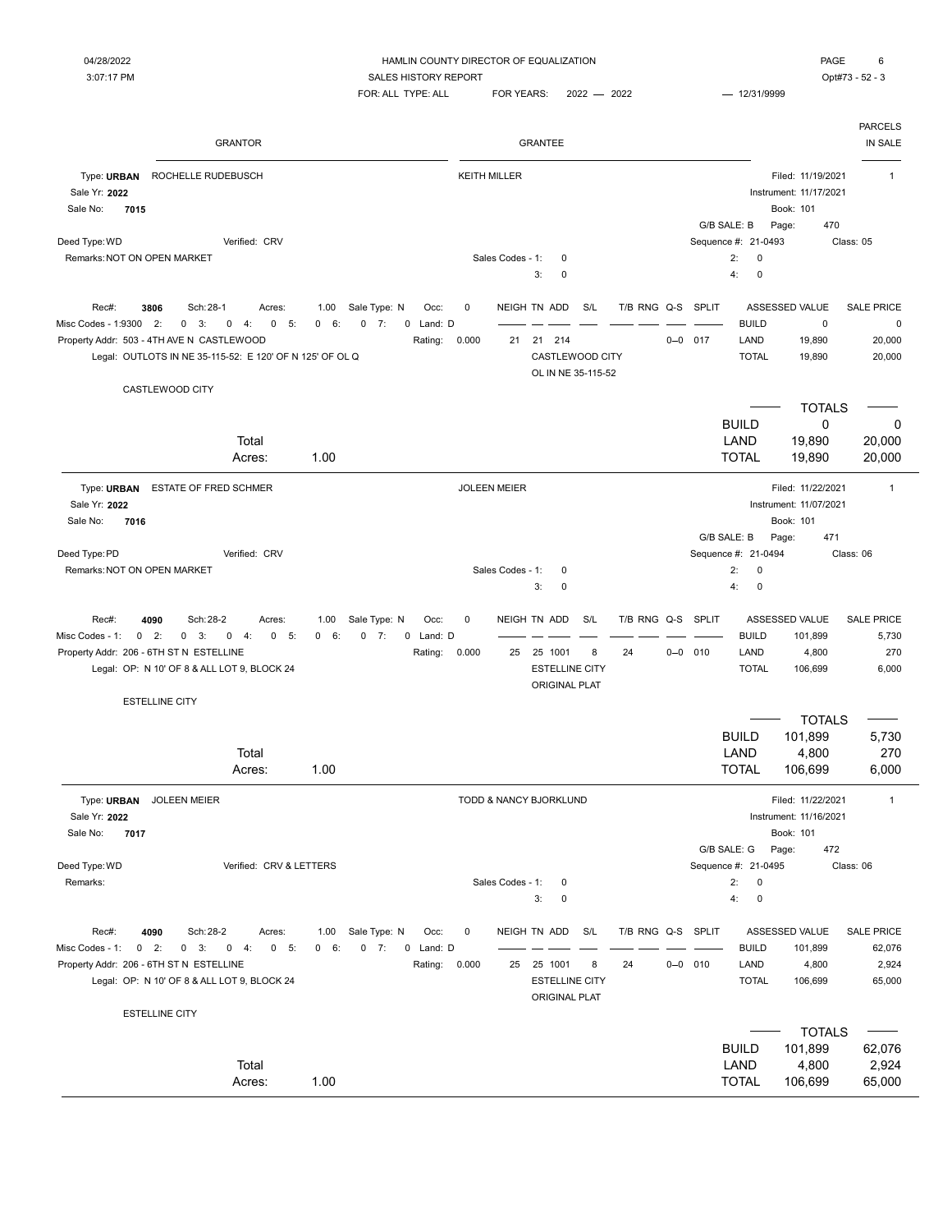# 04/28/2022 **Example 20 and 20 and 20 and 20 and 20 and 20 and 20 and 20 and 20 and 20 and 20 and 20 and 20 and 20 and 20 and 20 and 20 and 20 and 20 and 20 and 20 and 20 and 20 and 20 and 20 and 20 and 20 and 20 and 20 and**

3:07:17 PM CONTEXT SALES HISTORY REPORT SALES HISTORY REPORT SALES AND REPORT SALES AND REPORT  $FOR: ALL$  TYPE: ALL  $FOR$  YEARS:  $2022 - 2022$   $- 12/31/9999$ 

| PAGE | 6 |
|------|---|
|      |   |

| <b>GRANTOR</b>                                                                                                                                                                                                                        |                                                                                  |                                            | GRANTEE                                                                         |                              |                |                                                                          |                                                                              | <b>PARCELS</b><br>IN SALE                      |
|---------------------------------------------------------------------------------------------------------------------------------------------------------------------------------------------------------------------------------------|----------------------------------------------------------------------------------|--------------------------------------------|---------------------------------------------------------------------------------|------------------------------|----------------|--------------------------------------------------------------------------|------------------------------------------------------------------------------|------------------------------------------------|
| Type: URBAN<br>ROCHELLE RUDEBUSCH<br>Sale Yr: 2022<br>Sale No:<br>7015<br>Deed Type: WD<br>Verified: CRV<br>Remarks: NOT ON OPEN MARKET                                                                                               |                                                                                  | <b>KEITH MILLER</b><br>Sales Codes - 1:    | 0<br>3:<br>0                                                                    |                              | G/B SALE: B    | Page:<br>Sequence #: 21-0493<br>2:<br>0<br>0<br>4:                       | Filed: 11/19/2021<br>Instrument: 11/17/2021<br>Book: 101<br>470<br>Class: 05 | $\mathbf{1}$                                   |
| Rec#:<br>Sch: 28-1<br>3806<br>Acres:<br>Misc Codes - 1:9300<br>2:<br>$0 \quad 3:$<br>0<br>5:<br>0<br>4:<br>Property Addr: 503 - 4TH AVE N CASTLEWOOD<br>Legal: OUTLOTS IN NE 35-115-52: E 120' OF N 125' OF OL Q                      | Sale Type: N<br>Occ:<br>1.00<br>0 6:<br>$0 \t 7:$<br>Land: D<br>0<br>Rating:     | 0<br>0.000<br>21                           | NEIGH TN ADD<br>S/L<br>21 214<br>CASTLEWOOD CITY<br>OL IN NE 35-115-52          | T/B RNG Q-S SPLIT            | $0 - 0$<br>017 | <b>BUILD</b><br>LAND<br><b>TOTAL</b>                                     | ASSESSED VALUE<br>$\pmb{0}$<br>19,890<br>19,890                              | <b>SALE PRICE</b><br>0<br>20,000<br>20,000     |
| CASTLEWOOD CITY<br>Total<br>Acres:                                                                                                                                                                                                    | 1.00                                                                             |                                            |                                                                                 |                              |                | <b>BUILD</b><br>LAND<br><b>TOTAL</b>                                     | <b>TOTALS</b><br>$\mathbf 0$<br>19,890<br>19,890                             | 0<br>20,000<br>20,000                          |
| Type: URBAN<br>ESTATE OF FRED SCHMER<br>Sale Yr: 2022<br>Sale No:<br>7016<br>Deed Type: PD<br>Verified: CRV<br>Remarks: NOT ON OPEN MARKET                                                                                            |                                                                                  | <b>JOLEEN MEIER</b><br>Sales Codes - 1:    | 0<br>3:<br>0                                                                    |                              | G/B SALE: B    | Page:<br>Sequence #: 21-0494<br>2:<br>0<br>4:<br>0                       | Filed: 11/22/2021<br>Instrument: 11/07/2021<br>Book: 101<br>471              | $\mathbf{1}$<br>Class: 06                      |
| Rec#:<br>Sch: 28-2<br>4090<br>Acres:<br>$0$ 2:<br>$0 \t 3$ :<br>Misc Codes - 1:<br>$0 \t 4:$<br>$\mathbf{0}$<br>5:<br>Property Addr: 206 - 6TH ST N ESTELLINE<br>Legal: OP: N 10' OF 8 & ALL LOT 9, BLOCK 24<br><b>ESTELLINE CITY</b> | Sale Type: N<br>1.00<br>Occ:<br>0 6:<br>$0 \t 7:$<br>0 Land: D<br>Rating:        | 0<br>0.000<br>25                           | NEIGH TN ADD<br>S/L<br>25 1001<br><b>ESTELLINE CITY</b><br><b>ORIGINAL PLAT</b> | T/B RNG Q-S SPLIT<br>8<br>24 | $0 - 0$ 010    | <b>BUILD</b><br>LAND<br><b>TOTAL</b>                                     | ASSESSED VALUE<br>101,899<br>4,800<br>106,699                                | <b>SALE PRICE</b><br>5,730<br>270<br>6,000     |
| Total<br>Acres:                                                                                                                                                                                                                       | 1.00                                                                             |                                            |                                                                                 |                              |                | <b>BUILD</b><br>LAND<br><b>TOTAL</b>                                     | <b>TOTALS</b><br>101,899<br>4,800<br>106,699                                 | 5,730<br>270<br>6,000                          |
| Type: URBAN<br><b>JOLEEN MEIER</b><br>Sale Yr: 2022<br>Sale No:<br>7017<br>Deed Type: WD<br>Verified: CRV & LETTERS<br>Remarks:                                                                                                       |                                                                                  | TODD & NANCY BJORKLUND<br>Sales Codes - 1: | 0<br>3:<br>0                                                                    |                              |                | G/B SALE: G Page:<br>Sequence #: 21-0495<br>2:<br>$\mathsf 0$<br>4:<br>0 | Filed: 11/22/2021<br>Instrument: 11/16/2021<br>Book: 101<br>472<br>Class: 06 | $\mathbf{1}$                                   |
| Rec#:<br>4090<br>Sch: 28-2<br>Acres:<br>$0 \t 2$ :<br>Misc Codes - 1:<br>$0 \quad 3:$<br>$0 \t 4:$<br>0 5:<br>Property Addr: 206 - 6TH ST N ESTELLINE<br>Legal: OP: N 10' OF 8 & ALL LOT 9, BLOCK 24<br><b>ESTELLINE CITY</b>         | Sale Type: N<br>1.00<br>Occ:<br>$0 \t 7:$<br>$0 \quad 6$<br>0 Land: D<br>Rating: | 0<br>0.000<br>25                           | NEIGH TN ADD<br>S/L<br>25 1001<br><b>ESTELLINE CITY</b><br>ORIGINAL PLAT        | T/B RNG Q-S SPLIT<br>8<br>24 | $0 - 0$ 010    | <b>BUILD</b><br>LAND<br><b>TOTAL</b>                                     | ASSESSED VALUE<br>101,899<br>4,800<br>106,699                                | <b>SALE PRICE</b><br>62,076<br>2,924<br>65,000 |
| Total<br>Acres:                                                                                                                                                                                                                       | 1.00                                                                             |                                            |                                                                                 |                              |                | <b>BUILD</b><br>LAND<br><b>TOTAL</b>                                     | <b>TOTALS</b><br>101,899<br>4,800<br>106,699                                 | 62,076<br>2,924<br>65,000                      |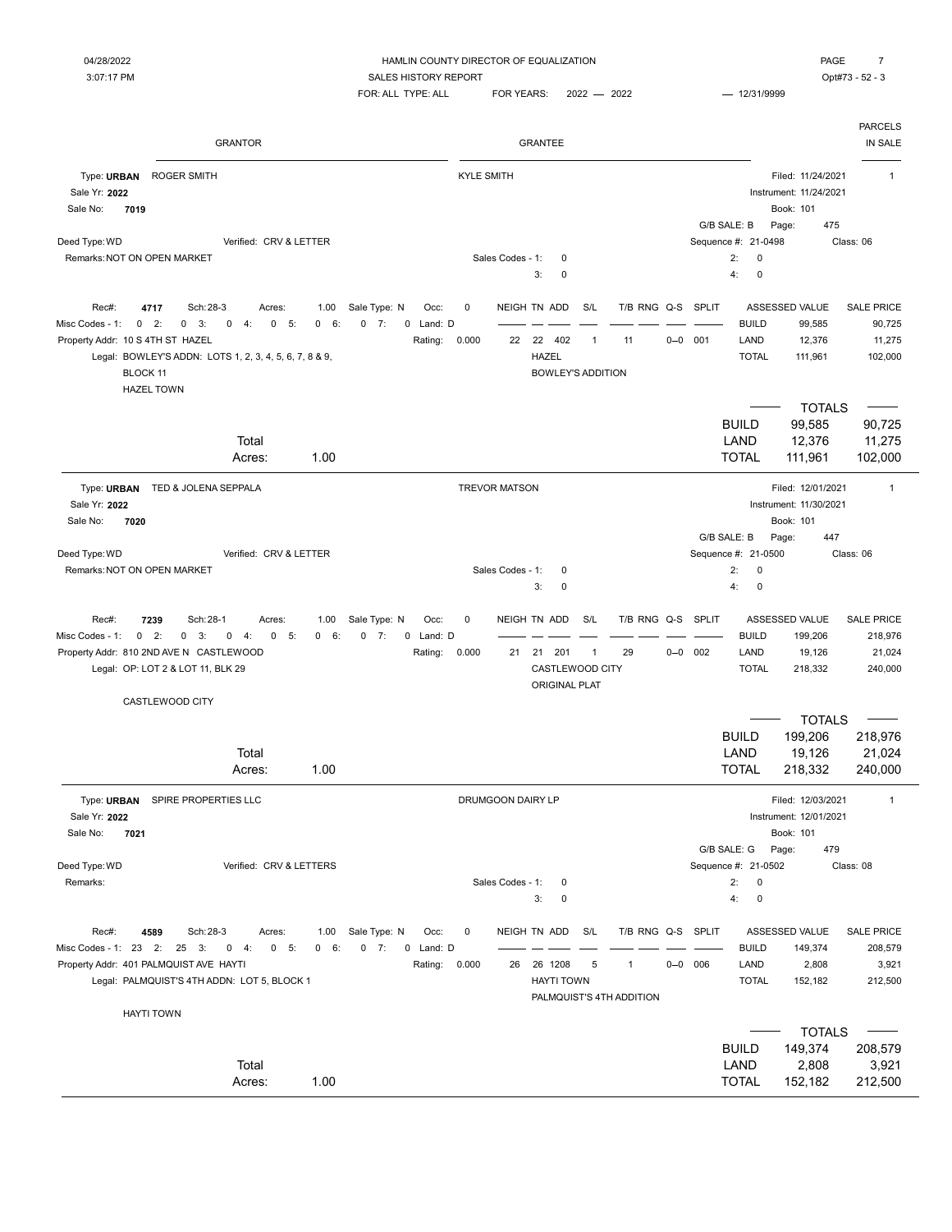04/28/2022 HAMLIN COUNTY DIRECTOR OF EQUALIZATION PAGE 7 3:07:17 PM CONTRACTER SALES HISTORY REPORT SALES HISTORY REPORT SALES AND THE SALES ASSAULT AND SALES HISTORY REPORT FOR: ALL TYPE: ALL FOR YEARS: 2022 - 2022 - 2021 - 12/31/9999 GRANTOR GRANTEE IN SALE Type: URBAN ROGER SMITH **The STATE STATE STATE STATES OF A STATE STATE STATE OF A STATE STATE OF A STATE STATE STATE** Sale Yr: **2022** Instrument: 11/24/2021 Sale No: **7019** Book: 101 G/B SALE: B Page: 475 Deed Type: WD Class: 06 Class: 06 Class: 06 Class: 06 Class: 06 Class: 06 Class: 06 Class: 06 Class: 06 Class: 06 Class: 06 Class: 06 Class: 06 Class: 06 Class: 06 Class: 06 Class: 06 Class: 06 Class: 06 Class: 06 Class: 0 Remarks:NOT ON OPEN MARKET Sales Codes - 1: 0 2: 0 3: 0 4: 0 Rec#: 4717 Sch:28-3 Acres: 1.00 Sale Type: N Occ: 0 NEIGH TN ADD S/L T/B RNG Q-S SPLIT ASSESSED VALUE SALE PRICE Misc Codes - 1: 0 2: 0 3: 0 4: 0 5: 0 6: 0 7: 0 Land: D = = = = = = = = = = = = BUILD 99,585 90,725 Property Addr: 10 S 4TH ST HAZEL 11,275 11,275 11,275 11,275 11,275 11,275 11,275 11,275 11,275 11,275 11,275 Legal: BOWLEY'S ADDN: LOTS 1, 2, 3, 4, 5, 6, 7, 8 & 9, HAZEL TOTAL 111,961 102,000 BLOCK 11 BOWLEY'S ADDITION HAZEL TOWN  $\overline{\phantom{a}}$  totals  $\overline{\phantom{a}}$ BUILD 99,585 90,725 Total LAND 12,376 11,275 Acres: 1.00 TOTAL 111,961 102,000 Type: URBAN TED & JOLENA SEPPALA **TREVOR MATSON** TREVOR MATSON **Produced as a set of the set of the set of the set of the set of the set of the set of the set of the set of the set of the set of the set of the set of the s** Sale Yr: **2022** Instrument: 11/30/2021 Sale No: **7020** Book: 101 G/B SALE: B Page: 447 Deed Type: WD Class: 06 Class: 06 Class: 06 Class: 06 Class: 06 Class: 06 Class: 06 Class: 06 Class: 06 Class: 06 Remarks:NOT ON OPEN MARKET Sales Codes - 1: 0 2: 0 3: 0 4: 0 Rec#: 7239 Sch:28-1 Acres: 1.00 Sale Type: N Occ: 0 NEIGH TN ADD S/L T/B RNG Q-S SPLIT ASSESSED VALUE SALE PRICE Misc Codes - 1: 0 2: 0 3: 0 4: 0 5: 0 6: 0 7: 0 Land: D = = = = = = = = = = = = BUILD 199,206 218,976 Property Addr: 810 2ND AVE N CASTLEWOOD **Rating: 0.000** 21 21 201 1 29 0-0 002 LAND 19,126 21,024 Legal: OP: LOT 2 & LOT 11, BLK 29 CASTLEWOOD CITY TOTAL 218,332 240,000 ORIGINAL PLAT CASTLEWOOD CITY

|                                                               |                    |                                 |                   |                   |     |                          |             |                     | <b>TOTALS</b>          |                   |
|---------------------------------------------------------------|--------------------|---------------------------------|-------------------|-------------------|-----|--------------------------|-------------|---------------------|------------------------|-------------------|
|                                                               |                    |                                 |                   |                   |     |                          |             | <b>BUILD</b>        | 199,206                | 218,976           |
| Total                                                         |                    |                                 |                   |                   |     |                          |             | LAND                | 19,126                 | 21,024            |
| Acres:                                                        | 1.00               |                                 |                   |                   |     |                          |             | <b>TOTAL</b>        | 218,332                | 240,000           |
| Type: URBAN<br>SPIRE PROPERTIES LLC                           |                    |                                 | DRUMGOON DAIRY LP |                   |     |                          |             |                     | Filed: 12/03/2021      | $\overline{1}$    |
| Sale Yr: 2022                                                 |                    |                                 |                   |                   |     |                          |             |                     | Instrument: 12/01/2021 |                   |
| Sale No:<br>7021                                              |                    |                                 |                   |                   |     |                          |             |                     | Book: 101              |                   |
|                                                               |                    |                                 |                   |                   |     |                          |             | G/B SALE: G         | 479<br>Page:           |                   |
| Deed Type: WD<br>Verified: CRV & LETTERS                      |                    |                                 |                   |                   |     |                          |             | Sequence #: 21-0502 |                        | Class: 08         |
| Remarks:                                                      |                    |                                 | Sales Codes - 1:  | 0                 |     |                          |             | 2:<br>$\mathbf 0$   |                        |                   |
|                                                               |                    |                                 |                   | 3:<br>0           |     |                          |             | 4:<br>$\mathbf 0$   |                        |                   |
| Rec#:<br>4589<br>Sch: 28-3<br>Acres:                          | 1.00               | Sale Type: N<br>Occ:            | $\mathbf 0$       | NEIGH TN ADD      | S/L | T/B RNG Q-S SPLIT        |             |                     | ASSESSED VALUE         | <b>SALE PRICE</b> |
| 23<br>2:<br>5:<br>Misc Codes - 1:<br>25<br>3:<br>0<br>0<br>4: | 6:<br>$\mathbf{0}$ | 7:<br>$\mathbf{0}$<br>0 Land: D |                   |                   |     |                          |             | <b>BUILD</b>        | 149,374                | 208,579           |
| Property Addr: 401 PALMQUIST AVE HAYTI                        |                    | Rating:                         | 0.000<br>26       | 1208<br>26        | 5   | $\mathbf{1}$             | $0 - 0$ 006 | LAND                | 2,808                  | 3,921             |
| Legal: PALMQUIST'S 4TH ADDN: LOT 5, BLOCK 1                   |                    |                                 |                   | <b>HAYTI TOWN</b> |     |                          |             | <b>TOTAL</b>        | 152,182                | 212,500           |
|                                                               |                    |                                 |                   |                   |     | PALMQUIST'S 4TH ADDITION |             |                     |                        |                   |
| <b>HAYTI TOWN</b>                                             |                    |                                 |                   |                   |     |                          |             |                     |                        |                   |
|                                                               |                    |                                 |                   |                   |     |                          |             |                     | <b>TOTALS</b>          |                   |
|                                                               |                    |                                 |                   |                   |     |                          |             | <b>BUILD</b>        | 149,374                | 208,579           |
| Total                                                         |                    |                                 |                   |                   |     |                          |             | LAND                | 2,808                  | 3,921             |
| Acres:                                                        | 1.00               |                                 |                   |                   |     |                          |             | <b>TOTAL</b>        | 152,182                | 212,500           |

PARCELS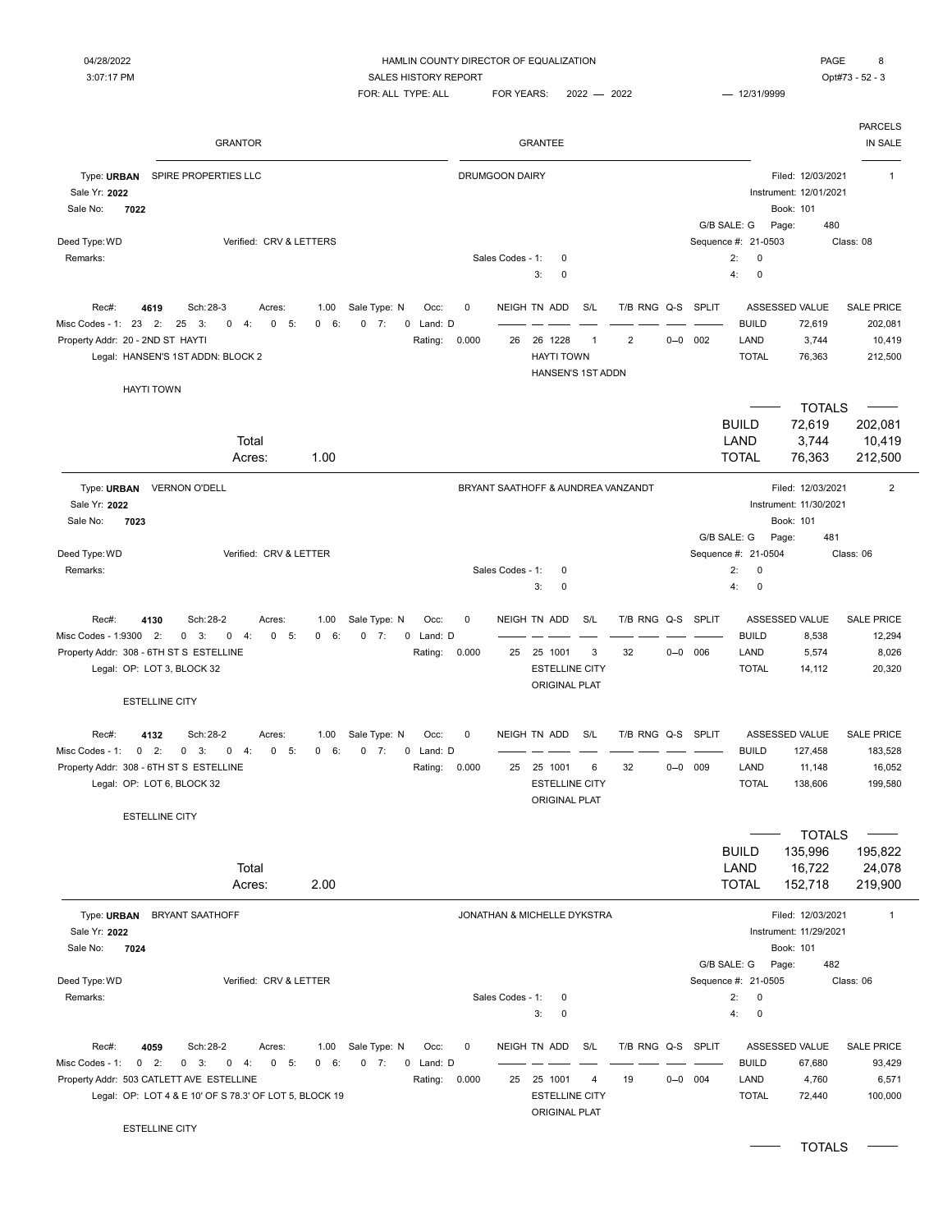#### 04/28/2022 HAMLIN COUNTY DIRECTOR OF EQUALIZATION PAGE 8

FOR: ALL TYPE: ALL FOR YEARS: 2022 - 2022 - 2021 - 12/31/9999

PARCELS GRANTOR GRANTEE IN SALE Type: URBAN SPIRE PROPERTIES LLC **The CONTEX CONTEX CONTEX CONTEX CONTEX CONTEX CONTEX CONTEX CONTEX CONTEX CONTEX CONTEX CONTEX CONTEX CONTEX CONTEX CONTEX CONTEX CONTEX CONTEX CONTEX CONTEX CONTEX CONTEX CONTEX CONTEX CO** Sale Yr: **2022** Instrument: 12/01/2021 Sale No: **7022** Book: 101 G/B SALE: G Page: 480 Deed Type: WD Class: 08 Class: 08 Class: 08 Class: 08 Class: 08 Class: 08 Class: 08 Class: 08 Class: 08 Class: 08 Remarks: Sales Codes - 1: 0 2: 0 3: 0 4: 0 Rec#: 4619 Sch:28-3 Acres: 1.00 Sale Type: N Occ: 0 NEIGH TN ADD S/L T/B RNG Q-S SPLIT ASSESSED VALUE SALE PRICE Misc Codes - 1: 23 5: 0 6: 0 7: 0 2: 25 3: 0 4: 0 Land: D BUILD 72,619 202,081 Property Addr: 20 - 2ND ST HAYTI **Rating: 0.000** 26 26 1228 1 2 0 002 LAND 3,744 10,419 Legal: HANSEN'S 1ST ADDN: BLOCK 2 HAYTI TOWN TOTAL 76,363 212,500 HANSEN'S 1ST ADDN HAYTI TOWN  $\sim$  100  $\sim$ TOTALS BUILD 72,619 202,081 Total LAND 3,744 10,419 Acres: 1.00 TOTAL 76,363 212,500 Type: URBAN VERNON O'DELL **WARD CONTAINS AND A BRYANT SAATHOFF & AUNDREA VANZANDT** Filed: 12/03/2021 2 Sale Yr: **2022** Instrument: 11/30/2021 Sale No: **7023** Book: 101 G/B SALE: G Page: 481 Deed Type: WD Class: 06 Class: 06 Class: 06 Class: 06 Class: 06 Class: 06 Class: 06 Class: 06 Class: 06 Class: 06 Remarks: Sales Codes - 1: 0 2: 0 3: 0 4: 0 Rec#: 4130 Sch:28-2 Acres: 1.00 Sale Type: N Occ: 0 NEIGH TN ADD S/L T/B RNG Q-S SPLIT ASSESSED VALUE SALE PRICE Misc Codes - 1:9300 2: 0 3: 0 4: 0 5: 0 6: 0 7: 0 Land: D = = = = = = = = = = = BUILD 8,538 12,294 Property Addr: 308 - 6TH ST S ESTELLINE **Rating: 0.000** 25 25 1001 3 32 0-0 006 LAND 5,574 8,026 Legal: OP: LOT 3, BLOCK 32 CONSERVERSITY AND RESTRIAL TOTAL 14,112 20,320 ORIGINAL PLAT ESTELLINE CITY Rec#: 4132 Sch:28-2 Acres: 1.00 Sale Type: N Occ: 0 NEIGH TN ADD S/L T/B RNG Q-S SPLIT ASSESSED VALUE SALE PRICE Misc Codes - 1: 0 2: 0 3: 0 4: 0 5: 0 6: 0 7: 0 Land: D ––––––––––––––––––––––––––––––––– BUILD 127,458 183,528 Property Addr: 308 - 6TH ST S ESTELLINE THE RATING RATING: 0.000 25 25 1001 6 32 0-0 009 LAND 11,148 16,052 Legal: OP: LOT 6, BLOCK 32 CONSERVERSION: CONSERVERSION: CONSERVERSION: ESTELLINE CITY CONSERVERSION: 138,606 199,580 ORIGINAL PLAT ESTELLINE CITY TOTALS BUILD 135,996 195,822 Total LAND 16,722 24,078 Acres: 2.00 TOTAL 152,718 219,900 Type: URBAN BRYANT SAATHOFF **The CONTACT SAATHOFF CONTACT AND SAATHAN & MICHELLE DYKSTRA** Filed: 12/03/2021 1 Sale Yr: **2022** Instrument: 11/29/2021 Sale No: **7024** Book: 101 G/B SALE: G Page: 482 Deed Type: WD Class: 06 Class: 06 Class: 06 Class: 06 Class: 06 Class: 06 Class: 06 Class: 06 Class: 06 Class: 06 Remarks: Sales Codes - 1: 0 2: 0 3: 0 4: 0 Rec#: 4059 Sch:28-2 Acres: 1.00 Sale Type: N Occ: 0 NEIGH TN ADD S/L T/B RNG Q-S SPLIT ASSESSED VALUE SALE PRICE Misc Codes - 1: 0 2: 0 3: 0 4: 0 5: 0 6: 0 7: 0 Land: D = = = = = = = = = = = = BUILD 67,680 93,429 Property Addr: 503 CATLETT AVE ESTELLINE **Rating: 0.000** 25 25 1001 4 19 0-0 004 LAND 4,760 6,571 Legal: OP: LOT 4 & E 10' OF S 78.3' OF LOT 5, BLOCK 19 **ESTELLINE CITY** ESTELLINE CITY **TOTAL** 72,440 100,000 ORIGINAL PLAT ESTELLINE CITY

TOTALS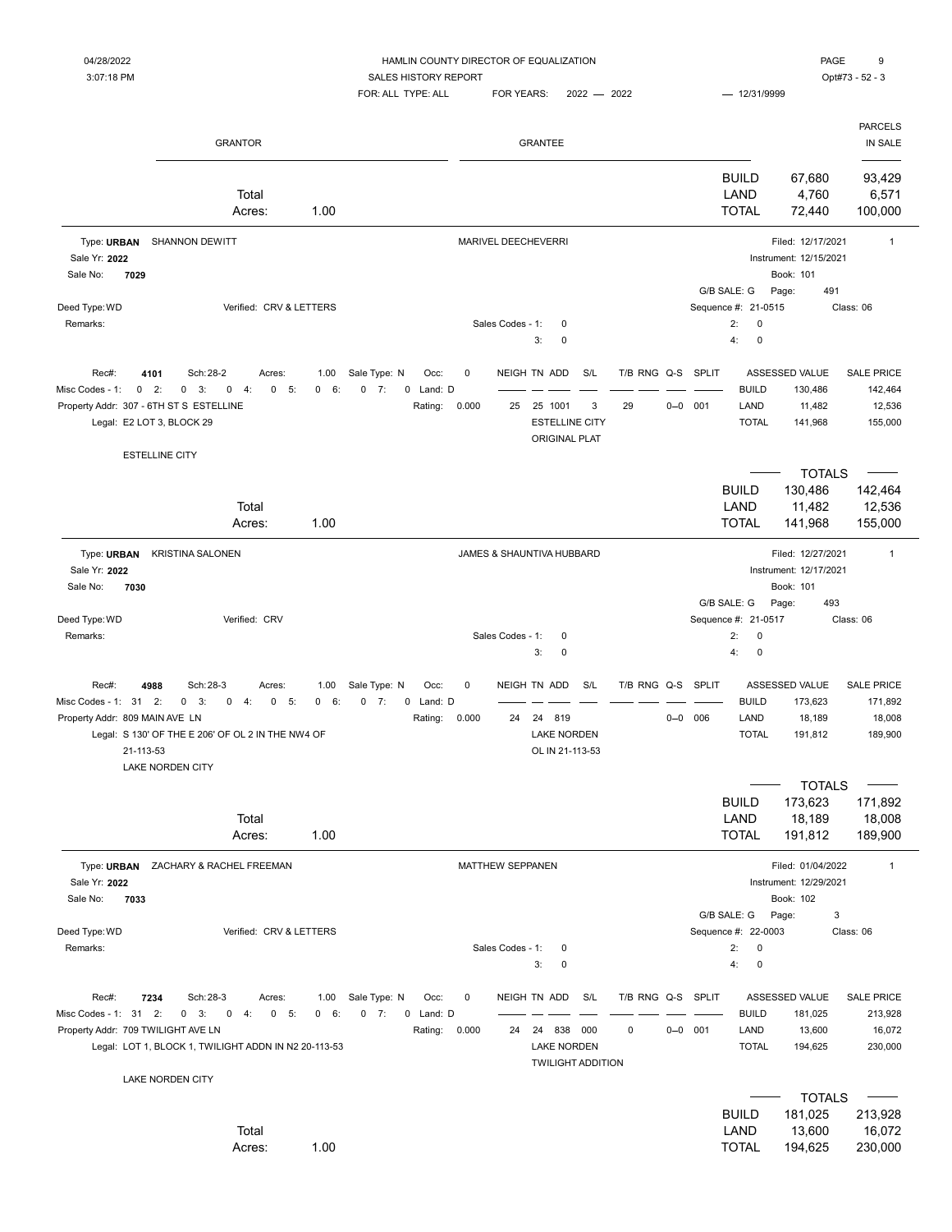### 04/28/2022 HAMLIN COUNTY DIRECTOR OF EQUALIZATION PAGE 9

3:07:18 PM CONTEXT SALES HISTORY REPORT SALES HISTORY REPORT

|                                                                                                                     | <b>GRANTOR</b>                                                                                                                                   |                            |                                                           |                           |    | <b>GRANTEE</b>                                                               |          |                        |                                                                              |                                                                   | <b>PARCELS</b><br>IN SALE                         |
|---------------------------------------------------------------------------------------------------------------------|--------------------------------------------------------------------------------------------------------------------------------------------------|----------------------------|-----------------------------------------------------------|---------------------------|----|------------------------------------------------------------------------------|----------|------------------------|------------------------------------------------------------------------------|-------------------------------------------------------------------|---------------------------------------------------|
|                                                                                                                     | Total<br>Acres:                                                                                                                                  | 1.00                       |                                                           |                           |    |                                                                              |          |                        | <b>BUILD</b><br>LAND<br><b>TOTAL</b>                                         | 67,680<br>4,760<br>72,440                                         | 93,429<br>6,571<br>100,000                        |
| Type: URBAN<br>Sale Yr: 2022<br>7029<br>Sale No:                                                                    | SHANNON DEWITT                                                                                                                                   |                            |                                                           | MARIVEL DEECHEVERRI       |    |                                                                              |          |                        |                                                                              | Filed: 12/17/2021<br>Instrument: 12/15/2021<br>Book: 101          | $\mathbf{1}$                                      |
| Deed Type: WD<br>Remarks:                                                                                           | Verified: CRV & LETTERS                                                                                                                          |                            |                                                           | Sales Codes - 1:          |    | 0<br>3:<br>0                                                                 |          |                        | G/B SALE: G<br>Sequence #: 21-0515<br>2:<br>0<br>4:<br>$\pmb{0}$             | 491<br>Page:                                                      | Class: 06                                         |
| Rec#:<br>4101<br>2:<br>Misc Codes - 1:<br>0<br>Property Addr: 307 - 6TH ST S ESTELLINE<br>Legal: E2 LOT 3, BLOCK 29 | Sch: 28-2<br>Acres:<br>3:<br>$\mathbf 0$<br>4:<br>0<br>5:<br>0                                                                                   | 1.00<br>6:<br>$\mathbf{0}$ | Sale Type: N<br>Occ:<br>$0 \t 7:$<br>0 Land: D<br>Rating: | 0<br>0.000                | 25 | NEIGH TN ADD<br>25 1001<br><b>ESTELLINE CITY</b><br><b>ORIGINAL PLAT</b>     | S/L<br>3 | T/B RNG Q-S<br>29      | SPLIT<br><b>BUILD</b><br>$0 - 0$ 001<br>LAND<br><b>TOTAL</b>                 | ASSESSED VALUE<br>130,486<br>11,482<br>141,968                    | <b>SALE PRICE</b><br>142,464<br>12,536<br>155,000 |
| <b>ESTELLINE CITY</b>                                                                                               | Total<br>Acres:                                                                                                                                  | 1.00                       |                                                           |                           |    |                                                                              |          |                        | <b>BUILD</b><br>LAND<br><b>TOTAL</b>                                         | <b>TOTALS</b><br>130,486<br>11,482<br>141,968                     | 142,464<br>12,536<br>155,000                      |
| Type: URBAN<br>Sale Yr: 2022<br>7030<br>Sale No:                                                                    | <b>KRISTINA SALONEN</b>                                                                                                                          |                            |                                                           | JAMES & SHAUNTIVA HUBBARD |    |                                                                              |          |                        |                                                                              | Filed: 12/27/2021<br>Instrument: 12/17/2021<br>Book: 101          | $\mathbf{1}$                                      |
| Deed Type: WD<br>Remarks:                                                                                           | Verified: CRV                                                                                                                                    |                            |                                                           | Sales Codes - 1:          |    | 0<br>3:<br>0                                                                 |          |                        | G/B SALE: G<br>Sequence #: 21-0517<br>$\mathbf 0$<br>2:<br>4:<br>$\mathbf 0$ | Page:<br>493                                                      | Class: 06                                         |
| 4988<br>Rec#:<br>Misc Codes - 1: 31 2:<br>Property Addr: 809 MAIN AVE LN<br>21-113-53                               | Sch: 28-3<br>Acres:<br>$0 \quad 3:$<br>0<br>4:<br>$0 - 5:$<br>Legal: S 130' OF THE E 206' OF OL 2 IN THE NW4 OF<br><b>LAKE NORDEN CITY</b>       | 1.00<br>$\mathbf{0}$<br>6: | Sale Type: N<br>Occ:<br>$0 \t 7:$<br>0 Land: D<br>Rating: | $\pmb{0}$<br>0.000        | 24 | NEIGH TN ADD<br>24 819<br><b>LAKE NORDEN</b><br>OL IN 21-113-53              | S/L      | T/B RNG Q-S            | <b>SPLIT</b><br><b>BUILD</b><br>$0 - 0$ 006<br>LAND<br><b>TOTAL</b>          | ASSESSED VALUE<br>173,623<br>18,189<br>191,812                    | <b>SALE PRICE</b><br>171,892<br>18,008<br>189,900 |
|                                                                                                                     | Total<br>Acres:                                                                                                                                  | 1.00                       |                                                           |                           |    |                                                                              |          |                        | <b>BUILD</b><br>LAND<br><b>TOTAL</b>                                         | <b>TOTALS</b><br>173,623<br>18,189<br>191,812                     | 171,892<br>18,008<br>189,900                      |
| Sale Yr: 2022<br>Sale No:<br>7033                                                                                   | Type: URBAN ZACHARY & RACHEL FREEMAN                                                                                                             |                            |                                                           | MATTHEW SEPPANEN          |    |                                                                              |          |                        | G/B SALE: G                                                                  | Filed: 01/04/2022<br>Instrument: 12/29/2021<br>Book: 102<br>Page: | $\mathbf{1}$<br>3                                 |
| Deed Type: WD<br>Remarks:                                                                                           | Verified: CRV & LETTERS                                                                                                                          |                            |                                                           | Sales Codes - 1:          |    | 0<br>3:<br>0                                                                 |          |                        | Sequence #: 22-0003<br>2:<br>$\pmb{0}$<br>4:<br>$\pmb{0}$                    |                                                                   | Class: 06                                         |
| Rec#:<br>7234<br>Misc Codes - 1: 31 2:<br>Property Addr: 709 TWILIGHT AVE LN                                        | Sch: 28-3<br>Acres:<br>$0 \quad 3:$<br>$0 \t 4$ :<br>$0 - 5:$<br>Legal: LOT 1, BLOCK 1, TWILIGHT ADDN IN N2 20-113-53<br><b>LAKE NORDEN CITY</b> | 1.00<br>0 6:               | Sale Type: N<br>Occ:<br>$0 \t 7:$<br>0 Land: D<br>Rating: | 0<br>0.000                | 24 | NEIGH TN ADD<br>24 838 000<br><b>LAKE NORDEN</b><br><b>TWILIGHT ADDITION</b> | S/L      | T/B RNG Q-S SPLIT<br>0 | <b>BUILD</b><br>$0 - 0$ 001<br>LAND<br><b>TOTAL</b>                          | ASSESSED VALUE<br>181,025<br>13,600<br>194,625                    | <b>SALE PRICE</b><br>213,928<br>16,072<br>230,000 |
|                                                                                                                     | Total<br>Acres:                                                                                                                                  | 1.00                       |                                                           |                           |    |                                                                              |          |                        | <b>BUILD</b><br>LAND<br><b>TOTAL</b>                                         | <b>TOTALS</b><br>181,025<br>13,600<br>194,625                     | 213,928<br>16,072<br>230,000                      |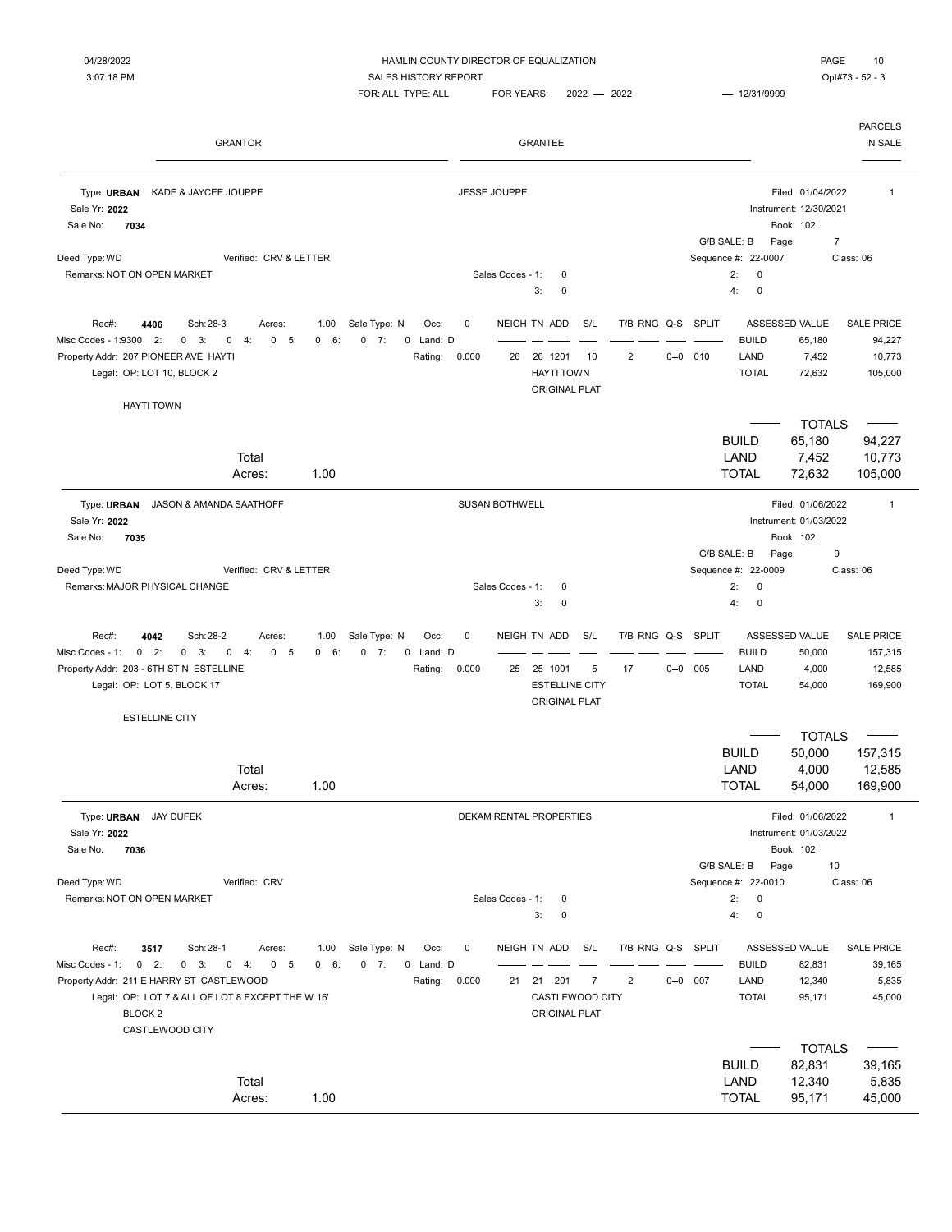| <b>GRANTOR</b>                                                                                                                                                                                                                |                            |                                                                      |                    |                       | <b>GRANTEE</b>                                                           |                |                                     |             |                                                             |                                                                         | <b>PARCELS</b><br>IN SALE                         |
|-------------------------------------------------------------------------------------------------------------------------------------------------------------------------------------------------------------------------------|----------------------------|----------------------------------------------------------------------|--------------------|-----------------------|--------------------------------------------------------------------------|----------------|-------------------------------------|-------------|-------------------------------------------------------------|-------------------------------------------------------------------------|---------------------------------------------------|
| Type: URBAN<br>KADE & JAYCEE JOUPPE<br>Sale Yr: 2022<br>Sale No:<br>7034                                                                                                                                                      |                            |                                                                      |                    | <b>JESSE JOUPPE</b>   |                                                                          |                |                                     |             | G/B SALE: B                                                 | Filed: 01/04/2022<br>Instrument: 12/30/2021<br>Book: 102<br>Page:       | $\mathbf{1}$<br>$\overline{\mathcal{I}}$          |
| Deed Type: WD<br>Verified: CRV & LETTER<br>Remarks: NOT ON OPEN MARKET                                                                                                                                                        |                            |                                                                      |                    | Sales Codes - 1:      | $\mathbf 0$<br>3:<br>$\mathbf 0$                                         |                |                                     |             | Sequence #: 22-0007<br>2:<br>$\pmb{0}$<br>4:<br>$\mathbf 0$ |                                                                         | Class: 06                                         |
| Rec#:<br>4406<br>Sch: 28-3<br>Acres:<br>Misc Codes - 1:9300<br>2:<br>0<br>3:<br>0<br>4:<br>0<br>5:<br>Property Addr: 207 PIONEER AVE HAYTI<br>Legal: OP: LOT 10, BLOCK 2                                                      | 1.00<br>$\mathbf{0}$<br>6: | Sale Type: N<br>Occ:<br>$0 \t 7:$<br>0 Land: D<br>Rating:            | $\pmb{0}$<br>0.000 | 26                    | NEIGH TN ADD<br>26 1201<br><b>HAYTI TOWN</b><br>ORIGINAL PLAT            | S/L<br>10      | T/B RNG Q-S SPLIT<br>$\overline{2}$ | $0 - 0$ 010 | <b>BUILD</b><br>LAND<br><b>TOTAL</b>                        | ASSESSED VALUE<br>65,180<br>7,452<br>72,632                             | <b>SALE PRICE</b><br>94,227<br>10,773<br>105,000  |
| <b>HAYTI TOWN</b><br>Total<br>Acres:                                                                                                                                                                                          | 1.00                       |                                                                      |                    |                       |                                                                          |                |                                     |             | <b>BUILD</b><br>LAND<br><b>TOTAL</b>                        | <b>TOTALS</b><br>65,180<br>7,452<br>72,632                              | 94,227<br>10,773<br>105,000                       |
| Type: URBAN<br>JASON & AMANDA SAATHOFF<br>Sale Yr: 2022<br>7035<br>Sale No:                                                                                                                                                   |                            |                                                                      |                    | <b>SUSAN BOTHWELL</b> |                                                                          |                |                                     |             | G/B SALE: B                                                 | Filed: 01/06/2022<br>Instrument: 01/03/2022<br>Book: 102<br>Page:       | $\mathbf{1}$<br>9                                 |
| Deed Type: WD<br>Verified: CRV & LETTER<br>Remarks: MAJOR PHYSICAL CHANGE                                                                                                                                                     |                            |                                                                      |                    | Sales Codes - 1:      | 0<br>0<br>3:                                                             |                |                                     |             | Sequence #: 22-0009<br>$\pmb{0}$<br>2:<br>$\pmb{0}$<br>4:   |                                                                         | Class: 06                                         |
| 4042<br>Sch: 28-2<br>Rec#:<br>Acres:<br>Misc Codes - 1:<br>$0 \quad 2:$<br>$0 \quad 3:$<br>$0 \t 4:$<br>$0 - 5:$<br>Property Addr: 203 - 6TH ST N ESTELLINE<br>Legal: OP: LOT 5, BLOCK 17                                     | 1.00<br>6:<br>$\mathbf{0}$ | Sale Type: N<br>Occ:<br>$0 \t 7:$<br>0 Land: D<br>Rating:            | $\pmb{0}$<br>0.000 | 25                    | NEIGH TN ADD<br>25 1001<br><b>ESTELLINE CITY</b><br><b>ORIGINAL PLAT</b> | S/L<br>5       | T/B RNG Q-S SPLIT<br>17             | $0 - 0$ 005 | <b>BUILD</b><br>LAND<br><b>TOTAL</b>                        | ASSESSED VALUE<br>50,000<br>4,000<br>54,000                             | <b>SALE PRICE</b><br>157,315<br>12,585<br>169,900 |
| <b>ESTELLINE CITY</b><br>Total<br>Acres:                                                                                                                                                                                      | 1.00                       |                                                                      |                    |                       |                                                                          |                |                                     |             | <b>BUILD</b><br>LAND<br><b>TOTAL</b>                        | <b>TOTALS</b><br>50,000<br>4,000<br>54,000                              | 157,315<br>12,585<br>169,900                      |
| Type: URBAN JAY DUFEK<br>Sale Yr: 2022<br>7036<br>Sale No:                                                                                                                                                                    |                            |                                                                      |                    |                       | DEKAM RENTAL PROPERTIES                                                  |                |                                     |             | G/B SALE: B                                                 | Filed: 01/06/2022<br>Instrument: 01/03/2022<br>Book: 102<br>10<br>Page: |                                                   |
| Deed Type: WD<br>Verified: CRV<br>Remarks: NOT ON OPEN MARKET                                                                                                                                                                 |                            |                                                                      |                    | Sales Codes - 1:      | 0<br>3:<br>0                                                             |                |                                     |             | Sequence #: 22-0010<br>2:<br>0<br>4:<br>0                   |                                                                         | Class: 06                                         |
| Rec#:<br>3517<br>Sch: 28-1<br>Acres:<br>Misc Codes - 1: 0 2:<br>$0$ 3: $0$ 4: $0$ 5:<br>Property Addr: 211 E HARRY ST CASTLEWOOD<br>Legal: OP: LOT 7 & ALL OF LOT 8 EXCEPT THE W 16'<br>BLOCK <sub>2</sub><br>CASTLEWOOD CITY | 0 6:                       | 1.00 Sale Type: N<br>Occ:<br>$0 \t 7:$<br>0 Land: D<br>Rating: 0.000 | 0                  |                       | NEIGH TN ADD S/L<br>21 21 201<br>CASTLEWOOD CITY<br>ORIGINAL PLAT        | $\overline{7}$ | T/B RNG Q-S SPLIT<br>$\overline{2}$ | $0 - 0$ 007 | <b>BUILD</b><br>LAND<br><b>TOTAL</b>                        | ASSESSED VALUE<br>82,831<br>12,340<br>95,171                            | <b>SALE PRICE</b><br>39,165<br>5,835<br>45,000    |
| Total<br>Acres:                                                                                                                                                                                                               | 1.00                       |                                                                      |                    |                       |                                                                          |                |                                     |             | <b>BUILD</b><br>LAND<br><b>TOTAL</b>                        | <b>TOTALS</b><br>82,831<br>12,340<br>95,171                             | 39,165<br>5,835<br>45,000                         |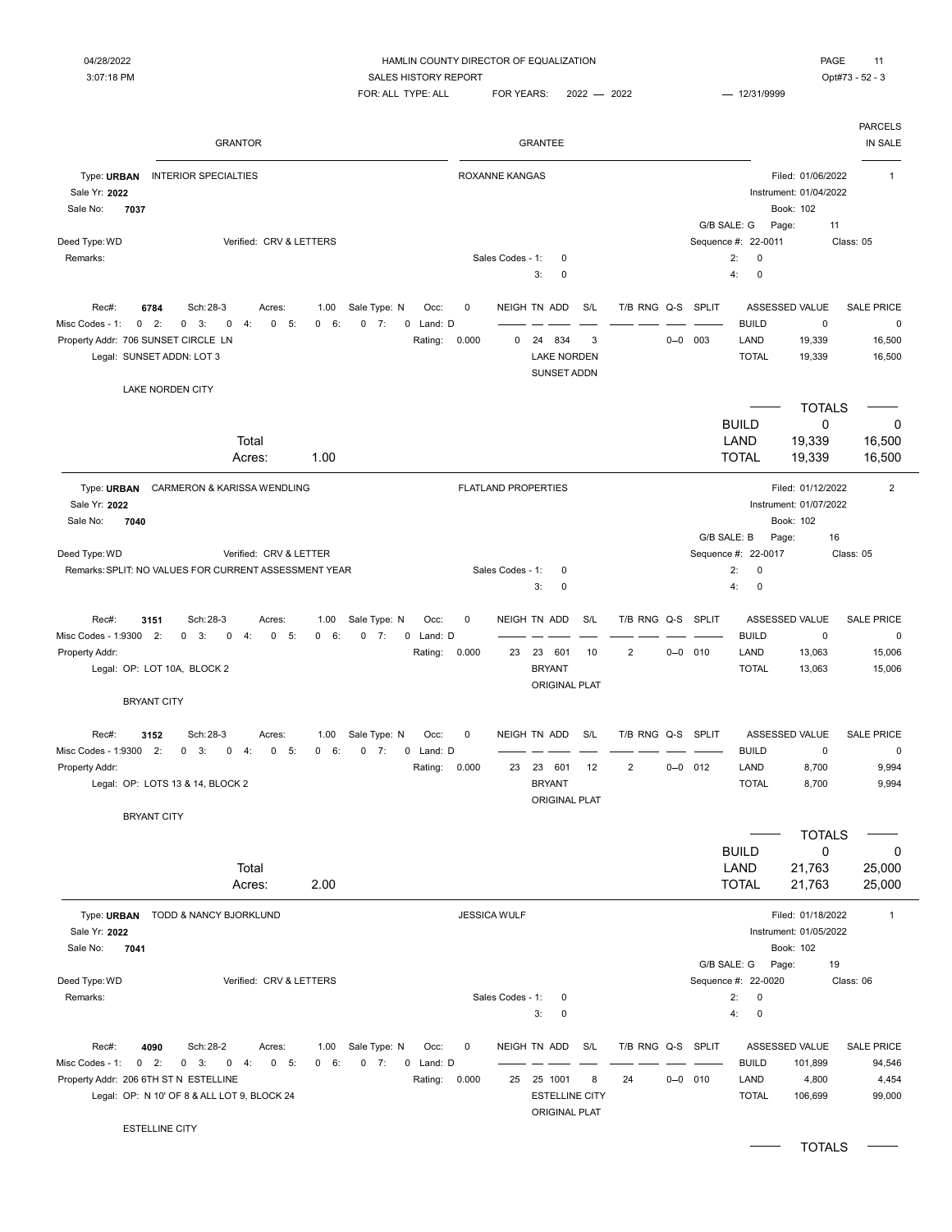### 04/28/2022 HAMLIN COUNTY DIRECTOR OF EQUALIZATION PAGE 11 3:07:18 PM CONTEXT SALES HISTORY REPORT SALES HISTORY REPORT

| <b>GRANTOR</b>                                                                                                                                                                                                                                        |                                                                         | <b>GRANTEE</b>                                                                                                   |                                  | <b>PARCELS</b><br>IN SALE                                                                                                                                                                                                                              |
|-------------------------------------------------------------------------------------------------------------------------------------------------------------------------------------------------------------------------------------------------------|-------------------------------------------------------------------------|------------------------------------------------------------------------------------------------------------------|----------------------------------|--------------------------------------------------------------------------------------------------------------------------------------------------------------------------------------------------------------------------------------------------------|
| Type: URBAN<br><b>INTERIOR SPECIALTIES</b><br>Sale Yr: 2022<br>Sale No:<br>7037                                                                                                                                                                       | <b>ROXANNE KANGAS</b>                                                   |                                                                                                                  |                                  | Filed: 01/06/2022<br>$\mathbf{1}$<br>Instrument: 01/04/2022<br>Book: 102<br>G/B SALE: G<br>Page:<br>11                                                                                                                                                 |
| Deed Type: WD<br>Verified: CRV & LETTERS<br>Remarks:                                                                                                                                                                                                  | Sales Codes - 1:                                                        | $\mathbf 0$<br>3:<br>$\mathbf 0$                                                                                 |                                  | Sequence #: 22-0011<br>Class: 05<br>2:<br>0<br>4:<br>0                                                                                                                                                                                                 |
| Sch: 28-3<br>Rec#:<br>6784<br>Acres:<br>1.00<br>Misc Codes - 1:<br>$0 \quad 2:$<br>0<br>3:<br>$\mathbf 0$<br>$\mathbf 0$<br>5:<br>6:<br>4:<br>$\mathbf{0}$<br>Property Addr: 706 SUNSET CIRCLE LN<br>Legal: SUNSET ADDN: LOT 3<br>LAKE NORDEN CITY    | Sale Type: N<br>0<br>Occ:<br>$0 \t 7:$<br>0 Land: D<br>0.000<br>Rating: | NEIGH TN ADD<br>S/L<br>T/B RNG Q-S<br>24<br>834<br>3<br>0<br><b>LAKE NORDEN</b><br>SUNSET ADDN                   | SPLIT<br>003<br>$0 - 0$          | ASSESSED VALUE<br><b>SALE PRICE</b><br><b>BUILD</b><br>$\mathbf 0$<br>$\pmb{0}$<br>LAND<br>19,339<br>16,500<br><b>TOTAL</b><br>19,339<br>16,500                                                                                                        |
| Total<br>1.00<br>Acres:                                                                                                                                                                                                                               |                                                                         |                                                                                                                  |                                  | <b>TOTALS</b><br><b>BUILD</b><br>0<br>0<br>19,339<br>LAND<br>16,500<br><b>TOTAL</b><br>16,500<br>19,339                                                                                                                                                |
| Type: URBAN<br>CARMERON & KARISSA WENDLING<br>Sale Yr: 2022<br>Sale No:<br>7040<br>Deed Type: WD<br>Verified: CRV & LETTER<br>Remarks: SPLIT: NO VALUES FOR CURRENT ASSESSMENT YEAR                                                                   | <b>FLATLAND PROPERTIES</b><br>Sales Codes - 1:                          | 0<br>3:<br>$\mathbf 0$                                                                                           |                                  | $\overline{2}$<br>Filed: 01/12/2022<br>Instrument: 01/07/2022<br>Book: 102<br>G/B SALE: B<br>16<br>Page:<br>Sequence #: 22-0017<br>Class: 05<br>2:<br>0<br>0<br>4:                                                                                     |
| Rec#:<br>3151<br>Sch: 28-3<br>1.00<br>Acres:<br>Misc Codes - 1:9300<br>2:<br>0<br>3:<br>$\mathbf 0$<br>5:<br>0<br>4:<br>$\mathbf{0}$<br>6:<br>0<br>Property Addr:<br>Legal: OP: LOT 10A, BLOCK 2<br><b>BRYANT CITY</b>                                | Sale Type: N<br>Occ:<br>0<br>0 Land: D<br>7:<br>0.000<br>Rating:<br>23  | T/B RNG Q-S<br>NEIGH TN ADD<br>S/L<br>23 601<br>$\overline{2}$<br>10<br><b>BRYANT</b><br><b>ORIGINAL PLAT</b>    | <b>SPLIT</b><br>$0 - 0$ 010      | ASSESSED VALUE<br><b>SALE PRICE</b><br><b>BUILD</b><br>$\mathbf 0$<br>$\pmb{0}$<br>LAND<br>13,063<br>15,006<br><b>TOTAL</b><br>13,063<br>15,006                                                                                                        |
| Rec#:<br>3152<br>Sch: 28-3<br>1.00<br>Acres:<br>Misc Codes - 1:9300<br>2:<br>0<br>3:<br>0<br>4:<br>$\mathbf 0$<br>5:<br>$\mathbf 0$<br>6:<br>0<br>Property Addr:<br>Legal: OP: LOTS 13 & 14, BLOCK 2<br><b>BRYANT CITY</b><br>Total<br>2.00<br>Acres: | Sale Type: N<br>0<br>Occ:<br>7:<br>0 Land: D<br>0.000<br>23<br>Rating:  | NEIGH TN ADD<br>S/L<br>T/B RNG Q-S<br>$\overline{2}$<br>23<br>601<br>12<br><b>BRYANT</b><br><b>ORIGINAL PLAT</b> | <b>SPLIT</b><br>$0 - 0$<br>012   | ASSESSED VALUE<br><b>SALE PRICE</b><br><b>BUILD</b><br>$\mathbf 0$<br>$\pmb{0}$<br>LAND<br>8,700<br>9,994<br><b>TOTAL</b><br>8,700<br>9,994<br><b>TOTALS</b><br><b>BUILD</b><br>0<br>0<br>LAND<br>25,000<br>21,763<br><b>TOTAL</b><br>25,000<br>21,763 |
| Type: URBAN TODD & NANCY BJORKLUND<br>Sale Yr: 2022<br>Sale No:<br>7041<br>Deed Type: WD<br>Verified: CRV & LETTERS<br>Remarks:                                                                                                                       | <b>JESSICA WULF</b><br>Sales Codes - 1:                                 | $\mathbf 0$                                                                                                      |                                  | Filed: 01/18/2022<br>$\overline{1}$<br>Instrument: 01/05/2022<br>Book: 102<br>G/B SALE: G<br>Page:<br>19<br>Sequence #: 22-0020<br>Class: 06<br>2:<br>0<br>4:                                                                                          |
| Rec#:<br>4090<br>Sch: 28-2<br>Acres:<br>1.00<br>Misc Codes - 1:<br>$0$ 2:<br>$0 \quad 3:$<br>$0 \t 4:$<br>$0 - 5:$<br>0 6:<br>Property Addr: 206 6TH ST N ESTELLINE<br>Legal: OP: N 10' OF 8 & ALL LOT 9, BLOCK 24<br>ESTELLINE CITY                  | Sale Type: N<br>Occ:<br>0<br>$0 \t 7:$<br>0 Land: D<br>Rating:<br>0.000 | 3:<br>0<br>NEIGH TN ADD<br>S/L<br>25 25 1001<br>24<br>8<br><b>ESTELLINE CITY</b><br>ORIGINAL PLAT                | T/B RNG Q-S SPLIT<br>$0 - 0$ 010 | 0<br>ASSESSED VALUE<br><b>SALE PRICE</b><br><b>BUILD</b><br>101,899<br>94,546<br>LAND<br>4,800<br>4,454<br><b>TOTAL</b><br>106,699<br>99,000                                                                                                           |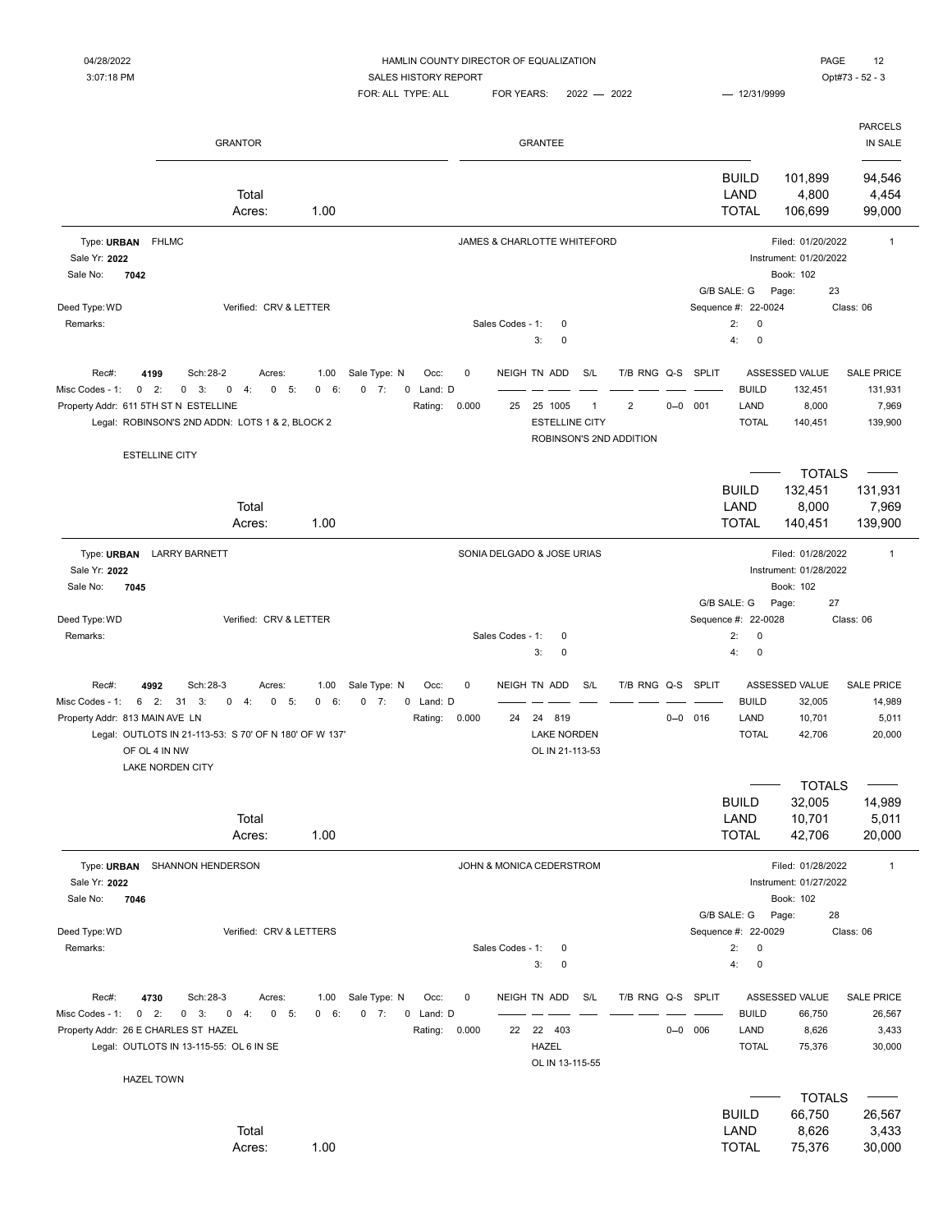| 04/28/2022 | HAMLIN COUNTY DIRECTOR OF EQUALIZATION | PAGE<br>$\overline{a}$ |
|------------|----------------------------------------|------------------------|
| 3:07:18 PM | <b>SALES HISTORY REPORT</b>            | Opt#73 - 52 - 3        |

| 04/20/2022                            |                                                 | <b>HAMLIN COUNTT DIRECTOR OF EQUALIZATION</b> |                        |          |                   |                             |       |                             |                |                |                       | <b>FAUL</b>             |             | 14                  |                |                        |                 |                   |
|---------------------------------------|-------------------------------------------------|-----------------------------------------------|------------------------|----------|-------------------|-----------------------------|-------|-----------------------------|----------------|----------------|-----------------------|-------------------------|-------------|---------------------|----------------|------------------------|-----------------|-------------------|
| 3:07:18 PM                            |                                                 |                                               |                        |          |                   | <b>SALES HISTORY REPORT</b> |       |                             |                |                |                       |                         |             |                     |                |                        | Opt#73 - 52 - 3 |                   |
|                                       |                                                 |                                               |                        |          |                   | FOR: ALL TYPE: ALL          |       | <b>FOR YEARS:</b>           |                |                | $2022 - 2022$         |                         |             | $- 12/31/9999$      |                |                        |                 |                   |
|                                       |                                                 |                                               |                        |          |                   |                             |       |                             |                |                |                       |                         |             |                     |                |                        |                 | <b>PARCELS</b>    |
|                                       |                                                 | <b>GRANTOR</b>                                |                        |          |                   |                             |       |                             | <b>GRANTEE</b> |                |                       |                         |             |                     |                |                        |                 | IN SALE           |
|                                       |                                                 |                                               |                        |          |                   |                             |       |                             |                |                |                       |                         |             | <b>BUILD</b>        |                | 101,899                |                 | 94,546            |
|                                       |                                                 | Total                                         |                        |          |                   |                             |       |                             |                |                |                       |                         |             | LAND                |                | 4,800                  |                 | 4,454             |
|                                       |                                                 | Acres:                                        |                        | 1.00     |                   |                             |       |                             |                |                |                       |                         |             | <b>TOTAL</b>        |                | 106,699                |                 | 99,000            |
| Type: URBAN FHLMC                     |                                                 |                                               |                        |          |                   |                             |       | JAMES & CHARLOTTE WHITEFORD |                |                |                       |                         |             |                     |                | Filed: 01/20/2022      |                 | $\mathbf{1}$      |
| Sale Yr: 2022                         |                                                 |                                               |                        |          |                   |                             |       |                             |                |                |                       |                         |             |                     |                | Instrument: 01/20/2022 |                 |                   |
| Sale No:<br>7042                      |                                                 |                                               |                        |          |                   |                             |       |                             |                |                |                       |                         |             |                     | Book: 102      |                        |                 |                   |
|                                       |                                                 |                                               |                        |          |                   |                             |       |                             |                |                |                       |                         |             | G/B SALE: G         | Page:          | 23                     |                 |                   |
| Deed Type: WD                         |                                                 |                                               | Verified: CRV & LETTER |          |                   |                             |       |                             |                |                |                       |                         |             | Sequence #: 22-0024 |                |                        | Class: 06       |                   |
| Remarks:                              |                                                 |                                               |                        |          |                   |                             |       | Sales Codes - 1:            |                | $\overline{0}$ |                       |                         |             | 2:                  | $\mathbf{0}$   |                        |                 |                   |
|                                       |                                                 |                                               |                        |          |                   |                             |       |                             | 3:             | $\mathbf 0$    |                       |                         |             | 4:                  | $\mathbf 0$    |                        |                 |                   |
| Rec#:<br>4199                         | Sch: 28-2                                       |                                               | Acres:                 | 1.00     | Sale Type: N      | Occ:                        | 0     | NEIGH TN ADD                |                |                | S/L                   | T/B RNG Q-S SPLIT       |             |                     | ASSESSED VALUE |                        |                 | <b>SALE PRICE</b> |
| Misc Codes - 1:<br>$0 \t2$            | $\Omega$<br>3:<br>$\mathbf{0}$                  | 4:                                            | $\mathbf{0}$<br>5:     | $0 \t 6$ | $\mathbf 0$<br>7: | 0 Land: D                   |       |                             |                |                |                       |                         |             | <b>BUILD</b>        |                | 132,451                |                 | 131,931           |
| Property Addr: 611 5TH ST N ESTELLINE |                                                 |                                               |                        |          |                   | Rating:                     | 0.000 | 25                          |                | 25 1005        | $\mathbf{1}$          | $\overline{2}$          | $0 - 0$ 001 | LAND                |                | 8,000                  |                 | 7,969             |
|                                       | Legal: ROBINSON'S 2ND ADDN: LOTS 1 & 2, BLOCK 2 |                                               |                        |          |                   |                             |       |                             |                |                | <b>ESTELLINE CITY</b> |                         |             | <b>TOTAL</b>        |                | 140,451                |                 | 139,900           |
|                                       |                                                 |                                               |                        |          |                   |                             |       |                             |                |                |                       | ROBINSON'S 2ND ADDITION |             |                     |                |                        |                 |                   |
|                                       | <b>ESTELLINE CITY</b>                           |                                               |                        |          |                   |                             |       |                             |                |                |                       |                         |             |                     |                |                        |                 |                   |
|                                       |                                                 |                                               |                        |          |                   |                             |       |                             |                |                |                       |                         |             |                     |                |                        |                 |                   |

|                                                                                                                    |                                                          | <b>TOTALS</b>                                               |
|--------------------------------------------------------------------------------------------------------------------|----------------------------------------------------------|-------------------------------------------------------------|
|                                                                                                                    |                                                          | <b>BUILD</b><br>132,451<br>131,931                          |
| Total                                                                                                              |                                                          | 8,000<br>LAND<br>7,969                                      |
| 1.00<br>Acres:                                                                                                     |                                                          | <b>TOTAL</b><br>140,451<br>139,900                          |
| Type: URBAN<br><b>LARRY BARNETT</b>                                                                                | SONIA DELGADO & JOSE URIAS                               | Filed: 01/28/2022<br>$\mathbf{1}$                           |
| Sale Yr: 2022                                                                                                      |                                                          | Instrument: 01/28/2022                                      |
| 7045<br>Sale No:                                                                                                   |                                                          | Book: 102                                                   |
|                                                                                                                    |                                                          | G/B SALE: G<br>Page:<br>27                                  |
| Verified: CRV & LETTER<br>Deed Type: WD                                                                            |                                                          | Sequence #: 22-0028<br>Class: 06                            |
| Remarks:                                                                                                           | Sales Codes - 1:<br>$\mathbf 0$                          | 2:<br>$\mathbf 0$                                           |
|                                                                                                                    | 3:<br>$\mathbf 0$                                        | 4:<br>0                                                     |
| 4992<br>Sch: 28-3<br>Rec#:<br>1.00<br>Acres:                                                                       | Sale Type: N<br>$\pmb{0}$<br>NEIGH TN ADD<br>S/L<br>Occ: | T/B RNG Q-S<br>SPLIT<br>ASSESSED VALUE<br><b>SALE PRICE</b> |
| Misc Codes - 1:<br>$6 \t2$ :<br>31<br>3:<br>$\mathbf 0$<br>5:<br>6<br>4:<br>0<br>$\mathbf{0}$                      | $0 \t 7:$<br>0 Land: D                                   | <b>BUILD</b><br>32,005<br>14,989                            |
| Property Addr: 813 MAIN AVE LN                                                                                     | Rating:<br>0.000<br>24<br>24 819                         | $0 - 0$ 016<br>LAND<br>5,011<br>10,701                      |
| Legal: OUTLOTS IN 21-113-53: S 70' OF N 180' OF W 137'                                                             | <b>LAKE NORDEN</b>                                       | <b>TOTAL</b><br>42,706<br>20,000                            |
| OF OL 4 IN NW                                                                                                      | OL IN 21-113-53                                          |                                                             |
| <b>LAKE NORDEN CITY</b>                                                                                            |                                                          |                                                             |
|                                                                                                                    |                                                          | <b>TOTALS</b>                                               |
|                                                                                                                    |                                                          | <b>BUILD</b><br>32,005<br>14,989                            |
| Total                                                                                                              |                                                          | LAND<br>10,701<br>5,011                                     |
| 1.00<br>Acres:                                                                                                     |                                                          | <b>TOTAL</b><br>20,000<br>42,706                            |
| Type: URBAN<br>SHANNON HENDERSON                                                                                   | JOHN & MONICA CEDERSTROM                                 | Filed: 01/28/2022<br>$\mathbf{1}$                           |
| Sale Yr: 2022                                                                                                      |                                                          | Instrument: 01/27/2022                                      |
| Sale No:<br>7046                                                                                                   |                                                          | Book: 102                                                   |
|                                                                                                                    |                                                          | G/B SALE: G<br>28<br>Page:                                  |
| Deed Type: WD<br>Verified: CRV & LETTERS                                                                           |                                                          | Sequence #: 22-0029<br>Class: 06                            |
| Remarks:                                                                                                           | Sales Codes - 1:<br>0                                    | 2:<br>0                                                     |
|                                                                                                                    | 3:<br>0                                                  | 4:<br>0                                                     |
| Rec#:<br>4730<br>Sch: 28-3<br>Acres:<br>1.00                                                                       | Sale Type: N<br>NEIGH TN ADD<br>S/L<br>Occ:<br>0         | T/B RNG Q-S SPLIT<br>ASSESSED VALUE<br><b>SALE PRICE</b>    |
| 2:<br>$\mathbf 0$<br>$0 \quad 3:$<br>$\mathbf 0$<br>6:<br>Misc Codes - 1:<br>4:<br>$\Omega$<br>5:<br>$\Omega$<br>0 | 7:<br>0 Land: D                                          | <b>BUILD</b><br>66,750<br>26,567                            |
| Property Addr: 26 E CHARLES ST HAZEL                                                                               | 0.000<br>22<br>22<br>403<br>Rating:                      | $0 - 0$ 006<br>LAND<br>3,433<br>8,626                       |
| Legal: OUTLOTS IN 13-115-55: OL 6 IN SE                                                                            | <b>HAZEL</b>                                             | <b>TOTAL</b><br>30,000<br>75,376                            |
|                                                                                                                    | OL IN 13-115-55                                          |                                                             |
| <b>HAZEL TOWN</b>                                                                                                  |                                                          |                                                             |

|        |      | TOTALS                 | $\overline{\phantom{a}}$ |
|--------|------|------------------------|--------------------------|
|        |      | 66.750<br><b>BUILD</b> | 26,567                   |
| Total  |      | 8.626<br>∟AND          | 3,433                    |
| Acres: | 1.00 | <b>TOTAL</b><br>75.376 | 30,000                   |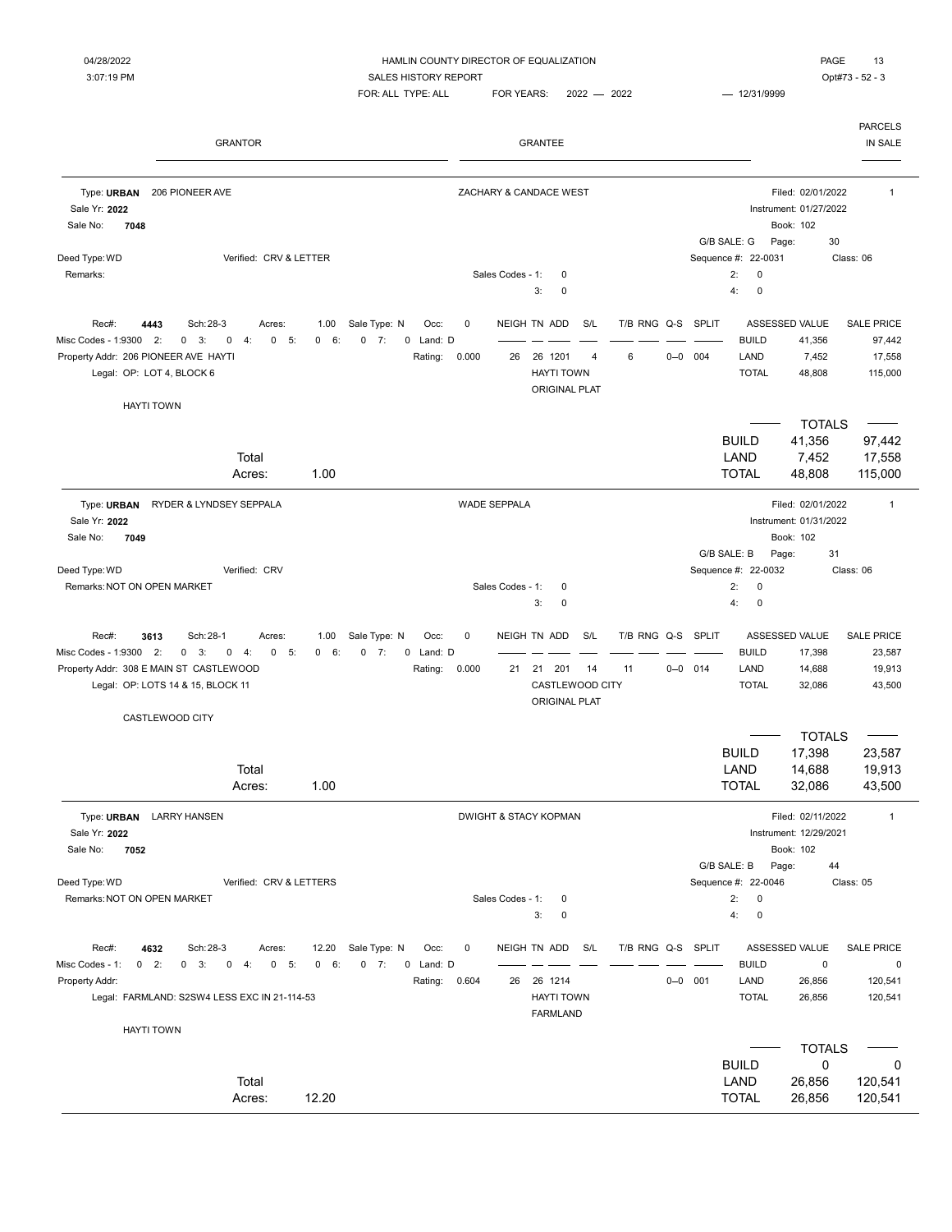| Filed: 02/01/2022<br>206 PIONEER AVE<br>ZACHARY & CANDACE WEST<br>$\mathbf{1}$<br>Type: URBAN<br>Sale Yr: 2022<br>Instrument: 01/27/2022<br>Book: 102<br>Sale No:<br>7048<br>G/B SALE: G<br>30<br>Page:<br>Verified: CRV & LETTER<br>Sequence #: 22-0031<br>Class: 06<br>Deed Type: WD<br>Sales Codes - 1:<br>2:<br>$\mathbf 0$<br>Remarks:<br>0<br>$\pmb{0}$<br>3:<br>4:<br>0<br>4443<br>Sch: 28-3<br>Acres:<br>Sale Type: N<br>Occ:<br>0<br>NEIGH TN ADD<br>S/L<br>T/B RNG Q-S SPLIT<br>ASSESSED VALUE<br>Rec#:<br>1.00<br>Misc Codes - 1:9300<br>2:<br>$0 \quad 3:$<br>$\mathbf 0$<br>4:<br>$0 - 5:$<br>0 6:<br>$0 \t 7:$<br>Land: D<br><b>BUILD</b><br>41,356<br>0<br>Property Addr: 206 PIONEER AVE HAYTI<br>Rating: 0.000<br>26<br>26 1201<br>6<br>$0 - 0$<br>004<br>LAND<br>7,452<br>$\overline{4}$<br>Legal: OP: LOT 4, BLOCK 6<br><b>HAYTI TOWN</b><br><b>TOTAL</b><br>48,808<br><b>ORIGINAL PLAT</b><br><b>HAYTI TOWN</b><br><b>TOTALS</b><br><b>BUILD</b><br>41,356<br>LAND<br>7,452<br>Total<br><b>TOTAL</b><br>1.00<br>48,808<br>115,000<br>Acres:<br>Filed: 02/01/2022<br>Type: URBAN<br>RYDER & LYNDSEY SEPPALA<br><b>WADE SEPPALA</b><br>$\mathbf{1}$<br>Sale Yr: 2022<br>Instrument: 01/31/2022<br>7049<br>Book: 102<br>Sale No:<br>G/B SALE: B<br>31<br>Page:<br>Deed Type: WD<br>Verified: CRV<br>Sequence #: 22-0032<br>Class: 06<br>Remarks: NOT ON OPEN MARKET<br>Sales Codes - 1:<br>0<br>2:<br>$\mathbf 0$<br>$\pmb{0}$<br>3:<br>$\mathbf 0$<br>4:<br>Sale Type: N<br>T/B RNG Q-S<br><b>SPLIT</b><br>ASSESSED VALUE<br>Rec#:<br>3613<br>Sch: 28-1<br>Acres:<br>1.00<br>Occ:<br>0<br>NEIGH TN ADD<br>S/L<br>Misc Codes - 1:9300<br>2:<br>$0 - 5:$<br>6:<br>0<br>7:<br>0 Land: D<br><b>BUILD</b><br>$0 \quad 3:$<br>0<br>4:<br>0<br>17,398<br>Property Addr: 308 E MAIN ST CASTLEWOOD<br>$0 - 0$ 014<br>LAND<br>14,688<br>Rating:<br>0.000<br>21<br>21 201<br>14<br>11<br>CASTLEWOOD CITY<br>Legal: OP: LOTS 14 & 15, BLOCK 11<br><b>TOTAL</b><br>32,086<br><b>ORIGINAL PLAT</b><br>CASTLEWOOD CITY<br><b>TOTALS</b><br><b>BUILD</b><br>17,398<br>LAND<br>Total<br>14,688<br><b>TOTAL</b><br>1.00<br>32,086<br>Acres:<br><b>LARRY HANSEN</b><br><b>DWIGHT &amp; STACY KOPMAN</b><br>Filed: 02/11/2022<br>Type: URBAN<br>$\mathbf{1}$<br>Sale Yr: 2022<br>Instrument: 12/29/2021<br>7052<br>Book: 102<br>Sale No:<br>G/B SALE: B<br>Page:<br>44<br>Deed Type: WD<br>Verified: CRV & LETTERS<br>Sequence #: 22-0046<br>Class: 05<br>Remarks: NOT ON OPEN MARKET<br>Sales Codes - 1:<br>2:<br>$\mathbf 0$<br>0<br>$\pmb{0}$<br>3:<br>0<br>4:<br>T/B RNG Q-S SPLIT<br>Sch: 28-3<br>Sale Type: N<br>NEIGH TN ADD<br>S/L<br>ASSESSED VALUE<br>Rec#:<br>4632<br>Acres:<br>12.20<br>Occ:<br>0<br>$0$ 7:<br><b>BUILD</b><br>$0$ 2:<br>$0 \quad 3:$<br>$-5:$<br>$\mathbf 0$<br>6:<br>Land: D<br>$\mathsf 0$<br>Misc Codes - 1:<br>0<br>4:<br>0<br>0<br>LAND<br>26<br>26 1214<br>$0 - 0$<br>001<br>26,856<br>Property Addr:<br>Rating:<br>0.604<br>Legal: FARMLAND: S2SW4 LESS EXC IN 21-114-53<br><b>HAYTI TOWN</b><br><b>TOTAL</b><br>26,856<br><b>FARMLAND</b><br><b>HAYTI TOWN</b><br><b>TOTALS</b><br><b>BUILD</b><br>0 | <b>GRANTOR</b> |  |  |  |  | <b>GRANTEE</b> |  |  |  |  |  |  |                                                  |  |  |
|-----------------------------------------------------------------------------------------------------------------------------------------------------------------------------------------------------------------------------------------------------------------------------------------------------------------------------------------------------------------------------------------------------------------------------------------------------------------------------------------------------------------------------------------------------------------------------------------------------------------------------------------------------------------------------------------------------------------------------------------------------------------------------------------------------------------------------------------------------------------------------------------------------------------------------------------------------------------------------------------------------------------------------------------------------------------------------------------------------------------------------------------------------------------------------------------------------------------------------------------------------------------------------------------------------------------------------------------------------------------------------------------------------------------------------------------------------------------------------------------------------------------------------------------------------------------------------------------------------------------------------------------------------------------------------------------------------------------------------------------------------------------------------------------------------------------------------------------------------------------------------------------------------------------------------------------------------------------------------------------------------------------------------------------------------------------------------------------------------------------------------------------------------------------------------------------------------------------------------------------------------------------------------------------------------------------------------------------------------------------------------------------------------------------------------------------------------------------------------------------------------------------------------------------------------------------------------------------------------------------------------------------------------------------------------------------------------------------------------------------------------------------------------------------------------------------------------------------------------------------------------------------------------------------------------------------------------------------------------------------------------------------------------------------------------------------------------------------------------------------------------------------|----------------|--|--|--|--|----------------|--|--|--|--|--|--|--------------------------------------------------|--|--|
|                                                                                                                                                                                                                                                                                                                                                                                                                                                                                                                                                                                                                                                                                                                                                                                                                                                                                                                                                                                                                                                                                                                                                                                                                                                                                                                                                                                                                                                                                                                                                                                                                                                                                                                                                                                                                                                                                                                                                                                                                                                                                                                                                                                                                                                                                                                                                                                                                                                                                                                                                                                                                                                                                                                                                                                                                                                                                                                                                                                                                                                                                                                                         |                |  |  |  |  |                |  |  |  |  |  |  |                                                  |  |  |
|                                                                                                                                                                                                                                                                                                                                                                                                                                                                                                                                                                                                                                                                                                                                                                                                                                                                                                                                                                                                                                                                                                                                                                                                                                                                                                                                                                                                                                                                                                                                                                                                                                                                                                                                                                                                                                                                                                                                                                                                                                                                                                                                                                                                                                                                                                                                                                                                                                                                                                                                                                                                                                                                                                                                                                                                                                                                                                                                                                                                                                                                                                                                         |                |  |  |  |  |                |  |  |  |  |  |  |                                                  |  |  |
|                                                                                                                                                                                                                                                                                                                                                                                                                                                                                                                                                                                                                                                                                                                                                                                                                                                                                                                                                                                                                                                                                                                                                                                                                                                                                                                                                                                                                                                                                                                                                                                                                                                                                                                                                                                                                                                                                                                                                                                                                                                                                                                                                                                                                                                                                                                                                                                                                                                                                                                                                                                                                                                                                                                                                                                                                                                                                                                                                                                                                                                                                                                                         |                |  |  |  |  |                |  |  |  |  |  |  |                                                  |  |  |
|                                                                                                                                                                                                                                                                                                                                                                                                                                                                                                                                                                                                                                                                                                                                                                                                                                                                                                                                                                                                                                                                                                                                                                                                                                                                                                                                                                                                                                                                                                                                                                                                                                                                                                                                                                                                                                                                                                                                                                                                                                                                                                                                                                                                                                                                                                                                                                                                                                                                                                                                                                                                                                                                                                                                                                                                                                                                                                                                                                                                                                                                                                                                         |                |  |  |  |  |                |  |  |  |  |  |  | <b>SALE PRICE</b><br>97,442<br>17,558<br>115,000 |  |  |
|                                                                                                                                                                                                                                                                                                                                                                                                                                                                                                                                                                                                                                                                                                                                                                                                                                                                                                                                                                                                                                                                                                                                                                                                                                                                                                                                                                                                                                                                                                                                                                                                                                                                                                                                                                                                                                                                                                                                                                                                                                                                                                                                                                                                                                                                                                                                                                                                                                                                                                                                                                                                                                                                                                                                                                                                                                                                                                                                                                                                                                                                                                                                         |                |  |  |  |  |                |  |  |  |  |  |  |                                                  |  |  |
|                                                                                                                                                                                                                                                                                                                                                                                                                                                                                                                                                                                                                                                                                                                                                                                                                                                                                                                                                                                                                                                                                                                                                                                                                                                                                                                                                                                                                                                                                                                                                                                                                                                                                                                                                                                                                                                                                                                                                                                                                                                                                                                                                                                                                                                                                                                                                                                                                                                                                                                                                                                                                                                                                                                                                                                                                                                                                                                                                                                                                                                                                                                                         |                |  |  |  |  |                |  |  |  |  |  |  | 97,442<br>17,558                                 |  |  |
|                                                                                                                                                                                                                                                                                                                                                                                                                                                                                                                                                                                                                                                                                                                                                                                                                                                                                                                                                                                                                                                                                                                                                                                                                                                                                                                                                                                                                                                                                                                                                                                                                                                                                                                                                                                                                                                                                                                                                                                                                                                                                                                                                                                                                                                                                                                                                                                                                                                                                                                                                                                                                                                                                                                                                                                                                                                                                                                                                                                                                                                                                                                                         |                |  |  |  |  |                |  |  |  |  |  |  |                                                  |  |  |
|                                                                                                                                                                                                                                                                                                                                                                                                                                                                                                                                                                                                                                                                                                                                                                                                                                                                                                                                                                                                                                                                                                                                                                                                                                                                                                                                                                                                                                                                                                                                                                                                                                                                                                                                                                                                                                                                                                                                                                                                                                                                                                                                                                                                                                                                                                                                                                                                                                                                                                                                                                                                                                                                                                                                                                                                                                                                                                                                                                                                                                                                                                                                         |                |  |  |  |  |                |  |  |  |  |  |  |                                                  |  |  |
|                                                                                                                                                                                                                                                                                                                                                                                                                                                                                                                                                                                                                                                                                                                                                                                                                                                                                                                                                                                                                                                                                                                                                                                                                                                                                                                                                                                                                                                                                                                                                                                                                                                                                                                                                                                                                                                                                                                                                                                                                                                                                                                                                                                                                                                                                                                                                                                                                                                                                                                                                                                                                                                                                                                                                                                                                                                                                                                                                                                                                                                                                                                                         |                |  |  |  |  |                |  |  |  |  |  |  |                                                  |  |  |
|                                                                                                                                                                                                                                                                                                                                                                                                                                                                                                                                                                                                                                                                                                                                                                                                                                                                                                                                                                                                                                                                                                                                                                                                                                                                                                                                                                                                                                                                                                                                                                                                                                                                                                                                                                                                                                                                                                                                                                                                                                                                                                                                                                                                                                                                                                                                                                                                                                                                                                                                                                                                                                                                                                                                                                                                                                                                                                                                                                                                                                                                                                                                         |                |  |  |  |  |                |  |  |  |  |  |  | SALE PRICE<br>23,587<br>19,913<br>43,500         |  |  |
|                                                                                                                                                                                                                                                                                                                                                                                                                                                                                                                                                                                                                                                                                                                                                                                                                                                                                                                                                                                                                                                                                                                                                                                                                                                                                                                                                                                                                                                                                                                                                                                                                                                                                                                                                                                                                                                                                                                                                                                                                                                                                                                                                                                                                                                                                                                                                                                                                                                                                                                                                                                                                                                                                                                                                                                                                                                                                                                                                                                                                                                                                                                                         |                |  |  |  |  |                |  |  |  |  |  |  | 23,587<br>19,913                                 |  |  |
|                                                                                                                                                                                                                                                                                                                                                                                                                                                                                                                                                                                                                                                                                                                                                                                                                                                                                                                                                                                                                                                                                                                                                                                                                                                                                                                                                                                                                                                                                                                                                                                                                                                                                                                                                                                                                                                                                                                                                                                                                                                                                                                                                                                                                                                                                                                                                                                                                                                                                                                                                                                                                                                                                                                                                                                                                                                                                                                                                                                                                                                                                                                                         |                |  |  |  |  |                |  |  |  |  |  |  | 43,500                                           |  |  |
|                                                                                                                                                                                                                                                                                                                                                                                                                                                                                                                                                                                                                                                                                                                                                                                                                                                                                                                                                                                                                                                                                                                                                                                                                                                                                                                                                                                                                                                                                                                                                                                                                                                                                                                                                                                                                                                                                                                                                                                                                                                                                                                                                                                                                                                                                                                                                                                                                                                                                                                                                                                                                                                                                                                                                                                                                                                                                                                                                                                                                                                                                                                                         |                |  |  |  |  |                |  |  |  |  |  |  |                                                  |  |  |
|                                                                                                                                                                                                                                                                                                                                                                                                                                                                                                                                                                                                                                                                                                                                                                                                                                                                                                                                                                                                                                                                                                                                                                                                                                                                                                                                                                                                                                                                                                                                                                                                                                                                                                                                                                                                                                                                                                                                                                                                                                                                                                                                                                                                                                                                                                                                                                                                                                                                                                                                                                                                                                                                                                                                                                                                                                                                                                                                                                                                                                                                                                                                         |                |  |  |  |  |                |  |  |  |  |  |  |                                                  |  |  |
|                                                                                                                                                                                                                                                                                                                                                                                                                                                                                                                                                                                                                                                                                                                                                                                                                                                                                                                                                                                                                                                                                                                                                                                                                                                                                                                                                                                                                                                                                                                                                                                                                                                                                                                                                                                                                                                                                                                                                                                                                                                                                                                                                                                                                                                                                                                                                                                                                                                                                                                                                                                                                                                                                                                                                                                                                                                                                                                                                                                                                                                                                                                                         |                |  |  |  |  |                |  |  |  |  |  |  | <b>SALE PRICE</b><br>0<br>120,541                |  |  |
|                                                                                                                                                                                                                                                                                                                                                                                                                                                                                                                                                                                                                                                                                                                                                                                                                                                                                                                                                                                                                                                                                                                                                                                                                                                                                                                                                                                                                                                                                                                                                                                                                                                                                                                                                                                                                                                                                                                                                                                                                                                                                                                                                                                                                                                                                                                                                                                                                                                                                                                                                                                                                                                                                                                                                                                                                                                                                                                                                                                                                                                                                                                                         |                |  |  |  |  |                |  |  |  |  |  |  | 120,541                                          |  |  |
|                                                                                                                                                                                                                                                                                                                                                                                                                                                                                                                                                                                                                                                                                                                                                                                                                                                                                                                                                                                                                                                                                                                                                                                                                                                                                                                                                                                                                                                                                                                                                                                                                                                                                                                                                                                                                                                                                                                                                                                                                                                                                                                                                                                                                                                                                                                                                                                                                                                                                                                                                                                                                                                                                                                                                                                                                                                                                                                                                                                                                                                                                                                                         |                |  |  |  |  |                |  |  |  |  |  |  |                                                  |  |  |
| Total<br>LAND<br>26,856<br>120,541<br>120,541<br>12.20<br><b>TOTAL</b><br>26,856<br>Acres:                                                                                                                                                                                                                                                                                                                                                                                                                                                                                                                                                                                                                                                                                                                                                                                                                                                                                                                                                                                                                                                                                                                                                                                                                                                                                                                                                                                                                                                                                                                                                                                                                                                                                                                                                                                                                                                                                                                                                                                                                                                                                                                                                                                                                                                                                                                                                                                                                                                                                                                                                                                                                                                                                                                                                                                                                                                                                                                                                                                                                                              |                |  |  |  |  |                |  |  |  |  |  |  | 0                                                |  |  |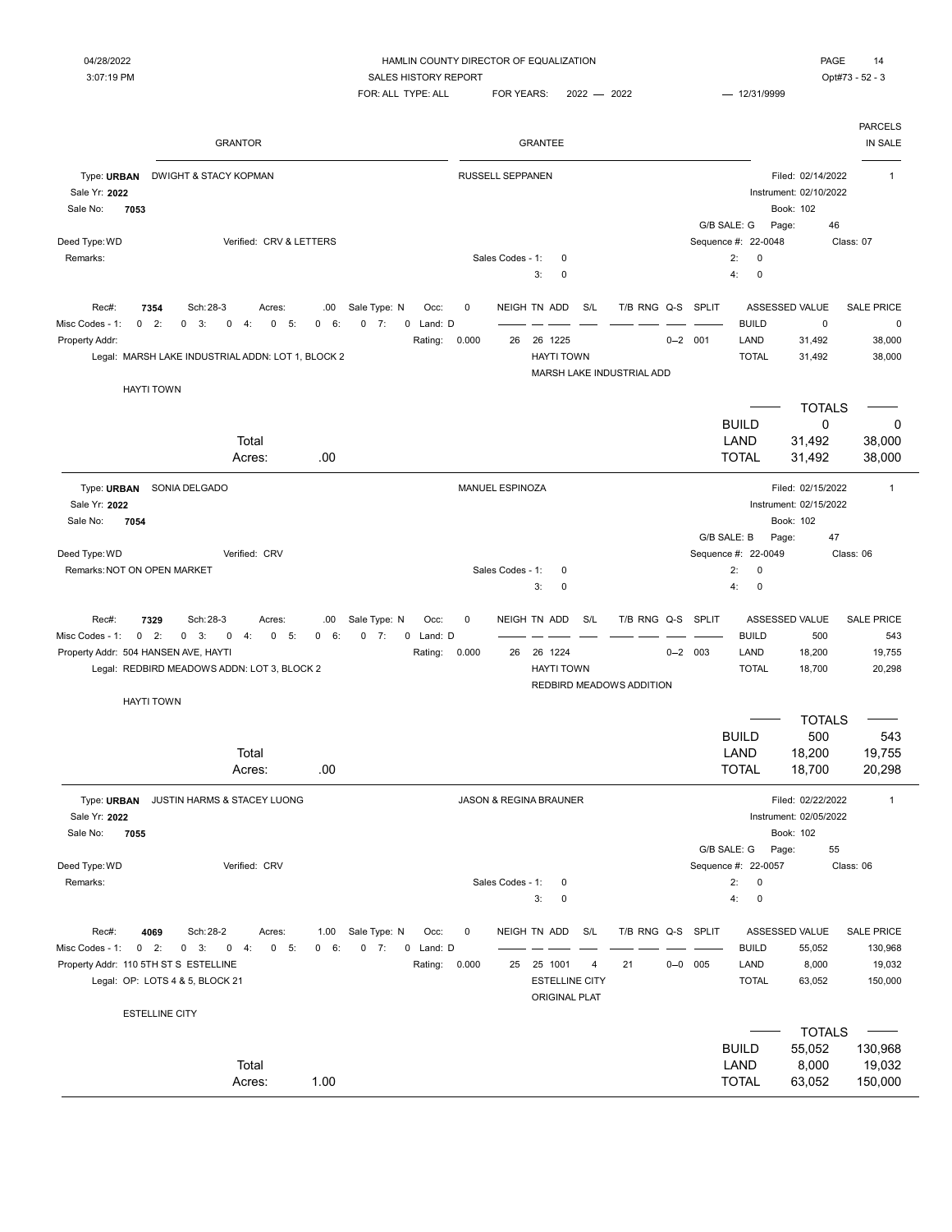$FOR: ALL TYPE: ALL \qquad FOR YEARS: \qquad 2022 \qquad \qquad 2022 \qquad \qquad 12/31/9999$ 

|                                                                   | <b>GRANTOR</b>                                                                                                                                             |                                                                                        |                                   | <b>GRANTEE</b>                                                                   |                         |                                                     |                                                          | <b>PARCELS</b><br>IN SALE                         |
|-------------------------------------------------------------------|------------------------------------------------------------------------------------------------------------------------------------------------------------|----------------------------------------------------------------------------------------|-----------------------------------|----------------------------------------------------------------------------------|-------------------------|-----------------------------------------------------|----------------------------------------------------------|---------------------------------------------------|
| Type: URBAN<br>Sale Yr: 2022<br>Sale No:<br>7053                  | <b>DWIGHT &amp; STACY KOPMAN</b>                                                                                                                           |                                                                                        | <b>RUSSELL SEPPANEN</b>           |                                                                                  |                         |                                                     | Filed: 02/14/2022<br>Instrument: 02/10/2022<br>Book: 102 | $\mathbf{1}$                                      |
| Deed Type: WD                                                     | Verified: CRV & LETTERS                                                                                                                                    |                                                                                        |                                   |                                                                                  |                         | G/B SALE: G<br>Sequence #: 22-0048                  | 46<br>Page:                                              | Class: 07                                         |
| Remarks:                                                          |                                                                                                                                                            |                                                                                        | Sales Codes - 1:                  | 0<br>3:<br>0                                                                     |                         | 2:<br>0<br>4:<br>0                                  |                                                          |                                                   |
| Rec#:<br>Misc Codes - 1:<br>Property Addr:                        | Sch: 28-3<br>7354<br>Acres:<br>$0$ 2:<br>$\mathbf 0$<br>3:<br>$\mathbf 0$<br>0<br>5:<br>4:                                                                 | Sale Type: N<br>.00<br>Occ:<br>6:<br>$0 \t 7:$<br>0 Land: D<br>0<br>Rating:            | 0<br>0.000<br>26                  | NEIGH TN ADD<br>S/L<br>26 1225                                                   | T/B RNG Q-S SPLIT       | <b>BUILD</b><br>LAND<br>$0 - 2$ 001                 | ASSESSED VALUE<br>$\pmb{0}$<br>31,492                    | <b>SALE PRICE</b><br>0<br>38,000                  |
|                                                                   | Legal: MARSH LAKE INDUSTRIAL ADDN: LOT 1, BLOCK 2<br><b>HAYTI TOWN</b>                                                                                     |                                                                                        |                                   | <b>HAYTI TOWN</b><br>MARSH LAKE INDUSTRIAL ADD                                   |                         | <b>TOTAL</b>                                        | 31,492                                                   | 38,000                                            |
|                                                                   |                                                                                                                                                            |                                                                                        |                                   |                                                                                  |                         | <b>BUILD</b>                                        | <b>TOTALS</b><br>$\mathbf 0$                             | 0                                                 |
|                                                                   | Total<br>Acres:                                                                                                                                            | .00                                                                                    |                                   |                                                                                  |                         | LAND<br><b>TOTAL</b>                                | 31,492<br>31,492                                         | 38,000<br>38,000                                  |
| Type: URBAN<br>Sale Yr: 2022                                      | SONIA DELGADO                                                                                                                                              |                                                                                        | MANUEL ESPINOZA                   |                                                                                  |                         |                                                     | Filed: 02/15/2022<br>Instrument: 02/15/2022              | $\mathbf{1}$                                      |
| Sale No:<br>7054<br>Deed Type: WD<br>Remarks: NOT ON OPEN MARKET  | Verified: CRV                                                                                                                                              |                                                                                        | Sales Codes - 1:                  | 0                                                                                |                         | G/B SALE: B<br>Sequence #: 22-0049<br>2:<br>0       | Book: 102<br>Page:<br>47                                 | Class: 06                                         |
|                                                                   |                                                                                                                                                            |                                                                                        |                                   | 3:<br>0                                                                          |                         | 4:<br>0                                             |                                                          |                                                   |
| Rec#:<br>Misc Codes - 1:<br>Property Addr: 504 HANSEN AVE, HAYTI  | 7329<br>Sch: 28-3<br>Acres:<br>$0$ 2:<br>$0 \quad 3:$<br>$\mathbf 0$<br>4:<br>$0 - 5:$<br>Legal: REDBIRD MEADOWS ADDN: LOT 3, BLOCK 2<br><b>HAYTI TOWN</b> | Sale Type: N<br>Occ:<br>.00<br>$0 \t 7:$<br>0 Land: D<br>$\mathbf{0}$<br>6:<br>Rating: | $\mathbf 0$<br>0.000<br>26        | NEIGH TN ADD<br>S/L<br>26 1224<br><b>HAYTI TOWN</b><br>REDBIRD MEADOWS ADDITION  | T/B RNG Q-S SPLIT       | <b>BUILD</b><br>$0 - 2$ 003<br>LAND<br><b>TOTAL</b> | ASSESSED VALUE<br>500<br>18,200<br>18,700                | <b>SALE PRICE</b><br>543<br>19,755<br>20,298      |
|                                                                   |                                                                                                                                                            |                                                                                        |                                   |                                                                                  |                         | <b>BUILD</b>                                        | <b>TOTALS</b>                                            |                                                   |
|                                                                   | Total                                                                                                                                                      |                                                                                        |                                   |                                                                                  |                         |                                                     |                                                          |                                                   |
|                                                                   | Acres:                                                                                                                                                     | .00                                                                                    |                                   |                                                                                  |                         | LAND<br><b>TOTAL</b>                                | 500<br>18,200<br>18,700                                  | 543<br>19,755<br>20,298                           |
| Type: URBAN<br>Sale Yr: 2022                                      | JUSTIN HARMS & STACEY LUONG                                                                                                                                |                                                                                        | <b>JASON &amp; REGINA BRAUNER</b> |                                                                                  |                         |                                                     | Filed: 02/22/2022<br>Instrument: 02/05/2022              | $\mathbf{1}$                                      |
| Sale No:<br>7055                                                  |                                                                                                                                                            |                                                                                        |                                   |                                                                                  |                         | G/B SALE: G                                         | Book: 102<br>Page:<br>55                                 |                                                   |
| Deed Type: WD<br>Remarks:                                         | Verified: CRV                                                                                                                                              |                                                                                        | Sales Codes - 1:                  | 0<br>3:<br>0                                                                     |                         | Sequence #: 22-0057<br>2:<br>0<br>4:<br>$\pmb{0}$   |                                                          | Class: 06                                         |
| Rec#:<br>Misc Codes - 1:<br>Property Addr: 110 5TH ST S ESTELLINE | Sch: 28-2<br>4069<br>Acres:<br>$0 \t 2$ :<br>$0 \t 3:$<br>$0 \t 4$ :<br>$0 - 5:$<br>Legal: OP: LOTS 4 & 5, BLOCK 21                                        | 1.00 Sale Type: N<br>Occ:<br>0 6:<br>$0 \t 7:$<br>0 Land: D<br>Rating: 0.000           | 0                                 | NEIGH TN ADD<br>S/L<br>25 25 1001<br>4<br><b>ESTELLINE CITY</b><br>ORIGINAL PLAT | T/B RNG Q-S SPLIT<br>21 | <b>BUILD</b><br>$0 - 0$ 005<br>LAND<br><b>TOTAL</b> | ASSESSED VALUE<br>55,052<br>8,000<br>63,052              | <b>SALE PRICE</b><br>130,968<br>19,032<br>150,000 |
|                                                                   | <b>ESTELLINE CITY</b>                                                                                                                                      |                                                                                        |                                   |                                                                                  |                         |                                                     | <b>TOTALS</b>                                            |                                                   |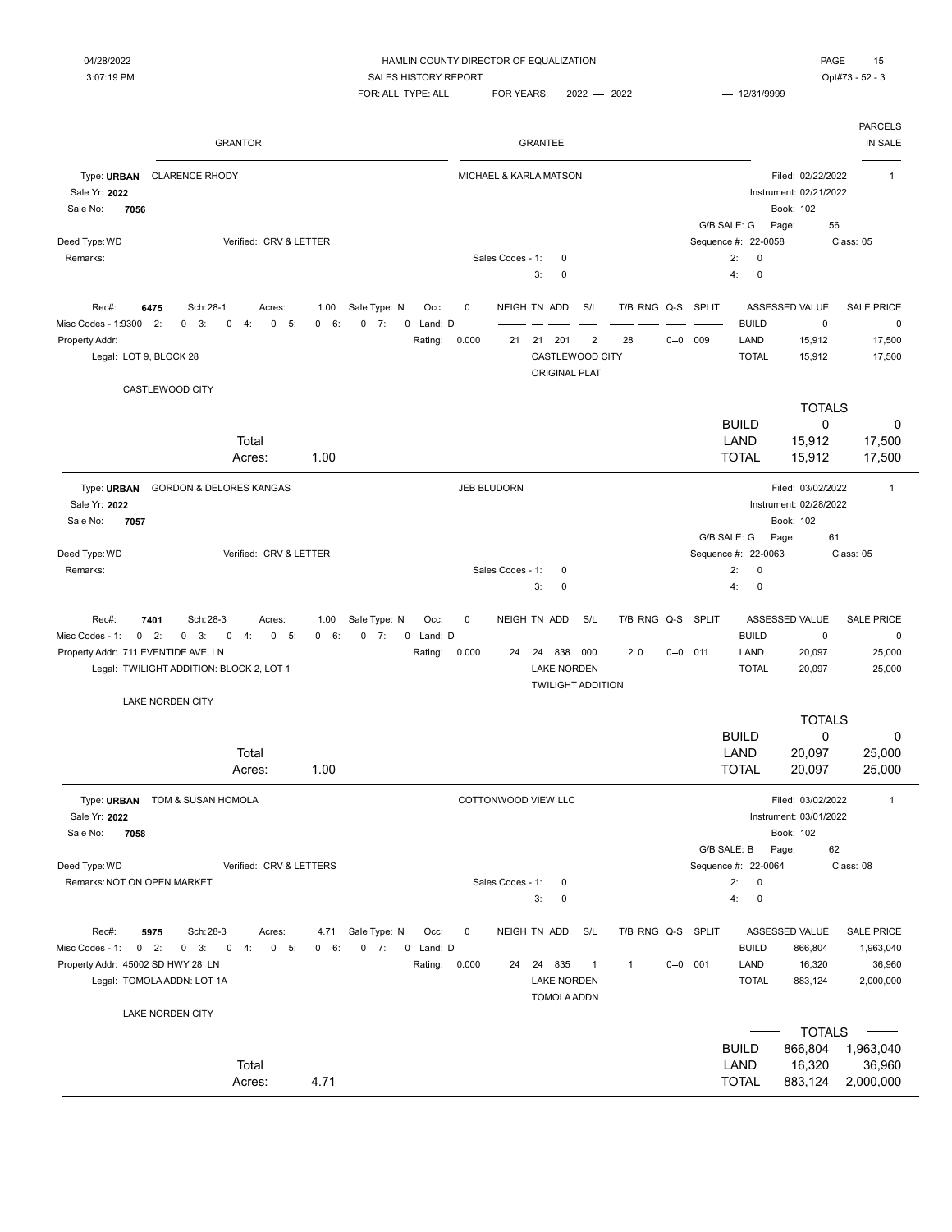| ו הר<br>c<br>c<br>г. |  |
|----------------------|--|

|                                                  | <b>GRANTOR</b>                                                                         |                          |                                                |           |                    | <b>GRANTEE</b>                   |                |                   |         |             |                                       |                                                          | <b>PARCELS</b><br>IN SALE      |
|--------------------------------------------------|----------------------------------------------------------------------------------------|--------------------------|------------------------------------------------|-----------|--------------------|----------------------------------|----------------|-------------------|---------|-------------|---------------------------------------|----------------------------------------------------------|--------------------------------|
| Type: URBAN<br>Sale Yr: 2022<br>Sale No:<br>7056 | <b>CLARENCE RHODY</b>                                                                  |                          |                                                |           |                    | MICHAEL & KARLA MATSON           |                |                   |         |             |                                       | Filed: 02/22/2022<br>Instrument: 02/21/2022<br>Book: 102 | $\mathbf 1$                    |
| Deed Type: WD                                    | Verified: CRV & LETTER                                                                 |                          |                                                |           |                    |                                  |                |                   |         |             | G/B SALE: G<br>Sequence #:<br>22-0058 | 56<br>Page:                                              | Class: 05                      |
| Remarks:                                         |                                                                                        |                          |                                                |           | Sales Codes - 1:   | 0                                |                |                   |         |             | 2:<br>0                               |                                                          |                                |
|                                                  |                                                                                        |                          |                                                |           |                    | 0<br>3:                          |                |                   |         |             | 4:<br>0                               |                                                          |                                |
| Rec#:<br>Misc Codes - 1:9300 2:                  | 6475<br>Sch: 28-1<br>Acres:<br>$0 \quad 3:$<br>$\mathbf 0$<br>4:<br>$\mathbf{0}$<br>5: | 1.00<br>6:<br>$^{\circ}$ | Sale Type: N<br>Occ:<br>$0 \t 7:$<br>0 Land: D | $\pmb{0}$ |                    | NEIGH TN ADD                     | S/L            | T/B RNG Q-S SPLIT |         |             | <b>BUILD</b>                          | ASSESSED VALUE<br>$\mathbf 0$                            | <b>SALE PRICE</b><br>$\pmb{0}$ |
| Property Addr:                                   |                                                                                        |                          | Rating:                                        | 0.000     | 21                 | 21<br>201                        | $\overline{2}$ | 28                |         | $0 - 0$ 009 | LAND                                  | 15,912                                                   | 17,500                         |
| Legal: LOT 9, BLOCK 28                           |                                                                                        |                          |                                                |           |                    | CASTLEWOOD CITY<br>ORIGINAL PLAT |                |                   |         |             | <b>TOTAL</b>                          | 15,912                                                   | 17,500                         |
|                                                  | CASTLEWOOD CITY                                                                        |                          |                                                |           |                    |                                  |                |                   |         |             |                                       |                                                          |                                |
|                                                  |                                                                                        |                          |                                                |           |                    |                                  |                |                   |         |             |                                       | <b>TOTALS</b>                                            |                                |
|                                                  |                                                                                        |                          |                                                |           |                    |                                  |                |                   |         |             | <b>BUILD</b>                          | 0                                                        | 0                              |
|                                                  | Total                                                                                  |                          |                                                |           |                    |                                  |                |                   |         |             | LAND                                  | 15,912                                                   | 17,500                         |
|                                                  | Acres:                                                                                 | 1.00                     |                                                |           |                    |                                  |                |                   |         |             | <b>TOTAL</b>                          | 15,912                                                   | 17,500                         |
| Type: URBAN<br>Sale Yr: 2022                     | <b>GORDON &amp; DELORES KANGAS</b>                                                     |                          |                                                |           | <b>JEB BLUDORN</b> |                                  |                |                   |         |             |                                       | Filed: 03/02/2022<br>Instrument: 02/28/2022              | $\mathbf{1}$                   |
| 7057<br>Sale No:                                 |                                                                                        |                          |                                                |           |                    |                                  |                |                   |         |             |                                       | Book: 102                                                |                                |
|                                                  |                                                                                        |                          |                                                |           |                    |                                  |                |                   |         |             | G/B SALE: G                           | Page:<br>61                                              |                                |
| Deed Type: WD                                    | Verified: CRV & LETTER                                                                 |                          |                                                |           |                    |                                  |                |                   |         |             | Sequence #: 22-0063                   |                                                          | Class: 05                      |
| Remarks:                                         |                                                                                        |                          |                                                |           | Sales Codes - 1:   | 0<br>3:<br>0                     |                |                   |         |             | 2:<br>0<br>$\pmb{0}$<br>4:            |                                                          |                                |
|                                                  |                                                                                        |                          |                                                |           |                    |                                  |                |                   |         |             |                                       |                                                          |                                |
| Rec#:                                            | Sch: 28-3<br>7401<br>Acres:                                                            | 1.00                     | Sale Type: N<br>Occ:                           | 0         |                    | NEIGH TN ADD                     | S/L            | T/B RNG Q-S       |         | SPLIT       |                                       | ASSESSED VALUE                                           | <b>SALE PRICE</b>              |
| Misc Codes - 1:<br>$0$ 2:                        | 5:<br>$0 \quad 3:$<br>0<br>4:<br>0                                                     | $\mathbf{0}$<br>6:       | 0 Land: D<br>$0 \t 7:$                         |           |                    |                                  |                |                   |         |             | <b>BUILD</b>                          | $\mathbf 0$                                              | $\pmb{0}$                      |
| Property Addr: 711 EVENTIDE AVE, LN              |                                                                                        |                          | Rating:                                        | 0.000     | 24                 | 838<br>24                        | 000            | 20                | $0 - 0$ | 011         | LAND                                  | 20,097                                                   | 25,000                         |
|                                                  | Legal: TWILIGHT ADDITION: BLOCK 2, LOT 1                                               |                          |                                                |           |                    | <b>LAKE NORDEN</b>               |                |                   |         |             | <b>TOTAL</b>                          | 20,097                                                   | 25,000                         |
|                                                  | <b>LAKE NORDEN CITY</b>                                                                |                          |                                                |           |                    | <b>TWILIGHT ADDITION</b>         |                |                   |         |             |                                       |                                                          |                                |
|                                                  |                                                                                        |                          |                                                |           |                    |                                  |                |                   |         |             |                                       | <b>TOTALS</b>                                            |                                |
|                                                  |                                                                                        |                          |                                                |           |                    |                                  |                |                   |         |             | <b>BUILD</b>                          | 0                                                        | 0                              |
|                                                  | Total                                                                                  |                          |                                                |           |                    |                                  |                |                   |         |             | LAND                                  | 20,097                                                   | 25,000                         |
|                                                  | Acres:                                                                                 | 1.00                     |                                                |           |                    |                                  |                |                   |         |             | <b>TOTAL</b>                          | 20,097                                                   | 25,000                         |
| Type: URBAN                                      | TOM & SUSAN HOMOLA                                                                     |                          |                                                |           |                    | COTTONWOOD VIEW LLC              |                |                   |         |             |                                       | Filed: 03/02/2022                                        | $\mathbf{1}$                   |
| Sale Yr: 2022                                    |                                                                                        |                          |                                                |           |                    |                                  |                |                   |         |             |                                       | Instrument: 03/01/2022                                   |                                |
| Sale No:<br>7058                                 |                                                                                        |                          |                                                |           |                    |                                  |                |                   |         |             |                                       | Book: 102                                                |                                |
|                                                  |                                                                                        |                          |                                                |           |                    |                                  |                |                   |         |             | G/B SALE: B                           | 62<br>Page:                                              |                                |
| Deed Type: WD                                    | Verified: CRV & LETTERS                                                                |                          |                                                |           |                    |                                  |                |                   |         |             | Sequence #: 22-0064                   |                                                          | Class: 08                      |
| Remarks: NOT ON OPEN MARKET                      |                                                                                        |                          |                                                |           | Sales Codes - 1:   | 0                                |                |                   |         |             | 2:<br>0                               |                                                          |                                |
|                                                  |                                                                                        |                          |                                                |           |                    | 3:<br>0                          |                |                   |         |             | 4:<br>$\pmb{0}$                       |                                                          |                                |
| Rec#:                                            | 5975<br>Sch: 28-3<br>Acres:                                                            | 4.71                     | Sale Type: N<br>Occ:                           | 0         |                    | NEIGH TN ADD                     | S/L            | T/B RNG Q-S SPLIT |         |             |                                       | ASSESSED VALUE                                           | <b>SALE PRICE</b>              |
| $0$ 2:<br>Misc Codes - 1:                        | $0 \t 3:$<br>$\mathbf 0$<br>$-4$ :<br>$0 - 5$ :                                        | 0 6:                     | $0 \t 7:$<br>0 Land: D                         |           |                    |                                  |                |                   |         |             | <b>BUILD</b>                          | 866,804                                                  | 1,963,040                      |
| Property Addr: 45002 SD HWY 28 LN                |                                                                                        |                          | Rating:                                        | 0.000     | 24                 | 835<br>24                        | $\overline{1}$ | 1                 | $0 - 0$ | 001         | LAND                                  | 16,320                                                   | 36,960                         |
|                                                  | Legal: TOMOLA ADDN: LOT 1A                                                             |                          |                                                |           |                    | <b>LAKE NORDEN</b>               |                |                   |         |             | <b>TOTAL</b>                          | 883,124                                                  | 2,000,000                      |
|                                                  |                                                                                        |                          |                                                |           |                    | <b>TOMOLA ADDN</b>               |                |                   |         |             |                                       |                                                          |                                |
|                                                  | <b>LAKE NORDEN CITY</b>                                                                |                          |                                                |           |                    |                                  |                |                   |         |             |                                       |                                                          |                                |
|                                                  |                                                                                        |                          |                                                |           |                    |                                  |                |                   |         |             |                                       | <b>TOTALS</b>                                            |                                |
|                                                  | Total                                                                                  |                          |                                                |           |                    |                                  |                |                   |         |             | <b>BUILD</b><br>LAND                  | 866,804                                                  | 1,963,040                      |
|                                                  | Acres:                                                                                 | 4.71                     |                                                |           |                    |                                  |                |                   |         |             | <b>TOTAL</b>                          | 16,320<br>883,124                                        | 36,960<br>2,000,000            |
|                                                  |                                                                                        |                          |                                                |           |                    |                                  |                |                   |         |             |                                       |                                                          |                                |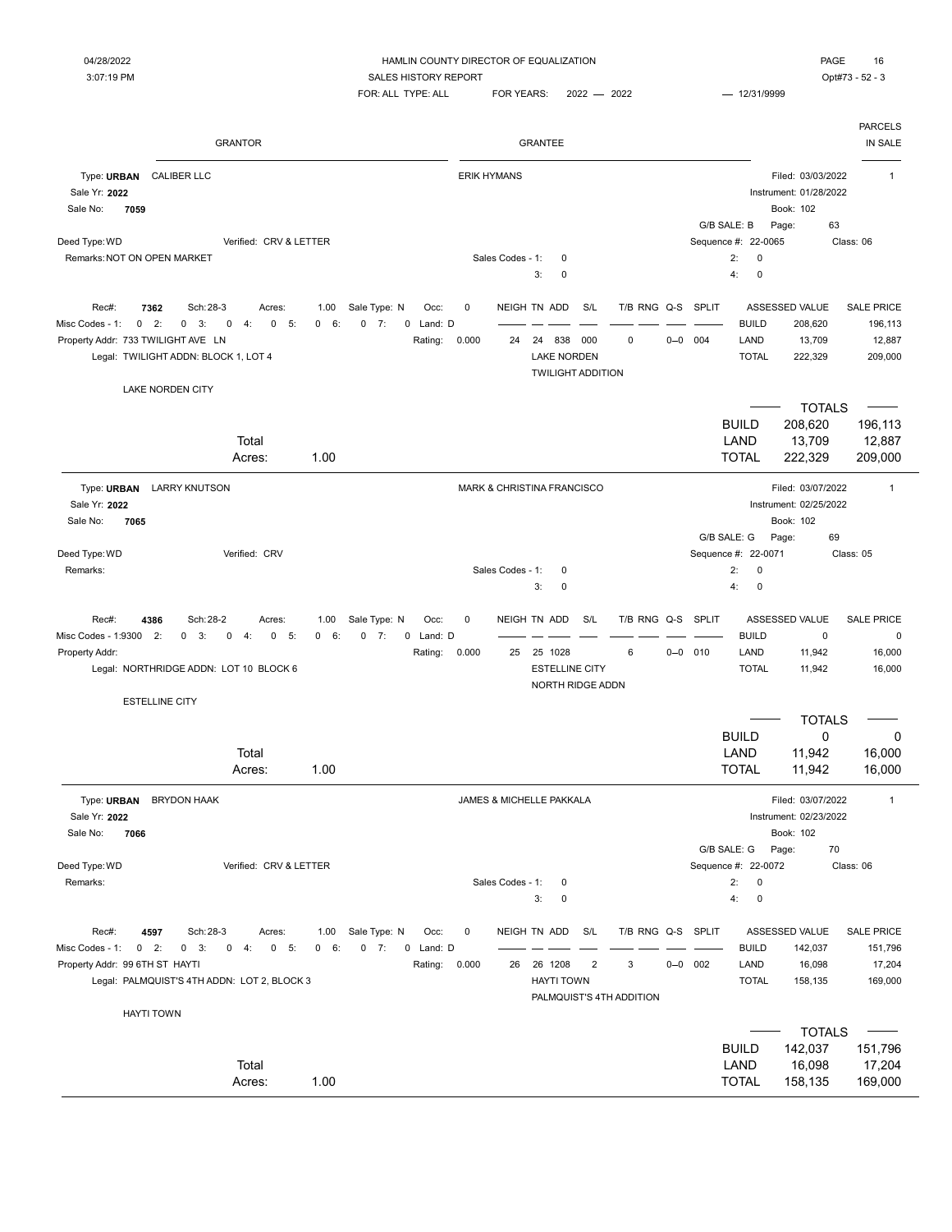PARCELS GRANTOR GRANTEE IN SALE Type: URBAN CALIBER LLC **The CALIBER LLC The CALIBER LLC The CALIBER LLC The CALIBER LLC Filed: 03/03/2022** 1 Sale Yr: **2022** Instrument: 01/28/2022 Sale No: **7059** Book: 102 G/B SALE: B Page: 63 Deed Type: WD Class: 06 Class: 06 Class: 06 Class: 06 Class: 06 Class: 06 Class: 06 Class: 06 Class: 06 Class: 06 Remarks:NOT ON OPEN MARKET Sales Codes - 1: 0 2: 0 3: 0 4: 0 Rec#: 7362 Sch:28-3 Acres: 1.00 Sale Type: N Occ: 0 NEIGH TN ADD S/L T/B RNG Q-S SPLIT ASSESSED VALUE SALE PRICE Misc Codes - 1: 0 2: 0 3: 0 4: 0 5: 0 6: 0 7: 0 Land: D = = = = = = = = = = = = BUILD 208,620 196,113 Property Addr: 733 TWILIGHT AVE LN **Rating: 0.000** 24 24 838 000 0 0 0-0 004 LAND 13,709 12,887 Legal: TWILIGHT ADDN: BLOCK 1, LOT 4 LAKE NORDEN TOTAL 222,329 209,000 TWILIGHT ADDITION LAKE NORDEN CITY TOTALS  $\overline{\phantom{a}}$ BUILD 208,620 196,113 Total LAND 13,709 12,887 Acres: 1.00 TOTAL 222,329 209,000 Type: URBAN LARRY KNUTSON **Internal and ACCONNATION** MARK & CHRISTINA FRANCISCO Filed: 03/07/2022 1 Sale Yr: **2022** Instrument: 02/25/2022 Sale No: **7065** Book: 102 G/B SALE: G Page: 69 Deed Type: WD Class: 05 Netrified: CRV Class: 05 Netrified: CRV Sequence #: 22-0071 Class: 05 Remarks: Sales Codes - 1: 0 2: 0 3: 0 4: 0 Rec#: 4386 Sch:28-2 Acres: 1.00 Sale Type: N Occ: 0 NEIGH TN ADD S/L T/B RNG Q-S SPLIT ASSESSED VALUE SALE PRICE Misc Codes - 1:9300 2: 0 3: 0 4: 0 5: 0 6: 0 7: 0 Land: D = = = = = = = = = = = = = BUILD 0 0 0 0 Property Addr: Rating: 0.000 25 6 0 0 010 25 1028 LAND 11,942 16,000 Legal: NORTHRIDGE ADDN: LOT 10 BLOCK 6 CONTROLL 11,942 16,000 NORTH RIDGE ADDN ESTELLINE CITY TOTALS BUILD 0 0 Total LAND 11,942 16,000 Acres: 1.00 TOTAL 11,942 16,000 Type: URBAN BRYDON HAAK **The State of the CONTACT ACCOMPT SET** JAMES & MICHELLE PAKKALA FILED TO THE Filed: 03/07/2022 1 Sale Yr: **2022** Instrument: 02/23/2022 Sale No: **7066** Book: 102 G/B SALE: G Page: 70 Deed Type: WD Class: 06 CRV & LETTER CRV & LETTER Sequence #: 22-0072 Class: 06 Remarks: Sales Codes - 1: 0 2: 0 3: 0 4: 0 Rec#: 4597 Sch:28-3 Acres: 1.00 Sale Type: N Occ: 0 NEIGH TN ADD S/L T/B RNG Q-S SPLIT ASSESSED VALUE SALE PRICE Misc Codes - 1: 0 2: 0 3: 0 4: 0 5: 0 6: 0 7: 0 Land: D –––––––––––––––––––––––––– BUILD 142,037 151,796 Property Addr: 99 6TH ST HAYTI **Rating: 0.000** 26 26 1208 2 3 0-0 002 LAND 16,098 17,204 Legal: PALMQUIST'S 4TH ADDN: LOT 2, BLOCK 3 **HAYTI TOWN** HAYTI TOWN TOTAL 158,135 169,000 PALMQUIST'S 4TH ADDITION HAYTI TOWN  $\sim$ TOTALS  $\overline{\phantom{0}}$ BUILD 142,037 151,796 Total LAND 16,098 17,204 Acres: 1.00 TOTAL 158,135 169,000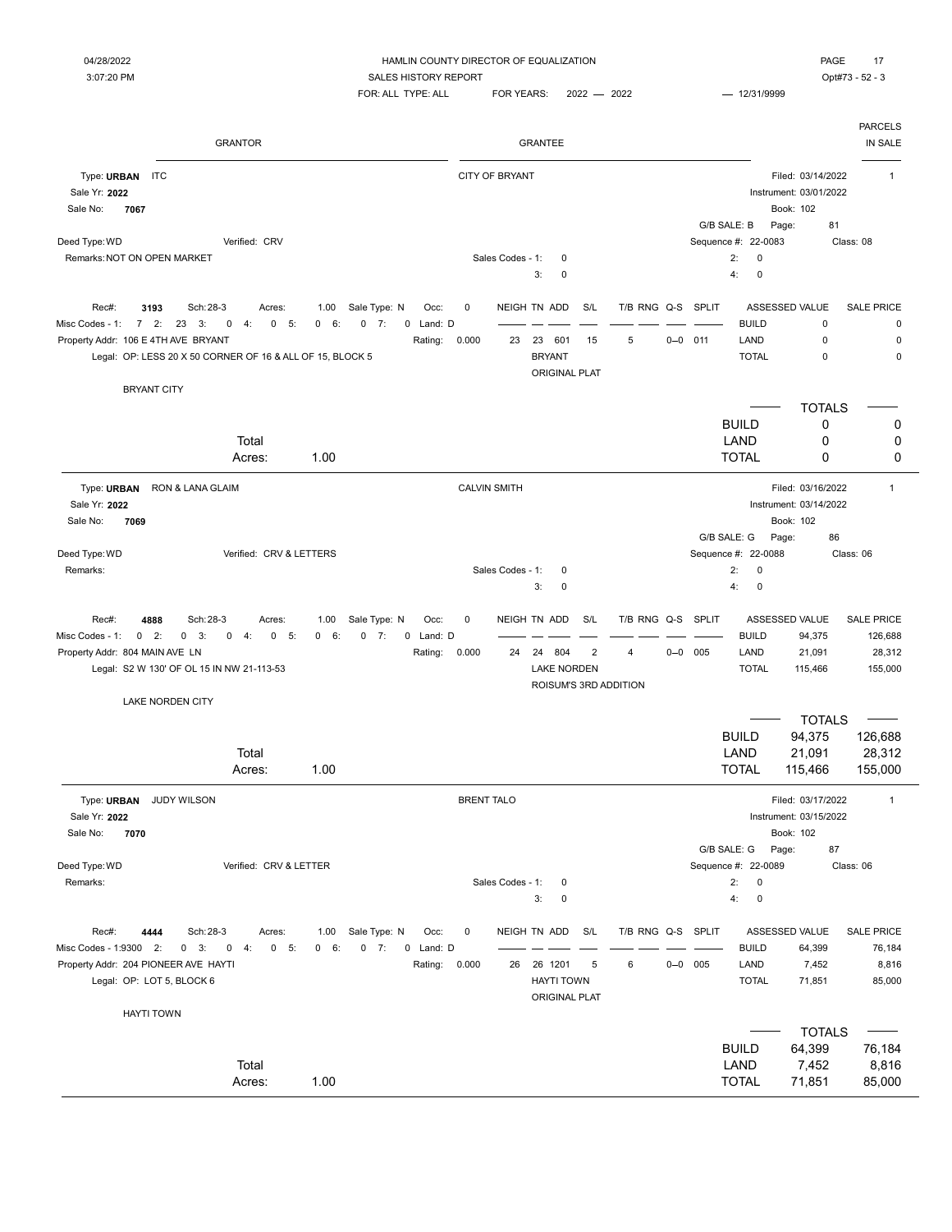## 04/28/2022 **Example 2012 THAMLIN COUNTY DIRECTOR OF EQUALIZATION PAGE** 17

3:07:20 PM SALES HISTORY REPORT SALES AND SALES HISTORY REPORT  $FOR: ALL$  TYPE: ALL  $FOR$  YEARS:  $2022 - 2022$   $- 12/31/9999$ 

|                                                                              | <b>GRANTOR</b>                                                                                                                    |                                                         |                              |                      |                       | <b>GRANTEE</b>                                                           |                       |                        |             |                                          |                                                          | <b>PARCELS</b><br>IN SALE                         |
|------------------------------------------------------------------------------|-----------------------------------------------------------------------------------------------------------------------------------|---------------------------------------------------------|------------------------------|----------------------|-----------------------|--------------------------------------------------------------------------|-----------------------|------------------------|-------------|------------------------------------------|----------------------------------------------------------|---------------------------------------------------|
| Type: URBAN<br><b>ITC</b><br>Sale Yr: 2022<br>Sale No:<br>7067               |                                                                                                                                   |                                                         |                              |                      | <b>CITY OF BRYANT</b> |                                                                          |                       |                        |             |                                          | Filed: 03/14/2022<br>Instrument: 03/01/2022<br>Book: 102 | $\mathbf{1}$                                      |
|                                                                              |                                                                                                                                   |                                                         |                              |                      |                       |                                                                          |                       |                        |             | G/B SALE: B                              | Page:<br>81                                              |                                                   |
| Deed Type: WD<br>Remarks: NOT ON OPEN MARKET                                 | Verified: CRV                                                                                                                     |                                                         |                              |                      | Sales Codes - 1:      | $\mathbf 0$                                                              |                       |                        |             | Sequence #: 22-0083<br>2:<br>$\mathbf 0$ |                                                          | Class: 08                                         |
|                                                                              |                                                                                                                                   |                                                         |                              |                      |                       | 3:<br>$\mathbf 0$                                                        |                       |                        |             | 4:<br>$\mathbf 0$                        |                                                          |                                                   |
| Rec#:<br>3193                                                                | Sch: 28-3<br>Acres:                                                                                                               | Sale Type: N<br>1.00                                    | Occ:                         | 0                    |                       | NEIGH TN ADD                                                             | S/L                   | T/B RNG Q-S SPLIT      |             |                                          | ASSESSED VALUE                                           | <b>SALE PRICE</b>                                 |
| 72:<br>Misc Codes - 1:<br>Property Addr: 106 E 4TH AVE BRYANT                | 23<br>0<br>5:<br>3:<br>4:<br>$\mathbf 0$                                                                                          | 0<br>6:<br>$0 \t 7:$                                    | 0 Land: D                    |                      |                       | 601                                                                      |                       | 5                      | $0 - 0$ 011 | <b>BUILD</b><br>LAND                     | $\mathbf 0$<br>$\mathsf 0$                               | 0<br>0                                            |
|                                                                              |                                                                                                                                   |                                                         | Rating:                      | 0.000                | 23                    | 23<br><b>BRYANT</b>                                                      | 15                    |                        |             | <b>TOTAL</b>                             | 0                                                        | $\mathbf 0$                                       |
|                                                                              | Legal: OP: LESS 20 X 50 CORNER OF 16 & ALL OF 15, BLOCK 5                                                                         |                                                         |                              |                      |                       | <b>ORIGINAL PLAT</b>                                                     |                       |                        |             |                                          |                                                          |                                                   |
| <b>BRYANT CITY</b>                                                           |                                                                                                                                   |                                                         |                              |                      |                       |                                                                          |                       |                        |             |                                          |                                                          |                                                   |
|                                                                              |                                                                                                                                   |                                                         |                              |                      |                       |                                                                          |                       |                        |             |                                          | <b>TOTALS</b>                                            |                                                   |
|                                                                              |                                                                                                                                   |                                                         |                              |                      |                       |                                                                          |                       |                        |             | <b>BUILD</b><br>LAND                     | 0                                                        | 0                                                 |
|                                                                              | Total                                                                                                                             | 1.00                                                    |                              |                      |                       |                                                                          |                       |                        |             | <b>TOTAL</b>                             | 0<br>0                                                   | 0<br>0                                            |
|                                                                              | Acres:                                                                                                                            |                                                         |                              |                      |                       |                                                                          |                       |                        |             |                                          |                                                          |                                                   |
| Type: URBAN<br>Sale Yr: 2022                                                 | RON & LANA GLAIM                                                                                                                  |                                                         |                              | <b>CALVIN SMITH</b>  |                       |                                                                          |                       |                        |             |                                          | Filed: 03/16/2022<br>Instrument: 03/14/2022              | $\mathbf{1}$                                      |
| Sale No:<br>7069                                                             |                                                                                                                                   |                                                         |                              |                      |                       |                                                                          |                       |                        |             |                                          | Book: 102                                                |                                                   |
|                                                                              |                                                                                                                                   |                                                         |                              |                      |                       |                                                                          |                       |                        |             | G/B SALE: G                              | Page:<br>86                                              |                                                   |
| Deed Type: WD                                                                | Verified: CRV & LETTERS                                                                                                           |                                                         |                              |                      |                       |                                                                          |                       |                        |             | Sequence #: 22-0088                      |                                                          | Class: 06                                         |
| Remarks:                                                                     |                                                                                                                                   |                                                         |                              |                      | Sales Codes - 1:      | 0                                                                        |                       |                        |             | 2:<br>$\mathbf 0$                        |                                                          |                                                   |
|                                                                              |                                                                                                                                   |                                                         |                              |                      |                       | 3:<br>$\mathbf 0$                                                        |                       |                        |             | 4:<br>$\mathbf 0$                        |                                                          |                                                   |
| Rec#:<br>4888<br>Misc Codes - 1:<br>$0$ 2:<br>Property Addr: 804 MAIN AVE LN | Sch: 28-3<br>Acres:<br>$0 \quad 3:$<br>0<br>4:<br>0<br>5:<br>Legal: S2 W 130' OF OL 15 IN NW 21-113-53<br><b>LAKE NORDEN CITY</b> | Sale Type: N<br>1.00<br>$0 \t 7:$<br>$\mathbf{0}$<br>6: | Occ:<br>0 Land: D<br>Rating: | $\mathbf 0$<br>0.000 | 24                    | NEIGH TN ADD<br>24<br>804<br><b>LAKE NORDEN</b><br>ROISUM'S 3RD ADDITION | S/L<br>$\overline{2}$ | T/B RNG Q-S SPLIT<br>4 | $0 - 0$ 005 | <b>BUILD</b><br>LAND<br><b>TOTAL</b>     | ASSESSED VALUE<br>94,375<br>21,091<br>115,466            | <b>SALE PRICE</b><br>126,688<br>28,312<br>155,000 |
|                                                                              |                                                                                                                                   |                                                         |                              |                      |                       |                                                                          |                       |                        |             |                                          | <b>TOTALS</b>                                            |                                                   |
|                                                                              |                                                                                                                                   |                                                         |                              |                      |                       |                                                                          |                       |                        |             | <b>BUILD</b>                             | 94,375                                                   | 126,688                                           |
|                                                                              | Total                                                                                                                             |                                                         |                              |                      |                       |                                                                          |                       |                        |             | LAND                                     | 21,091                                                   | 28,312                                            |
|                                                                              | Acres:                                                                                                                            | 1.00                                                    |                              |                      |                       |                                                                          |                       |                        |             | <b>TOTAL</b>                             | 115,466                                                  | 155,000                                           |
|                                                                              |                                                                                                                                   |                                                         |                              |                      |                       |                                                                          |                       |                        |             |                                          |                                                          |                                                   |
| Type: URBAN<br>Sale Yr: 2022                                                 | <b>JUDY WILSON</b>                                                                                                                |                                                         |                              | <b>BRENT TALO</b>    |                       |                                                                          |                       |                        |             |                                          | Filed: 03/17/2022<br>Instrument: 03/15/2022              | $\mathbf{1}$                                      |
| Sale No:<br>7070                                                             |                                                                                                                                   |                                                         |                              |                      |                       |                                                                          |                       |                        |             |                                          | Book: 102                                                |                                                   |
|                                                                              |                                                                                                                                   |                                                         |                              |                      |                       |                                                                          |                       |                        |             | G/B SALE: G                              | Page:<br>87                                              |                                                   |
| Deed Type: WD                                                                | Verified: CRV & LETTER                                                                                                            |                                                         |                              |                      |                       |                                                                          |                       |                        |             | Sequence #: 22-0089                      |                                                          | Class: 06                                         |
| Remarks:                                                                     |                                                                                                                                   |                                                         |                              |                      | Sales Codes - 1:      | 0<br>3:<br>$\mathsf 0$                                                   |                       |                        |             | 2:<br>$\pmb{0}$<br>4:<br>$\pmb{0}$       |                                                          |                                                   |
|                                                                              |                                                                                                                                   |                                                         |                              |                      |                       |                                                                          |                       |                        |             |                                          |                                                          |                                                   |
| Rec#:<br>4444                                                                | Sch: 28-3<br>Acres:                                                                                                               | 1.00 Sale Type: N                                       | Occ:                         | 0                    |                       | NEIGH TN ADD                                                             | S/L                   | T/B RNG Q-S SPLIT      |             |                                          | ASSESSED VALUE                                           | <b>SALE PRICE</b>                                 |
| Misc Codes - 1:9300 2:                                                       | $0 \quad 3:$<br>$0 \t 4$ :<br>$0 - 5$ :                                                                                           | 0 6:<br>$0 \t 7:$                                       | 0 Land: D                    |                      |                       |                                                                          |                       |                        |             | <b>BUILD</b>                             | 64,399                                                   | 76,184                                            |
| Property Addr: 204 PIONEER AVE HAYTI                                         |                                                                                                                                   |                                                         | Rating: 0.000                |                      |                       | 26 26 1201                                                               | 5                     | 6                      | $0 - 0$ 005 | LAND                                     | 7,452                                                    | 8,816                                             |
| Legal: OP: LOT 5, BLOCK 6                                                    |                                                                                                                                   |                                                         |                              |                      |                       | <b>HAYTI TOWN</b>                                                        |                       |                        |             | <b>TOTAL</b>                             | 71,851                                                   | 85,000                                            |
|                                                                              |                                                                                                                                   |                                                         |                              |                      |                       | <b>ORIGINAL PLAT</b>                                                     |                       |                        |             |                                          |                                                          |                                                   |
| <b>HAYTI TOWN</b>                                                            |                                                                                                                                   |                                                         |                              |                      |                       |                                                                          |                       |                        |             |                                          |                                                          |                                                   |
|                                                                              |                                                                                                                                   |                                                         |                              |                      |                       |                                                                          |                       |                        |             |                                          | <b>TOTALS</b>                                            |                                                   |
|                                                                              |                                                                                                                                   |                                                         |                              |                      |                       |                                                                          |                       |                        |             | <b>BUILD</b>                             | 64,399                                                   | 76,184                                            |
|                                                                              | Total                                                                                                                             |                                                         |                              |                      |                       |                                                                          |                       |                        |             | LAND                                     | 7,452                                                    | 8,816                                             |
|                                                                              | Acres:                                                                                                                            | 1.00                                                    |                              |                      |                       |                                                                          |                       |                        |             | <b>TOTAL</b>                             | 71,851                                                   | 85,000                                            |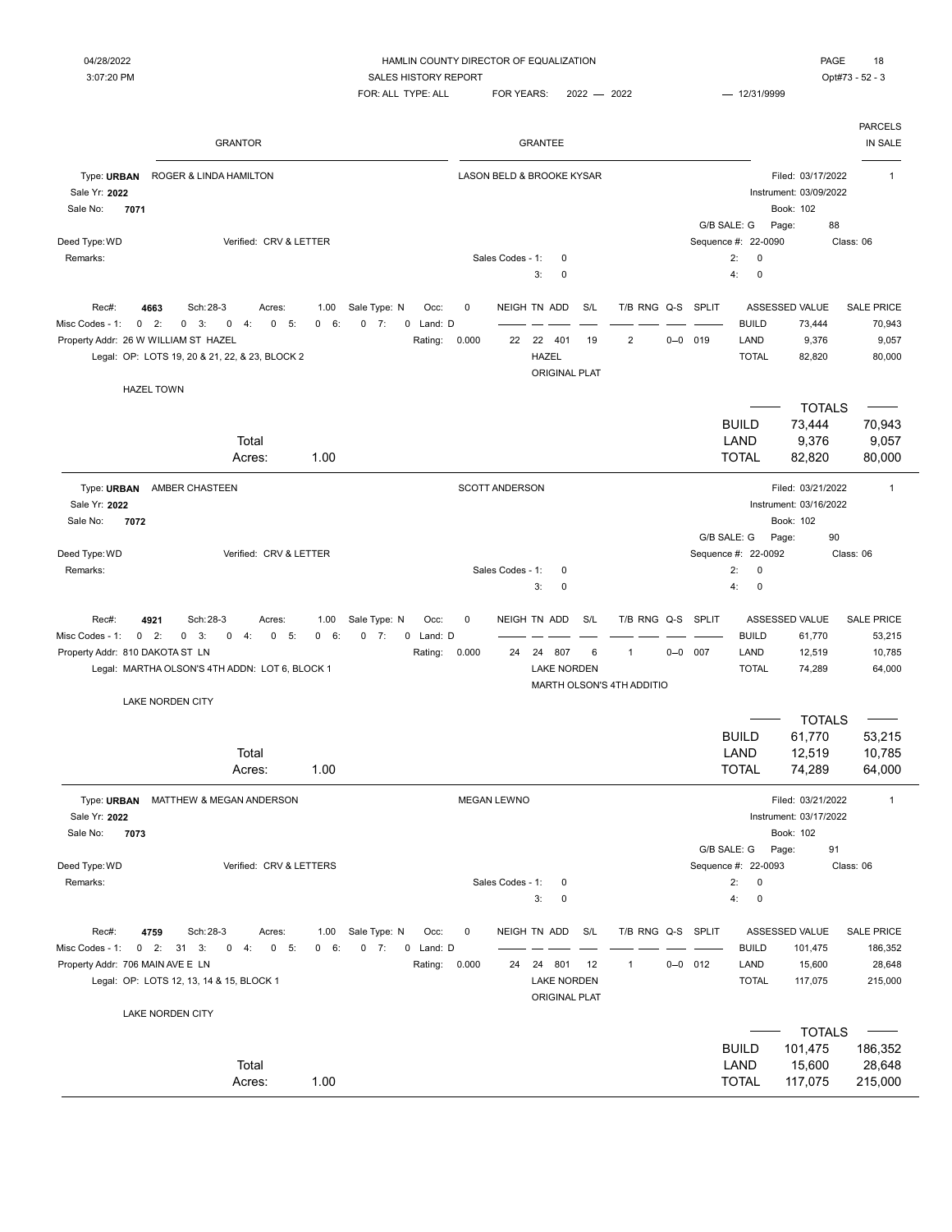|                                                                                                                                                                                               | <b>GRANTOR</b>                                   |                            |                                                           |                      |                    | <b>GRANTEE</b>                                                 |           |                                                          |         |                     |                                                                  |                                                                         | <b>PARCELS</b><br>IN SALE                         |
|-----------------------------------------------------------------------------------------------------------------------------------------------------------------------------------------------|--------------------------------------------------|----------------------------|-----------------------------------------------------------|----------------------|--------------------|----------------------------------------------------------------|-----------|----------------------------------------------------------|---------|---------------------|------------------------------------------------------------------|-------------------------------------------------------------------------|---------------------------------------------------|
| Type: URBAN<br>ROGER & LINDA HAMILTON<br>Sale Yr: 2022<br>Sale No:<br>7071                                                                                                                    |                                                  |                            |                                                           |                      |                    | <b>LASON BELD &amp; BROOKE KYSAR</b>                           |           |                                                          |         |                     | G/B SALE: G                                                      | Filed: 03/17/2022<br>Instrument: 03/09/2022<br>Book: 102<br>88<br>Page: | $\mathbf{1}$                                      |
| Deed Type: WD<br>Remarks:                                                                                                                                                                     | Verified: CRV & LETTER                           |                            |                                                           |                      | Sales Codes - 1:   | $\mathbf 0$<br>3:<br>0                                         |           |                                                          |         |                     | Sequence #: 22-0090<br>2:<br>0<br>$\mathbf 0$<br>4:              |                                                                         | Class: 06                                         |
| Rec#:<br>Sch: 28-3<br>4663<br>Misc Codes - 1:<br>$\mathbf{0}$<br>2:<br>0<br>3:<br>Property Addr: 26 W WILLIAM ST HAZEL<br>Legal: OP: LOTS 19, 20 & 21, 22, & 23, BLOCK 2<br><b>HAZEL TOWN</b> | Acres:<br>4:<br>$\mathbf 0$<br>5:<br>$\mathbf 0$ | 1.00<br>$\mathbf 0$<br>6:  | Sale Type: N<br>Occ:<br>$0 \t 7:$<br>0 Land: D<br>Rating: | 0<br>0.000           | 22                 | NEIGH TN ADD<br>22 401<br><b>HAZEL</b><br><b>ORIGINAL PLAT</b> | S/L<br>19 | T/B RNG Q-S SPLIT<br>$\overline{2}$                      | $0 - 0$ | 019                 | <b>BUILD</b><br>LAND<br><b>TOTAL</b>                             | ASSESSED VALUE<br>73,444<br>9,376<br>82,820                             | <b>SALE PRICE</b><br>70,943<br>9,057<br>80,000    |
|                                                                                                                                                                                               | Total<br>Acres:                                  | 1.00                       |                                                           |                      |                    |                                                                |           |                                                          |         |                     | <b>BUILD</b><br>LAND<br><b>TOTAL</b>                             | <b>TOTALS</b><br>73,444<br>9,376<br>82,820                              | 70,943<br>9,057<br>80,000                         |
| Type: URBAN<br>AMBER CHASTEEN<br>Sale Yr: 2022<br>7072<br>Sale No:                                                                                                                            |                                                  |                            |                                                           |                      | SCOTT ANDERSON     |                                                                |           |                                                          |         |                     |                                                                  | Filed: 03/21/2022<br>Instrument: 03/16/2022<br>Book: 102                | $\mathbf{1}$                                      |
| Deed Type: WD<br>Remarks:                                                                                                                                                                     | Verified: CRV & LETTER                           |                            |                                                           |                      | Sales Codes - 1:   | 0<br>3:<br>$\mathbf 0$                                         |           |                                                          |         | Sequence #:         | G/B SALE: G<br>22-0092<br>2:<br>0<br>$\pmb{0}$<br>4:             | 90<br>Page:                                                             | Class: 06                                         |
| Sch: 28-3<br>Rec#:<br>4921<br>$0$ 2:<br>Misc Codes - 1:<br>$0 \quad 3:$<br>Property Addr: 810 DAKOTA ST LN<br>Legal: MARTHA OLSON'S 4TH ADDN: LOT 6, BLOCK 1                                  | Acres:<br>$\mathbf 0$<br>$-5:$<br>$0 \quad 4:$   | 1.00<br>6:<br>$\mathbf{0}$ | Sale Type: N<br>Occ:<br>$0 \t 7:$<br>0 Land: D<br>Rating: | $\mathbf 0$<br>0.000 | 24                 | NEIGH TN ADD<br>24<br>807<br><b>LAKE NORDEN</b>                | S/L<br>6  | T/B RNG Q-S<br>$\mathbf{1}$<br>MARTH OLSON'S 4TH ADDITIO | $0 - 0$ | <b>SPLIT</b><br>007 | <b>BUILD</b><br>LAND<br><b>TOTAL</b>                             | ASSESSED VALUE<br>61,770<br>12,519<br>74,289                            | <b>SALE PRICE</b><br>53,215<br>10,785<br>64,000   |
| <b>LAKE NORDEN CITY</b>                                                                                                                                                                       | Total<br>Acres:                                  | 1.00                       |                                                           |                      |                    |                                                                |           |                                                          |         |                     | <b>BUILD</b><br>LAND<br><b>TOTAL</b>                             | <b>TOTALS</b><br>61,770<br>12,519<br>74,289                             | 53,215<br>10,785<br>64,000                        |
| MATTHEW & MEGAN ANDERSON<br>Type: URBAN<br>Sale Yr: 2022<br>7073<br>Sale No:                                                                                                                  |                                                  |                            |                                                           |                      | <b>MEGAN LEWNO</b> |                                                                |           |                                                          |         |                     |                                                                  | Filed: 03/21/2022<br>Instrument: 03/17/2022<br>Book: 102                | $\mathbf{1}$                                      |
| Deed Type: WD<br>Remarks:                                                                                                                                                                     | Verified: CRV & LETTERS                          |                            |                                                           |                      | Sales Codes - 1:   | 0<br>3:<br>$\pmb{0}$                                           |           |                                                          |         |                     | G/B SALE: G<br>Sequence #: 22-0093<br>2:<br>0<br>$\pmb{0}$<br>4: | Page:<br>91                                                             | Class: 06                                         |
| Rec#:<br>4759<br>Sch: 28-3<br>$0$ 2: 31 3:<br>Misc Codes - 1:<br>Property Addr: 706 MAIN AVE E LN<br>Legal: OP: LOTS 12, 13, 14 & 15, BLOCK 1                                                 | Acres:<br>$0 - 5$<br>$0 \t 4:$                   | 1.00<br>0 6:               | Sale Type: N<br>Occ:<br>$0 \t 7:$<br>0 Land: D<br>Rating: | 0<br>0.000           | 24                 | NEIGH TN ADD<br>24 801<br><b>LAKE NORDEN</b><br>ORIGINAL PLAT  | S/L<br>12 | T/B RNG Q-S SPLIT<br>1                                   |         | $0 - 0$ 012         | <b>BUILD</b><br>LAND<br><b>TOTAL</b>                             | ASSESSED VALUE<br>101,475<br>15,600<br>117,075                          | <b>SALE PRICE</b><br>186,352<br>28,648<br>215,000 |
| LAKE NORDEN CITY                                                                                                                                                                              | Total<br>Acres:                                  | 1.00                       |                                                           |                      |                    |                                                                |           |                                                          |         |                     | <b>BUILD</b><br>LAND<br><b>TOTAL</b>                             | <b>TOTALS</b><br>101,475<br>15,600<br>117,075                           | 186,352<br>28,648<br>215,000                      |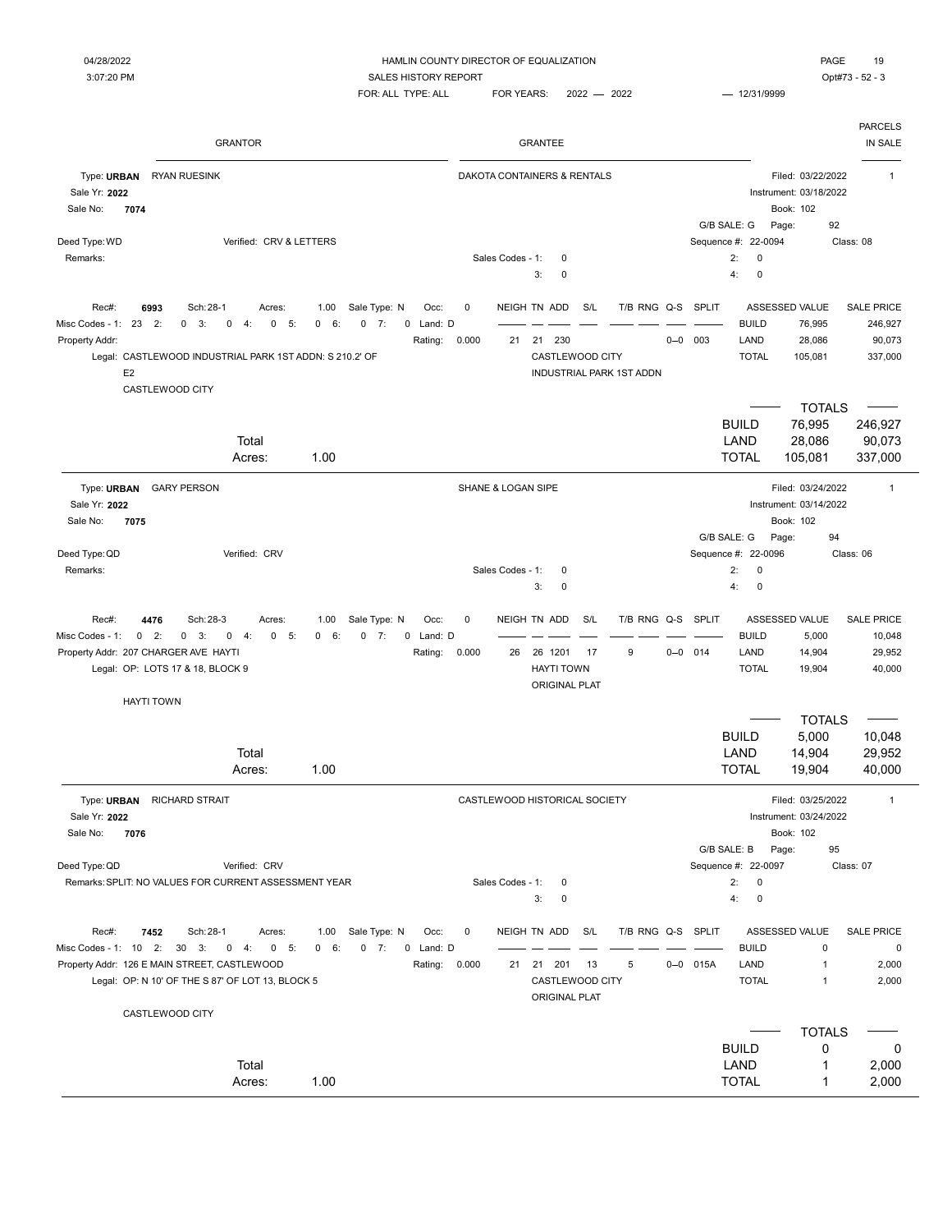PARCELS

 $FOR: ALL$  TYPE: ALL  $FOR$  YEARS:  $2022 - 2022$   $- 12/31/9999$ 

GRANTOR GRANTEE IN SALE

| PAGE     |    |
|----------|----|
| $11 - 0$ | -- |

| Type: URBAN<br><b>RYAN RUESINK</b><br>Sale Yr: 2022<br>Sale No:<br>7074                          |                                          |                                   |               |       |                    | DAKOTA CONTAINERS & RENTALS   |     |                          |         |                     |              | Instrument: 03/18/2022<br>Book: 102 | Filed: 03/22/2022  | $\mathbf{1}$                                                             |
|--------------------------------------------------------------------------------------------------|------------------------------------------|-----------------------------------|---------------|-------|--------------------|-------------------------------|-----|--------------------------|---------|---------------------|--------------|-------------------------------------|--------------------|--------------------------------------------------------------------------|
|                                                                                                  |                                          |                                   |               |       |                    |                               |     |                          |         |                     | G/B SALE: G  | Page:                               | 92                 |                                                                          |
| Deed Type: WD                                                                                    | Verified: CRV & LETTERS                  |                                   |               |       |                    |                               |     |                          |         | Sequence #: 22-0094 |              |                                     |                    | Class: 08                                                                |
| Remarks:                                                                                         |                                          |                                   |               |       | Sales Codes - 1:   | $\mathbf 0$                   |     |                          |         |                     | 2:           | $\mathbf 0$                         |                    |                                                                          |
|                                                                                                  |                                          |                                   |               |       |                    | 3:<br>0                       |     |                          |         |                     | 4:           | $\mathbf 0$                         |                    |                                                                          |
| Rec#:<br>6993                                                                                    | Sch: 28-1<br>Acres:                      | Sale Type: N<br>1.00              | Occ:          | 0     |                    | NEIGH TN ADD                  | S/L | T/B RNG Q-S              |         | SPLIT               |              | ASSESSED VALUE                      |                    | <b>SALE PRICE</b>                                                        |
| Misc Codes - 1: 23 2:<br>3:<br>0                                                                 | $-5:$<br>0<br>4:<br>$\mathbf 0$          | 6:<br>$0 \t 7:$<br>0              | 0 Land: D     |       |                    |                               |     |                          |         |                     | <b>BUILD</b> |                                     | 76,995             | 246,927                                                                  |
| Property Addr:                                                                                   |                                          |                                   | Rating:       | 0.000 | 21                 | 21 230                        |     |                          | $0 - 0$ | 003                 | LAND         |                                     | 28,086             | 90,073                                                                   |
| Legal: CASTLEWOOD INDUSTRIAL PARK 1ST ADDN: S 210.2' OF                                          |                                          |                                   |               |       |                    | CASTLEWOOD CITY               |     |                          |         |                     | <b>TOTAL</b> |                                     | 105,081            | 337,000                                                                  |
| E <sub>2</sub>                                                                                   |                                          |                                   |               |       |                    |                               |     | INDUSTRIAL PARK 1ST ADDN |         |                     |              |                                     |                    |                                                                          |
| CASTLEWOOD CITY                                                                                  |                                          |                                   |               |       |                    |                               |     |                          |         |                     |              |                                     |                    |                                                                          |
|                                                                                                  |                                          |                                   |               |       |                    |                               |     |                          |         |                     |              |                                     | <b>TOTALS</b>      |                                                                          |
|                                                                                                  |                                          |                                   |               |       |                    |                               |     |                          |         |                     | <b>BUILD</b> |                                     | 76,995             | 246,927                                                                  |
|                                                                                                  | Total                                    |                                   |               |       |                    |                               |     |                          |         |                     | LAND         |                                     | 28,086             | 90,073                                                                   |
|                                                                                                  | Acres:                                   | 1.00                              |               |       |                    |                               |     |                          |         |                     | <b>TOTAL</b> |                                     | 105,081            | 337,000                                                                  |
|                                                                                                  |                                          |                                   |               |       |                    |                               |     |                          |         |                     |              |                                     |                    |                                                                          |
| Type: URBAN<br><b>GARY PERSON</b>                                                                |                                          |                                   |               |       | SHANE & LOGAN SIPE |                               |     |                          |         |                     |              |                                     | Filed: 03/24/2022  | $\overline{1}$                                                           |
| Sale Yr: 2022                                                                                    |                                          |                                   |               |       |                    |                               |     |                          |         |                     |              | Instrument: 03/14/2022              |                    |                                                                          |
| 7075<br>Sale No:                                                                                 |                                          |                                   |               |       |                    |                               |     |                          |         |                     |              | Book: 102                           |                    |                                                                          |
|                                                                                                  |                                          |                                   |               |       |                    |                               |     |                          |         |                     | G/B SALE: G  | Page:                               | 94                 |                                                                          |
| Deed Type: QD                                                                                    | Verified: CRV                            |                                   |               |       |                    |                               |     |                          |         | Sequence #: 22-0096 |              |                                     |                    | Class: 06                                                                |
| Remarks:                                                                                         |                                          |                                   |               |       | Sales Codes - 1:   | 0                             |     |                          |         |                     | 2:           | $\mathbf 0$                         |                    |                                                                          |
|                                                                                                  |                                          |                                   |               |       |                    | 3:<br>0                       |     |                          |         |                     | 4:           | $\mathbf 0$                         |                    |                                                                          |
|                                                                                                  |                                          |                                   |               |       |                    |                               |     |                          |         |                     |              |                                     |                    |                                                                          |
|                                                                                                  |                                          |                                   |               |       |                    |                               |     |                          |         |                     |              |                                     |                    |                                                                          |
| Rec#:<br>4476                                                                                    | Sch: 28-3<br>Acres:                      | 1.00<br>Sale Type: N              | Occ:          | 0     |                    | NEIGH TN ADD                  | S/L | T/B RNG Q-S              |         | SPLIT               |              | ASSESSED VALUE                      |                    |                                                                          |
| 2:<br>Misc Codes - 1:<br>$\mathbf 0$<br>0                                                        | 3:<br>0<br>$-4:$<br>$\mathbf 0$<br>$-5:$ | 6:<br>0<br>7:<br>0                | 0 Land: D     |       |                    |                               |     |                          |         |                     | <b>BUILD</b> |                                     | 5,000              | <b>SALE PRICE</b><br>10,048                                              |
| Property Addr: 207 CHARGER AVE HAYTI                                                             |                                          |                                   | Rating:       | 0.000 | 26                 | 26 1201                       | 17  | 9                        | $0 - 0$ | 014                 | LAND         |                                     | 14,904             |                                                                          |
| Legal: OP: LOTS 17 & 18, BLOCK 9                                                                 |                                          |                                   |               |       |                    | <b>HAYTI TOWN</b>             |     |                          |         |                     | <b>TOTAL</b> |                                     | 19,904             |                                                                          |
|                                                                                                  |                                          |                                   |               |       |                    | <b>ORIGINAL PLAT</b>          |     |                          |         |                     |              |                                     |                    |                                                                          |
| <b>HAYTI TOWN</b>                                                                                |                                          |                                   |               |       |                    |                               |     |                          |         |                     |              |                                     |                    |                                                                          |
|                                                                                                  |                                          |                                   |               |       |                    |                               |     |                          |         |                     |              |                                     | <b>TOTALS</b>      |                                                                          |
|                                                                                                  |                                          |                                   |               |       |                    |                               |     |                          |         |                     | <b>BUILD</b> |                                     | 5,000              |                                                                          |
|                                                                                                  | Total                                    |                                   |               |       |                    |                               |     |                          |         |                     | LAND         |                                     | 14,904             |                                                                          |
|                                                                                                  | Acres:                                   | 1.00                              |               |       |                    |                               |     |                          |         |                     | <b>TOTAL</b> |                                     | 19,904             | 40,000                                                                   |
| Type: URBAN<br><b>RICHARD STRAIT</b>                                                             |                                          |                                   |               |       |                    | CASTLEWOOD HISTORICAL SOCIETY |     |                          |         |                     |              |                                     | Filed: 03/25/2022  | $\mathbf{1}$                                                             |
| Sale Yr: 2022                                                                                    |                                          |                                   |               |       |                    |                               |     |                          |         |                     |              | Instrument: 03/24/2022              |                    |                                                                          |
| 7076<br>Sale No:                                                                                 |                                          |                                   |               |       |                    |                               |     |                          |         |                     |              | Book: 102                           |                    |                                                                          |
|                                                                                                  |                                          |                                   |               |       |                    |                               |     |                          |         |                     |              |                                     | 95                 |                                                                          |
| Deed Type: QD                                                                                    | Verified: CRV                            |                                   |               |       |                    |                               |     |                          |         | Sequence #: 22-0097 | G/B SALE: B  | Page:                               |                    | Class: 07                                                                |
| Remarks: SPLIT: NO VALUES FOR CURRENT ASSESSMENT YEAR                                            |                                          |                                   |               |       | Sales Codes - 1:   | 0                             |     |                          |         |                     | 2:           | 0                                   |                    |                                                                          |
|                                                                                                  |                                          |                                   |               |       |                    | 3:<br>0                       |     |                          |         |                     | 4:           | $\pmb{0}$                           |                    |                                                                          |
|                                                                                                  |                                          |                                   |               |       |                    |                               |     |                          |         |                     |              |                                     |                    |                                                                          |
| 7452<br>Rec#:                                                                                    | Sch: 28-1<br>Acres:                      | 1.00                              | Occ:          | 0     |                    | NEIGH TN ADD                  | S/L | T/B RNG Q-S SPLIT        |         |                     |              | ASSESSED VALUE                      |                    | <b>SALE PRICE</b>                                                        |
| Misc Codes - 1: 10 2: 30 3:                                                                      | $0\quad 5:$                              | Sale Type: N<br>$0 \t 7:$<br>0 6: | 0 Land: D     |       |                    |                               |     |                          |         |                     | <b>BUILD</b> |                                     | $\mathbf 0$        |                                                                          |
|                                                                                                  | $0 \t 4$                                 |                                   |               |       | 21                 |                               |     |                          |         |                     |              |                                     | 1                  |                                                                          |
| Property Addr: 126 E MAIN STREET, CASTLEWOOD<br>Legal: OP: N 10' OF THE S 87' OF LOT 13, BLOCK 5 |                                          |                                   | Rating: 0.000 |       |                    | 21 201                        | -13 | 5                        |         | $0 - 0$ 015A        | LAND         |                                     | $\mathbf{1}$       |                                                                          |
|                                                                                                  |                                          |                                   |               |       |                    | CASTLEWOOD CITY               |     |                          |         |                     | <b>TOTAL</b> |                                     |                    |                                                                          |
|                                                                                                  |                                          |                                   |               |       |                    | <b>ORIGINAL PLAT</b>          |     |                          |         |                     |              |                                     |                    |                                                                          |
| CASTLEWOOD CITY                                                                                  |                                          |                                   |               |       |                    |                               |     |                          |         |                     |              |                                     |                    |                                                                          |
|                                                                                                  |                                          |                                   |               |       |                    |                               |     |                          |         |                     | <b>BUILD</b> |                                     | <b>TOTALS</b><br>0 |                                                                          |
|                                                                                                  | Total                                    |                                   |               |       |                    |                               |     |                          |         |                     | LAND         |                                     | 1                  | 29,952<br>40,000<br>10,048<br>29,952<br>$\pmb{0}$<br>2,000<br>2,000<br>0 |
|                                                                                                  | Acres:                                   | 1.00                              |               |       |                    |                               |     |                          |         |                     | <b>TOTAL</b> |                                     | 1                  | 2,000<br>2,000                                                           |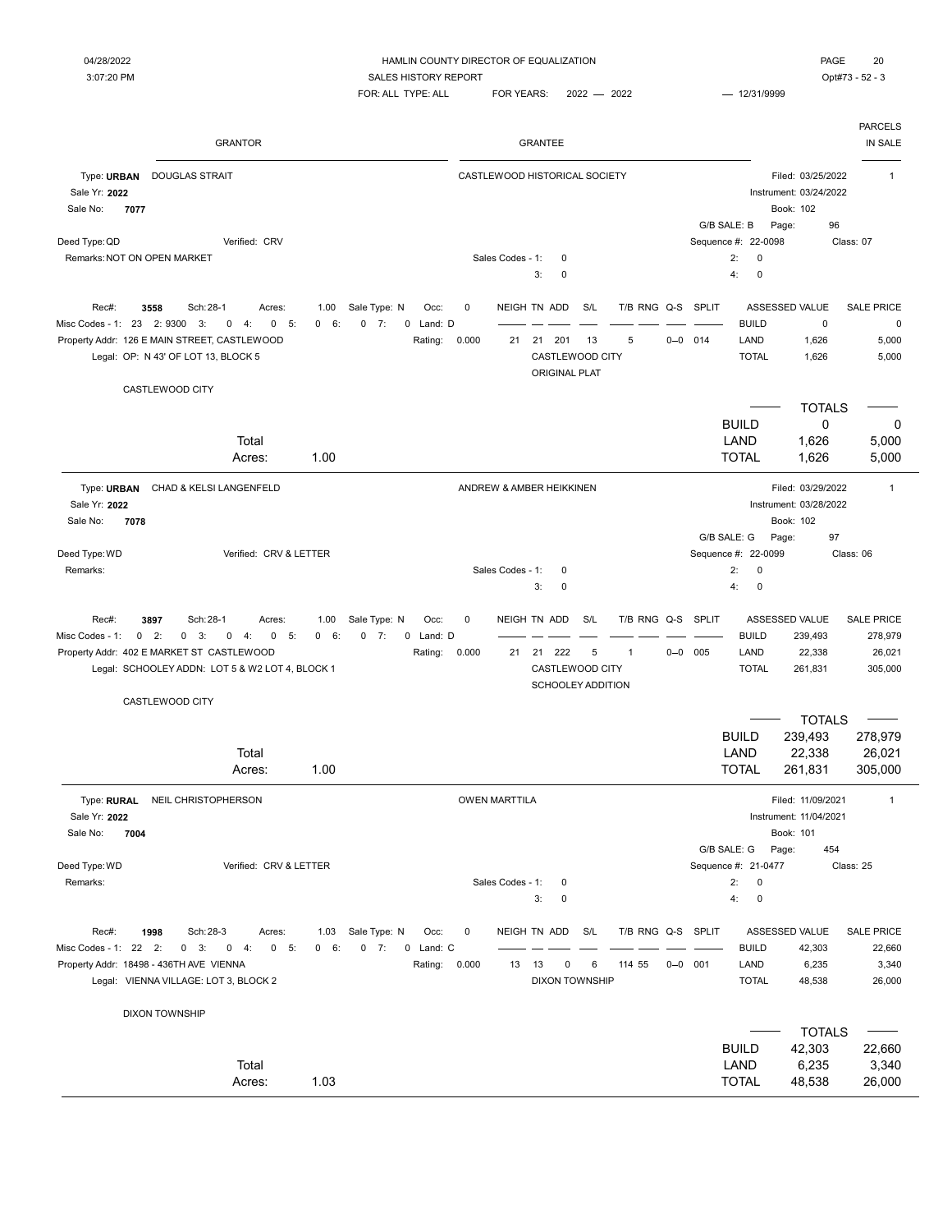| <b>GRANTOR</b>                                                                                                                                                                                                                                                                   | <b>GRANTEE</b>                                                                                                                                                                                                                                         | <b>PARCELS</b><br>IN SALE                                                         |
|----------------------------------------------------------------------------------------------------------------------------------------------------------------------------------------------------------------------------------------------------------------------------------|--------------------------------------------------------------------------------------------------------------------------------------------------------------------------------------------------------------------------------------------------------|-----------------------------------------------------------------------------------|
| Type: URBAN<br><b>DOUGLAS STRAIT</b><br>Sale Yr: 2022<br>Sale No:<br>7077                                                                                                                                                                                                        | CASTLEWOOD HISTORICAL SOCIETY<br>Book: 102<br>G/B SALE: B<br>Page:                                                                                                                                                                                     | Filed: 03/25/2022<br>$\mathbf{1}$<br>Instrument: 03/24/2022<br>96                 |
| Deed Type: QD<br>Verified: CRV<br>Remarks: NOT ON OPEN MARKET                                                                                                                                                                                                                    | Sequence #: 22-0098<br>2:<br>Sales Codes - 1:<br>$\mathbf 0$<br>$\mathbf 0$<br>$\pmb{0}$<br>$\mathbf 0$<br>4:<br>3:                                                                                                                                    | Class: 07                                                                         |
| Sale Type: N<br>Rec#:<br>3558<br>Sch: 28-1<br>Acres:<br>1.00<br>Misc Codes - 1: 23 2: 9300<br>3:<br>$-5:$<br>6:<br>$0 \t 7:$<br>$\mathbf 0$<br>4:<br>0<br>$^{\circ}$<br>Property Addr: 126 E MAIN STREET, CASTLEWOOD<br>Legal: OP: N 43' OF LOT 13, BLOCK 5<br>CASTLEWOOD CITY   | NEIGH TN ADD<br>S/L<br>T/B RNG Q-S SPLIT<br>ASSESSED VALUE<br>Occ:<br>0<br>0 Land: D<br><b>BUILD</b><br>0.000<br>5<br>$0 - 0$ 014<br>LAND<br>Rating:<br>21<br>21<br>201<br>13<br>CASTLEWOOD CITY<br><b>TOTAL</b><br><b>ORIGINAL PLAT</b>               | <b>SALE PRICE</b><br>0<br>0<br>1,626<br>5,000<br>5,000<br>1,626                   |
| Total<br>1.00<br>Acres:                                                                                                                                                                                                                                                          | <b>BUILD</b><br>LAND<br><b>TOTAL</b>                                                                                                                                                                                                                   | <b>TOTALS</b><br>$\mathbf 0$<br>0<br>1,626<br>5,000<br>1,626<br>5,000             |
| Type: URBAN<br>CHAD & KELSI LANGENFELD<br>Sale Yr: 2022<br>Sale No:<br>7078                                                                                                                                                                                                      | ANDREW & AMBER HEIKKINEN<br>Book: 102                                                                                                                                                                                                                  | Filed: 03/29/2022<br>$\mathbf{1}$<br>Instrument: 03/28/2022                       |
| Verified: CRV & LETTER<br>Deed Type: WD<br>Remarks:                                                                                                                                                                                                                              | G/B SALE: G<br>Page:<br>Sequence #: 22-0099<br>$\pmb{0}$<br>Sales Codes - 1:<br>2:<br>0<br>4:<br>0<br>3:<br>0                                                                                                                                          | 97<br>Class: 06                                                                   |
| Rec#:<br>Sch: 28-1<br>1.00<br>Sale Type: N<br>3897<br>Acres:<br>7:<br>Misc Codes - 1:<br>$0 \t 2$ :<br>0<br>3:<br>0<br>4:<br>0<br>5:<br>$^{\circ}$<br>6:<br>0<br>Property Addr: 402 E MARKET ST CASTLEWOOD<br>Legal: SCHOOLEY ADDN: LOT 5 & W2 LOT 4, BLOCK 1<br>CASTLEWOOD CITY | T/B RNG Q-S<br><b>SPLIT</b><br>ASSESSED VALUE<br>Occ:<br>0<br>NEIGH TN ADD<br>S/L<br><b>BUILD</b><br>0 Land: D<br>5<br>LAND<br>Rating:<br>0.000<br>21 222<br>$0 - 0$ 005<br>21<br>$\mathbf{1}$<br>CASTLEWOOD CITY<br><b>TOTAL</b><br>SCHOOLEY ADDITION | <b>SALE PRICE</b><br>239,493<br>278,979<br>22,338<br>26,021<br>261,831<br>305,000 |
| Total<br>1.00<br>Acres:                                                                                                                                                                                                                                                          | <b>BUILD</b><br>LAND<br><b>TOTAL</b>                                                                                                                                                                                                                   | <b>TOTALS</b><br>239,493<br>278,979<br>26,021<br>22,338<br>261,831<br>305,000     |
| NEIL CHRISTOPHERSON<br>Type: RURAL<br>Sale Yr: 2022<br>Sale No:<br>7004                                                                                                                                                                                                          | <b>OWEN MARTTILA</b><br>Instrument: 11/04/2021<br>Book: 101                                                                                                                                                                                            | Filed: 11/09/2021<br>$\mathbf{1}$                                                 |
| Deed Type: WD<br>Verified: CRV & LETTER<br>Remarks:                                                                                                                                                                                                                              | G/B SALE: G<br>Page:<br>Sequence #: 21-0477<br>2:<br>Sales Codes - 1:<br>$\mathsf 0$<br>0<br>4:<br>$\pmb{0}$<br>3:<br>0                                                                                                                                | 454<br>Class: 25                                                                  |
| 1998<br>Sch: 28-3<br>Sale Type: N<br>Rec#:<br>Acres:<br>1.03<br>Misc Codes - 1: 22 2:<br>$0 \quad 3:$<br>$0 \t 4:$<br>$0 - 5:$<br>0 6:<br>$0 \t 7:$<br>Property Addr: 18498 - 436TH AVE VIENNA<br>Legal: VIENNA VILLAGE: LOT 3, BLOCK 2                                          | NEIGH TN ADD<br>S/L<br>T/B RNG Q-S SPLIT<br>ASSESSED VALUE<br>Occ:<br>0<br>0 Land: C<br><b>BUILD</b><br>0.000<br>$0 - 0$ 001<br>LAND<br>Rating:<br>13<br>6<br>114 55<br>13<br>0<br><b>DIXON TOWNSHIP</b><br><b>TOTAL</b>                               | <b>SALE PRICE</b><br>42,303<br>22,660<br>6,235<br>3,340<br>48,538<br>26,000       |
| <b>DIXON TOWNSHIP</b>                                                                                                                                                                                                                                                            |                                                                                                                                                                                                                                                        |                                                                                   |
| Total<br>1.03<br>Acres:                                                                                                                                                                                                                                                          | <b>BUILD</b><br>LAND<br><b>TOTAL</b>                                                                                                                                                                                                                   | <b>TOTALS</b><br>42,303<br>22,660<br>6,235<br>3,340<br>48,538<br>26,000           |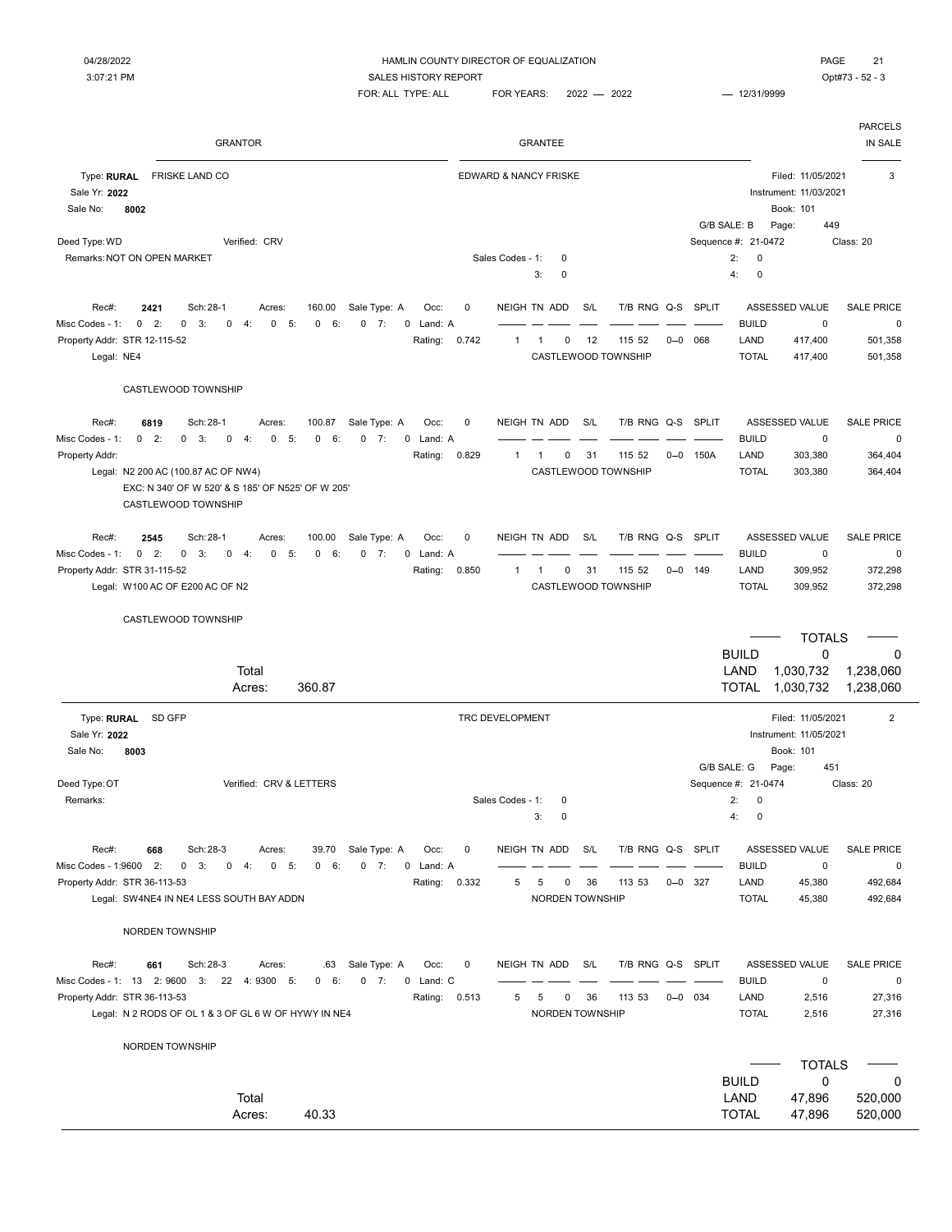Sale No: 8002

Deed Type: WD CRV Serified: CRV

#### 04/28/2022 HAMLIN COUNTY DIRECTOR OF EQUALIZATION PAGE 21 3:07:21 PM COMPANY SALES HISTORY REPORT COMPANY SALES HISTORY REPORT

FOR: ALL TYPE: ALL FOR YEARS: 2022 - 2022 - 2021 - 12/31/9999

| <b>GRANTOR</b>                                                                                                               |                     | <b>GRANTEE</b>                   |                   |                     |                                                          | <b>PARCELS</b><br>IN SALE |
|------------------------------------------------------------------------------------------------------------------------------|---------------------|----------------------------------|-------------------|---------------------|----------------------------------------------------------|---------------------------|
| <b>FRISKE LAND CO</b><br>Type: RURAL<br>Sale Yr: 2022<br>Sale No:<br>8002                                                    |                     | <b>EDWARD &amp; NANCY FRISKE</b> |                   |                     | Filed: 11/05/2021<br>Instrument: 11/03/2021<br>Book: 101 | 3                         |
|                                                                                                                              |                     |                                  |                   | G/B SALE: B         | 449<br>Page:                                             |                           |
| Verified: CRV<br>ed Type: WD                                                                                                 |                     |                                  |                   | Sequence #: 21-0472 |                                                          | Class: 20                 |
| emarks: NOT ON OPEN MARKET!                                                                                                  |                     | Sales Codes - 1:<br>$\Omega$     |                   | 2:                  | $\mathbf 0$                                              |                           |
|                                                                                                                              |                     | 3:<br>$\Omega$                   |                   | 4:                  | 0                                                        |                           |
| Sch: 28-1<br>160.00<br>Sale Type: A<br>Rec#:<br>2421<br>Acres:                                                               | 0<br>Occ:           | NEIGH TN ADD<br>S/L              | T/B RNG Q-S SPLIT |                     | ASSESSED VALUE                                           | <b>SALE PRICE</b>         |
| 0 6:<br>$0 \t 7:$<br>$0$ 2:<br>$0 \quad 3:$<br>0<br>4:<br>$0 - 5:$<br>c Codes - 1:                                           | 0 Land: A           |                                  |                   | <b>BUILD</b>        | $\mathbf 0$                                              | 0                         |
| perty Addr: STR 12-115-52                                                                                                    | Rating:<br>0.742    | 0<br>12<br>1<br>1                | 115 52<br>$0 - 0$ | 068<br>LAND         | 417,400                                                  | 501,358                   |
| Legal: NE4                                                                                                                   |                     | CASTLEWOOD TOWNSHIP              |                   | <b>TOTAL</b>        | 417,400                                                  | 501,358                   |
| CASTLEWOOD TOWNSHIP                                                                                                          |                     |                                  |                   |                     |                                                          |                           |
| 6819<br>Sch: 28-1<br>100.87<br>Sale Type: A<br>Rec#:<br>Acres:                                                               | Occ:<br>0           | NEIGH TN ADD<br>S/L              | T/B RNG Q-S SPLIT |                     | ASSESSED VALUE                                           | <b>SALE PRICE</b>         |
| $0 \quad 3:$<br>6:<br>$0 \quad 2:$<br>$\mathbf 0$<br>4:<br>$\mathbf 0$<br>$-5$ :<br>$\mathbf 0$<br>$0 \t 7:$<br>c Codes - 1: | 0 Land: A           |                                  |                   | <b>BUILD</b>        | 0                                                        | 0                         |
| perty Addr:                                                                                                                  | 0.829<br>Rating:    | 31<br>$\mathbf{1}$<br>0<br>1     | 115 52<br>$0 - 0$ | LAND<br>150A        | 303,380                                                  | 364,404                   |
| Legal: N2 200 AC (100.87 AC OF NW4)                                                                                          |                     | CASTLEWOOD TOWNSHIP              |                   | <b>TOTAL</b>        | 303,380                                                  | 364,404                   |
| EXC: N 340' OF W 520' & S 185' OF N525' OF W 205'<br>CASTLEWOOD TOWNSHIP                                                     |                     |                                  |                   |                     |                                                          |                           |
| 2545<br>Sch: 28-1<br>Sale Type: A<br>Rec#:<br>100.00<br>Acres:                                                               | Occ:<br>$\mathbf 0$ | NEIGH TN ADD<br>S/L              | T/B RNG Q-S SPLIT |                     | <b>ASSESSED VALUE</b>                                    | <b>SALE PRICE</b>         |
| 6:<br>$0 \t 7:$<br>c Codes - 1:<br>$0 \quad 2:$<br>$0 \quad 3:$<br>$\mathbf 0$<br>4:<br>0<br>5:<br>$\mathbf{0}$              | 0 Land: A           |                                  |                   | <b>BUILD</b>        | $\mathbf 0$                                              | 0                         |
| perty Addr: STR 31-115-52                                                                                                    | Rating: 0.850       | 0<br>31<br>1<br>1                | 115 52            | LAND<br>$0 - 0$ 149 | 309,952                                                  | 372,298                   |
| Legal: W100 AC OF E200 AC OF N2                                                                                              |                     | CASTLEWOOD TOWNSHIP              |                   | <b>TOTAL</b>        | 309,952                                                  | 372,298                   |
| CASTLEWOOD TOWNSHIP                                                                                                          |                     |                                  |                   |                     |                                                          |                           |
|                                                                                                                              |                     |                                  |                   |                     | <b>TOTALS</b>                                            |                           |
|                                                                                                                              |                     |                                  |                   | <b>BUILD</b>        | 0                                                        | $\Omega$                  |
| Total                                                                                                                        |                     |                                  |                   | LAND                | 1,030,732                                                | 1,238,060                 |
| 360.87<br>Acres:                                                                                                             |                     |                                  |                   | <b>TOTAL</b>        | 1,030,732                                                | 1,238,060                 |

|                         |           |                                                                 |                                                                      |              |                    |                               |          |                |                        |                  |                 |                               |             |                   |     |                                                   |    |             |                 |             | CASTLEWOOD TOWNSHIP |     |             |                                                                                                             |
|-------------------------|-----------|-----------------------------------------------------------------|----------------------------------------------------------------------|--------------|--------------------|-------------------------------|----------|----------------|------------------------|------------------|-----------------|-------------------------------|-------------|-------------------|-----|---------------------------------------------------|----|-------------|-----------------|-------------|---------------------|-----|-------------|-------------------------------------------------------------------------------------------------------------|
| <b>SALE PRICE</b>       |           | ASSESSED VALUE                                                  |                                                                      | SPLIT        |                    | T/B RNG Q-S                   | S/L      |                |                        | NEIGH TN ADD     | 0               | Occ:                          |             | Sale Type: A      |     | 100.87                                            |    | Acres:      |                 |             | Sch: 28-1           |     | 6819        | Rec#:                                                                                                       |
| 0<br>364,404<br>364,404 |           | 0<br>303,380<br>303,380                                         | <b>BUILD</b><br>LAND<br><b>TOTAL</b>                                 | 150A         | $0 - 0$            | 115 52<br>CASTLEWOOD TOWNSHIP | 31       | 0              | -1                     | $\overline{1}$   | 0.829           | 0 Land: A<br>Rating:          |             | $\mathbf 0$<br>7: | 6:  | $\mathbf 0$                                       | 5: | $\mathbf 0$ | 4:              | 0           | 0<br>3:             | 2:  | 0           | Misc Codes - 1:<br>Property Addr:<br>Legal: N2 200 AC (100.87 AC OF NW4)                                    |
|                         |           |                                                                 |                                                                      |              |                    |                               |          |                |                        |                  |                 |                               |             |                   |     | EXC: N 340' OF W 520' & S 185' OF N525' OF W 205' |    |             |                 |             | CASTLEWOOD TOWNSHIP |     |             |                                                                                                             |
| <b>SALE PRICE</b>       |           | ASSESSED VALUE                                                  |                                                                      |              |                    | T/B RNG Q-S SPLIT             | S/L      |                |                        | NEIGH TN ADD     | $\pmb{0}$       | Occ:                          |             | Sale Type: A      |     | 100.00                                            |    | Acres:      |                 |             | Sch: 28-1           |     | 2545        | Rec#:                                                                                                       |
| $\mathbf 0$             |           | $\pmb{0}$                                                       | <b>BUILD</b>                                                         |              |                    |                               |          |                |                        |                  |                 | Land: A                       | $\mathbf 0$ | $\mathsf 0$<br>7: | 6:  | $\mathbf 0$                                       | 5: | $\mathbf 0$ | 4:              | $\pmb{0}$   | $0 \t 3:$           | 2:  | $\mathbf 0$ | Misc Codes - 1:                                                                                             |
| 372,298<br>372,298      |           | 309,952<br>309,952                                              | LAND<br><b>TOTAL</b>                                                 |              | $0 - 0$ 149        | 115 52<br>CASTLEWOOD TOWNSHIP | 31       | 0              |                        | -1               | 0.850           | Rating:                       |             |                   |     |                                                   |    |             |                 |             |                     |     |             | Property Addr: STR 31-115-52<br>Legal: W100 AC OF E200 AC OF N2                                             |
|                         |           |                                                                 |                                                                      |              |                    |                               |          |                |                        |                  |                 |                               |             |                   |     |                                                   |    |             |                 |             | CASTLEWOOD TOWNSHIP |     |             |                                                                                                             |
|                         |           | <b>TOTALS</b>                                                   |                                                                      |              |                    |                               |          |                |                        |                  |                 |                               |             |                   |     |                                                   |    |             |                 |             |                     |     |             |                                                                                                             |
| 0                       |           | 0                                                               | <b>BUILD</b>                                                         |              |                    |                               |          |                |                        |                  |                 |                               |             |                   |     |                                                   |    |             |                 |             |                     |     |             |                                                                                                             |
| 1,238,060<br>1,238,060  |           | 1,030,732<br>1,030,732                                          | LAND<br><b>TOTAL</b>                                                 |              |                    |                               |          |                |                        |                  |                 |                               |             |                   |     | 360.87                                            |    |             | Total<br>Acres: |             |                     |     |             |                                                                                                             |
| 2                       |           | Filed: 11/05/2021                                               |                                                                      |              |                    |                               |          |                |                        |                  | TRC DEVELOPMENT |                               |             |                   |     |                                                   |    |             |                 |             |                     |     |             | Type: RURAL SD GFP                                                                                          |
|                         |           | Instrument: 11/05/2021                                          |                                                                      |              |                    |                               |          |                |                        |                  |                 |                               |             |                   |     |                                                   |    |             |                 |             |                     |     |             | Sale Yr: 2022                                                                                               |
|                         |           | Book: 101<br>Page:<br>451                                       | G/B SALE: G                                                          |              |                    |                               |          |                |                        |                  |                 |                               |             |                   |     |                                                   |    |             |                 |             |                     |     | 8003        | Sale No:                                                                                                    |
|                         | Class: 20 |                                                                 | Sequence #: 21-0474                                                  |              |                    |                               |          |                |                        |                  |                 |                               |             |                   |     | Verified: CRV & LETTERS                           |    |             |                 |             |                     |     |             | Deed Type: OT                                                                                               |
|                         |           |                                                                 | 2:<br>0                                                              |              |                    |                               |          | 0              |                        | Sales Codes - 1: |                 |                               |             |                   |     |                                                   |    |             |                 |             |                     |     |             | Remarks:                                                                                                    |
|                         |           |                                                                 | $\mathbf 0$<br>4:                                                    |              |                    |                               |          | $\mathbf 0$    | 3:                     |                  |                 |                               |             |                   |     |                                                   |    |             |                 |             |                     |     |             |                                                                                                             |
| <b>SALE PRICE</b>       |           | ASSESSED VALUE                                                  |                                                                      | <b>SPLIT</b> |                    | T/B RNG Q-S                   | S/L      |                |                        | NEIGH TN ADD     | $\mathbf 0$     | Occ:                          |             | Sale Type: A      |     | 39.70                                             |    | Acres:      |                 |             | Sch: 28-3           | 668 |             | Rec#:                                                                                                       |
| $\mathbf 0$<br>492,684  |           | $\mathbf 0$                                                     | <b>BUILD</b>                                                         |              |                    |                               |          |                |                        |                  |                 | 0 Land: A                     |             | $\mathbf 0$<br>7: | 6:  | $\mathbf{0}$                                      | 5: | $\mathbf 0$ | 4:              | $\mathbf 0$ | 0<br>3:             |     |             | Misc Codes - 1:9600 2:                                                                                      |
| 492,684                 |           | 45,380                                                          | <b>TOTAL</b>                                                         |              |                    |                               |          |                | NORDEN TOWNSHIP        |                  |                 |                               |             |                   |     |                                                   |    |             |                 |             |                     |     |             | Legal: SW4NE4 IN NE4 LESS SOUTH BAY ADDN                                                                    |
|                         |           |                                                                 |                                                                      |              |                    |                               |          |                |                        |                  |                 |                               |             |                   |     |                                                   |    |             |                 |             | NORDEN TOWNSHIP     |     |             |                                                                                                             |
| <b>SALE PRICE</b>       |           | ASSESSED VALUE                                                  |                                                                      | SPLIT        |                    | T/B RNG Q-S                   | S/L      |                |                        | NEIGH TN ADD     | $\pmb{0}$       | Occ:                          |             | Sale Type: A      | .63 |                                                   |    | Acres:      |                 |             | Sch: 28-3           | 661 |             | Rec#:                                                                                                       |
| $\Omega$                |           |                                                                 |                                                                      |              |                    |                               |          |                |                        |                  |                 |                               |             |                   |     |                                                   |    |             |                 |             |                     |     |             |                                                                                                             |
| 27,316<br>27,316        |           | 2,516                                                           | <b>TOTAL</b>                                                         |              |                    |                               |          |                | <b>NORDEN TOWNSHIP</b> |                  |                 |                               |             |                   |     |                                                   |    |             |                 |             |                     |     |             | Legal: N 2 RODS OF OL 1 & 3 OF GL 6 W OF HYWY IN NE4                                                        |
|                         |           |                                                                 |                                                                      |              |                    |                               |          |                |                        |                  |                 |                               |             |                   |     |                                                   |    |             |                 |             | NORDEN TOWNSHIP     |     |             |                                                                                                             |
|                         |           | <b>TOTALS</b>                                                   |                                                                      |              |                    |                               |          |                |                        |                  |                 |                               |             |                   |     |                                                   |    |             |                 |             |                     |     |             |                                                                                                             |
| $\Omega$                |           |                                                                 |                                                                      |              |                    |                               |          |                |                        |                  |                 |                               |             |                   |     |                                                   |    |             |                 |             |                     |     |             |                                                                                                             |
| 520,000<br>520,000      |           |                                                                 |                                                                      |              |                    |                               |          |                |                        |                  |                 |                               |             |                   |     |                                                   |    |             |                 |             |                     |     |             |                                                                                                             |
|                         |           | 45,380<br>$\pmb{0}$<br>2,516<br>$\mathbf 0$<br>47,896<br>47,896 | LAND<br><b>BUILD</b><br>LAND<br><b>BUILD</b><br>LAND<br><b>TOTAL</b> | 327<br>034   | $0 - 0$<br>$0 - 0$ | 113 53<br>113 53              | 36<br>36 | $\pmb{0}$<br>0 | 5<br>5                 | 5<br>5           | 0.332<br>0.513  | Rating:<br>Land: C<br>Rating: | $\mathbf 0$ | $0$ 7:            | 6:  | $\mathbf{0}$<br>40.33                             |    | Acres:      | Total           |             |                     |     |             | Property Addr: STR 36-113-53<br>Misc Codes - 1: 13 2: 9600 3: 22 4: 9300 5:<br>Property Addr: STR 36-113-53 |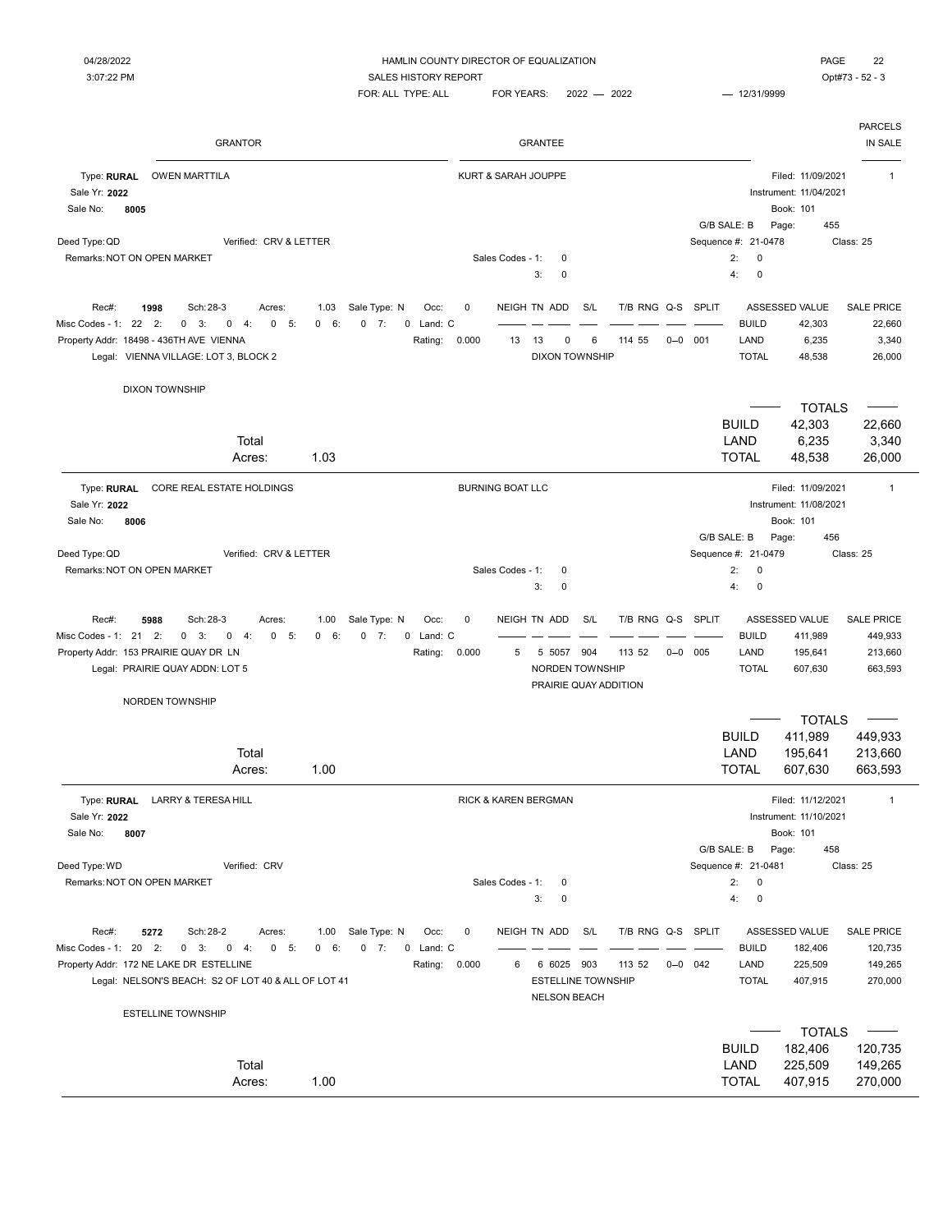DIXON TOWNSHIP

FOR: ALL TYPE: ALL FOR YEARS: 2022 - 2022 - 2022 - 12/31/9999

| <b>GRANTOR</b>                                       | <b>GRANTEE</b>                     |                                             | <b>PARCELS</b><br>IN SALE |
|------------------------------------------------------|------------------------------------|---------------------------------------------|---------------------------|
| Type: RURAL<br><b>OWEN MARTTILA</b><br>Sale Yr: 2022 | KURT & SARAH JOUPPE                | Filed: 11/09/2021<br>Instrument: 11/04/2021 |                           |
| Sale No:<br>8005                                     |                                    | Book: 101                                   |                           |
|                                                      |                                    | G/B SALE: B<br>Page:                        | 455                       |
| Verified: CRV & LETTER<br>Deed Type: QD              |                                    | Sequence #: 21-0478                         | Class: 25                 |
| Remarks: NOT ON OPEN MARKET                          | Sales Codes - 1:<br>$\overline{0}$ | 2:<br>$\mathbf 0$                           |                           |
|                                                      | 3:<br>$\Omega$                     | $\mathbf 0$<br>4:                           |                           |

| Remarks: NOT ON OPEN MARKET                                          |      |                                       |  |        |      |              |         |           |                         | Sales Codes - 1: 0 |    |     |                          |                       |        |  |                   | 2: 0           |        |                   |
|----------------------------------------------------------------------|------|---------------------------------------|--|--------|------|--------------|---------|-----------|-------------------------|--------------------|----|-----|--------------------------|-----------------------|--------|--|-------------------|----------------|--------|-------------------|
|                                                                      |      |                                       |  |        |      |              |         |           |                         |                    |    | 3:  | $\overline{\phantom{0}}$ |                       |        |  |                   | 4:0            |        |                   |
|                                                                      |      |                                       |  |        |      |              |         |           |                         |                    |    |     |                          |                       |        |  |                   |                |        |                   |
| Rec#:                                                                | 1998 | Sch: 28-3                             |  | Acres: | 1.03 | Sale Type: N |         | Occ:      | $\overline{\mathbf{0}}$ |                    |    |     | NEIGH TN ADD S/L         |                       |        |  | T/B RNG Q-S SPLIT | ASSESSED VALUE |        | <b>SALE PRICE</b> |
| Misc Codes - 1: 22    2:    0    3:    0    4:    0    5:    0    6: |      |                                       |  |        |      |              | $0 \t7$ | 0 Land: C |                         |                    |    |     |                          |                       |        |  |                   | <b>BUILD</b>   | 42.303 | 22.660            |
| Property Addr: 18498 - 436TH AVE VIENNA                              |      |                                       |  |        |      |              |         | Rating:   | 0.000                   |                    | 13 | -13 | $\Omega$                 | 6                     | 114 55 |  | $0 - 0$ 001       | LAND           | 6.235  | 3.340             |
|                                                                      |      | Legal: VIENNA VILLAGE: LOT 3, BLOCK 2 |  |        |      |              |         |           |                         |                    |    |     |                          | <b>DIXON TOWNSHIP</b> |        |  |                   | <b>TOTAL</b>   | 48.538 | 26,000            |
|                                                                      |      |                                       |  |        |      |              |         |           |                         |                    |    |     |                          |                       |        |  |                   |                |        |                   |
|                                                                      |      |                                       |  |        |      |              |         |           |                         |                    |    |     |                          |                       |        |  |                   |                |        |                   |

|                                                                        |                                                |                                    |                     | <b>TOTALS</b>                       |
|------------------------------------------------------------------------|------------------------------------------------|------------------------------------|---------------------|-------------------------------------|
|                                                                        |                                                |                                    | <b>BUILD</b>        | 42,303<br>22,660                    |
| Total                                                                  |                                                |                                    | LAND                | 6,235<br>3,340                      |
| Acres:                                                                 | 1.03                                           |                                    | <b>TOTAL</b>        | 48,538<br>26,000                    |
| CORE REAL ESTATE HOLDINGS<br>Type: RURAL                               |                                                | <b>BURNING BOAT LLC</b>            |                     | Filed: 11/09/2021<br>$\mathbf{1}$   |
| Sale Yr: 2022                                                          |                                                |                                    |                     | Instrument: 11/08/2021              |
| Sale No:<br>8006                                                       |                                                |                                    |                     | Book: 101                           |
|                                                                        |                                                |                                    | G/B SALE: B         | 456<br>Page:                        |
| Verified: CRV & LETTER<br>Deed Type: QD                                |                                                |                                    | Sequence #: 21-0479 | Class: 25                           |
| Remarks: NOT ON OPEN MARKET                                            |                                                | Sales Codes - 1:<br>$\mathbf 0$    | 2:<br>0             |                                     |
|                                                                        |                                                | 3:<br>$\mathbf 0$                  | 4:<br>$\mathbf 0$   |                                     |
| Rec#:<br>Sch: 28-3<br>5988<br>Acres:                                   | Sale Type: N<br>$\mathbf 0$<br>1.00<br>Occ:    | NEIGH TN ADD<br>S/L<br>T/B RNG Q-S | SPLIT               | ASSESSED VALUE<br><b>SALE PRICE</b> |
| Misc Codes - 1: 21 2:<br>$0 \quad 3:$<br>0<br>4:<br>0<br>5:            | 0 Land: C<br>0 6:<br>$0 \t 7:$                 |                                    | <b>BUILD</b>        | 411,989<br>449,933                  |
| Property Addr: 153 PRAIRIE QUAY DR LN                                  | 0.000<br>Rating:                               | 5<br>5 5057 904<br>113 52          | $0 - 0$ 005<br>LAND | 195,641<br>213,660                  |
| Legal: PRAIRIE QUAY ADDN: LOT 5                                        |                                                | NORDEN TOWNSHIP                    | <b>TOTAL</b>        | 607,630<br>663,593                  |
|                                                                        |                                                | PRAIRIE QUAY ADDITION              |                     |                                     |
| <b>NORDEN TOWNSHIP</b>                                                 |                                                |                                    |                     |                                     |
|                                                                        |                                                |                                    |                     | <b>TOTALS</b>                       |
|                                                                        |                                                |                                    | <b>BUILD</b>        | 411.989<br>449,933                  |
| Total                                                                  |                                                |                                    | LAND                | 213,660<br>195,641                  |
| Acres:                                                                 | 1.00                                           |                                    | <b>TOTAL</b>        | 607,630<br>663,593                  |
| Type: RURAL<br><b>LARRY &amp; TERESA HILL</b>                          |                                                | RICK & KAREN BERGMAN               |                     | Filed: 11/12/2021<br>$\mathbf{1}$   |
| Sale Yr: 2022                                                          |                                                |                                    |                     | Instrument: 11/10/2021              |
| 8007<br>Sale No:                                                       |                                                |                                    |                     | Book: 101                           |
|                                                                        |                                                |                                    | G/B SALE: B         | 458<br>Page:                        |
| Deed Type: WD<br>Verified: CRV                                         |                                                |                                    | Sequence #: 21-0481 | Class: 25                           |
| Remarks: NOT ON OPEN MARKET                                            |                                                | Sales Codes - 1:<br>$\mathbf 0$    | 2:<br>$\pmb{0}$     |                                     |
|                                                                        |                                                | 3:<br>$\mathbf 0$                  | 4:<br>$\mathbf 0$   |                                     |
| Sch: 28-2<br>Rec#:<br>5272<br>Acres:                                   | Sale Type: N<br>0<br>1.00<br>Occ:              | NEIGH TN ADD<br>S/L<br>T/B RNG Q-S | <b>SPLIT</b>        | ASSESSED VALUE<br><b>SALE PRICE</b> |
| Misc Codes - 1: 20 2:<br>$0 \t3$ :<br>$\mathsf 0$<br>$-4$ :<br>0<br>5: | 0 Land: C<br>$\overline{0}$<br>6:<br>$0 \t 7:$ |                                    | <b>BUILD</b>        | 120,735<br>182,406                  |
| Property Addr: 172 NE LAKE DR ESTELLINE                                | 0.000<br>Rating:                               | 6<br>6 6025<br>903<br>113 52       | $0 - 0$ 042<br>LAND | 149,265<br>225,509                  |
| Legal: NELSON'S BEACH: S2 OF LOT 40 & ALL OF LOT 41                    |                                                | <b>ESTELLINE TOWNSHIP</b>          | <b>TOTAL</b>        | 407,915<br>270,000                  |
|                                                                        |                                                | <b>NELSON BEACH</b>                |                     |                                     |
| <b>ESTELLINE TOWNSHIP</b>                                              |                                                |                                    |                     |                                     |

|        |      | $\overline{\phantom{a}}$ | TOTALS — |
|--------|------|--------------------------|----------|
|        |      | <b>BUILD</b><br>182.406  | 120.735  |
| Total  |      | LAND<br>225.509          | 149,265  |
| Acres: | 1.00 | <b>TOTAL</b><br>407.915  | 270,000  |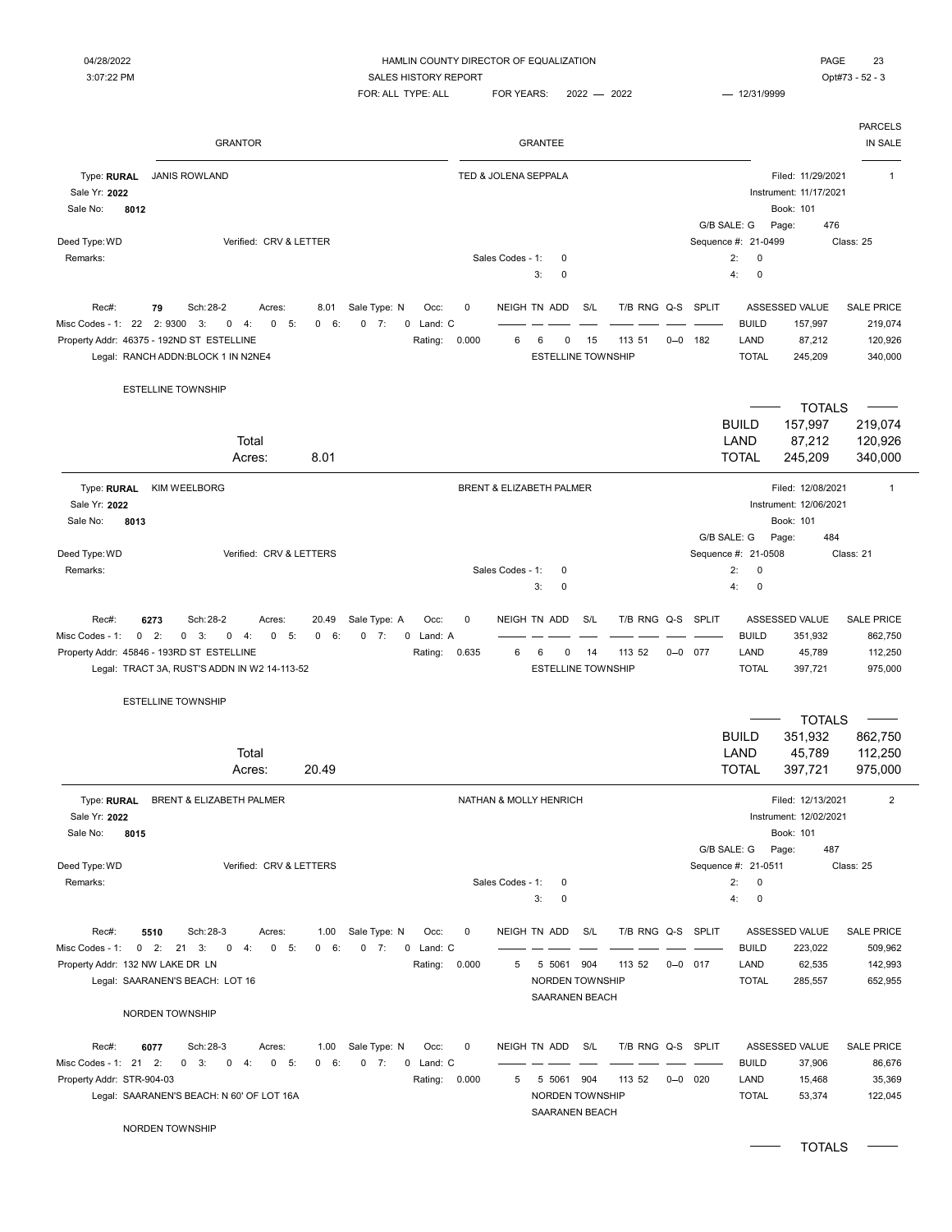| Opt#73 - 52 - 3 |  |
|-----------------|--|
|                 |  |

|                                                  | <b>GRANTOR</b>                                                                                                                                                                                             |                                                           |                      |                  | GRANTEE                                             |           |                       |             |                     |                                      |                                                          | <b>PARCELS</b><br>IN SALE                          |
|--------------------------------------------------|------------------------------------------------------------------------------------------------------------------------------------------------------------------------------------------------------------|-----------------------------------------------------------|----------------------|------------------|-----------------------------------------------------|-----------|-----------------------|-------------|---------------------|--------------------------------------|----------------------------------------------------------|----------------------------------------------------|
| Type: RURAL<br>Sale Yr: 2022<br>Sale No:<br>8012 | <b>JANIS ROWLAND</b>                                                                                                                                                                                       |                                                           | TED & JOLENA SEPPALA |                  |                                                     |           |                       |             |                     |                                      | Filed: 11/29/2021<br>Instrument: 11/17/2021<br>Book: 101 | $\mathbf{1}$                                       |
| Deed Type: WD                                    | Verified: CRV & LETTER                                                                                                                                                                                     |                                                           |                      |                  |                                                     |           |                       |             |                     | G/B SALE: G<br>Sequence #: 21-0499   | Page:<br>476                                             | Class: 25                                          |
| Remarks:                                         |                                                                                                                                                                                                            |                                                           |                      | Sales Codes - 1: | 0                                                   |           |                       |             |                     | 2:<br>0                              |                                                          |                                                    |
|                                                  |                                                                                                                                                                                                            |                                                           |                      |                  | 0<br>3:                                             |           |                       |             |                     | 0<br>4:                              |                                                          |                                                    |
| Rec#:<br>Misc Codes - 1: 22                      | Sch: 28-2<br>79<br>Acres:<br>8.01<br>2:9300<br>3:<br>0<br>4:<br>0<br>5:<br>0<br>6<br>Property Addr: 46375 - 192ND ST ESTELLINE<br>Legal: RANCH ADDN:BLOCK 1 IN N2NE4                                       | Sale Type: N<br>Occ:<br>$0 \t 7:$<br>0 Land: C<br>Rating: | 0<br>0.000           | 6                | NEIGH TN ADD<br>6<br>0<br><b>ESTELLINE TOWNSHIP</b> | S/L<br>15 | T/B RNG Q-S<br>113 51 | $0 - 0$     | <b>SPLIT</b><br>182 | <b>BUILD</b><br>LAND<br><b>TOTAL</b> | ASSESSED VALUE<br>157,997<br>87,212<br>245,209           | <b>SALE PRICE</b><br>219,074<br>120,926<br>340,000 |
|                                                  | <b>ESTELLINE TOWNSHIP</b>                                                                                                                                                                                  |                                                           |                      |                  |                                                     |           |                       |             |                     |                                      |                                                          |                                                    |
|                                                  | Total<br>8.01<br>Acres:                                                                                                                                                                                    |                                                           |                      |                  |                                                     |           |                       |             |                     | <b>BUILD</b><br>LAND<br><b>TOTAL</b> | <b>TOTALS</b><br>157,997<br>87,212<br>245,209            | 219,074<br>120,926<br>340,000                      |
| Type: RURAL                                      | <b>KIM WEELBORG</b>                                                                                                                                                                                        |                                                           |                      |                  | BRENT & ELIZABETH PALMER                            |           |                       |             |                     |                                      | Filed: 12/08/2021                                        | $\mathbf{1}$                                       |
| Sale Yr: 2022<br>8013<br>Sale No:                |                                                                                                                                                                                                            |                                                           |                      |                  |                                                     |           |                       |             |                     | G/B SALE: G                          | Instrument: 12/06/2021<br>Book: 101<br>Page:<br>484      |                                                    |
| Deed Type: WD                                    | Verified: CRV & LETTERS                                                                                                                                                                                    |                                                           |                      |                  |                                                     |           |                       |             |                     | Sequence #: 21-0508                  |                                                          | Class: 21                                          |
| Remarks:                                         |                                                                                                                                                                                                            |                                                           |                      | Sales Codes - 1: | 0<br>3:<br>0                                        |           |                       |             |                     | 2:<br>0<br>4:<br>0                   |                                                          |                                                    |
| Rec#:<br>Misc Codes - 1:                         | Sch: 28-2<br>6273<br>Acres:<br>20.49<br>$0 \t 2$ :<br>$0 \quad 3:$<br>$\mathbf 0$<br>0<br>4:<br>5:<br>0<br>6:<br>Property Addr: 45846 - 193RD ST ESTELLINE<br>Legal: TRACT 3A, RUST'S ADDN IN W2 14-113-52 | Sale Type: A<br>Occ:<br>7:<br>0<br>0 Land: A<br>Rating:   | 0<br>0.635           | 6                | NEIGH TN ADD<br>6<br>0<br><b>ESTELLINE TOWNSHIP</b> | S/L<br>14 | T/B RNG Q-S<br>113 52 | $0 - 0$ 077 | SPLIT               | <b>BUILD</b><br>LAND<br><b>TOTAL</b> | ASSESSED VALUE<br>351,932<br>45,789<br>397,721           | <b>SALE PRICE</b><br>862,750<br>112,250<br>975,000 |
|                                                  | <b>ESTELLINE TOWNSHIP</b>                                                                                                                                                                                  |                                                           |                      |                  |                                                     |           |                       |             |                     |                                      |                                                          |                                                    |
|                                                  |                                                                                                                                                                                                            |                                                           |                      |                  |                                                     |           |                       |             |                     |                                      | <b>TOTALS</b>                                            |                                                    |
|                                                  |                                                                                                                                                                                                            |                                                           |                      |                  |                                                     |           |                       |             |                     | <b>BUILD</b>                         | 351,932                                                  | 862,750                                            |
|                                                  | Total                                                                                                                                                                                                      |                                                           |                      |                  |                                                     |           |                       |             |                     | LAND                                 | 45,789                                                   | 112,250                                            |
|                                                  | 20.49<br>Acres:                                                                                                                                                                                            |                                                           |                      |                  |                                                     |           |                       |             |                     | <b>TOTAL</b>                         | 397,721                                                  | 975,000                                            |
| Type: RURAL<br>Sale Yr: 2022<br>Sale No:<br>8015 | <b>BRENT &amp; ELIZABETH PALMER</b>                                                                                                                                                                        |                                                           |                      |                  | NATHAN & MOLLY HENRICH                              |           |                       |             |                     |                                      | Filed: 12/13/2021<br>Instrument: 12/02/2021<br>Book: 101 | $\overline{2}$                                     |
|                                                  |                                                                                                                                                                                                            |                                                           |                      |                  |                                                     |           |                       |             |                     | G/B SALE: G                          | Page:<br>487                                             |                                                    |
| Deed Type: WD<br>Remarks:                        | Verified: CRV & LETTERS                                                                                                                                                                                    |                                                           |                      | Sales Codes - 1: | 0                                                   |           |                       |             |                     | Sequence #: 21-0511<br>2:<br>0       |                                                          | Class: 25                                          |
|                                                  |                                                                                                                                                                                                            |                                                           |                      |                  | 3:<br>0                                             |           |                       |             |                     | 4:<br>0                              |                                                          |                                                    |
| Rec#:<br>Misc Codes - 1:                         | 5510<br>Sch: 28-3<br>1.00<br>Acres:<br>$0$ 2: 21 3:<br>0 6:<br>$0 \t 4:$<br>$0 - 5:$                                                                                                                       | Sale Type: N<br>Occ:<br>$0 \t 7:$<br>0 Land: C            | 0                    |                  | NEIGH TN ADD                                        | S/L       | T/B RNG Q-S SPLIT     |             |                     | <b>BUILD</b>                         | ASSESSED VALUE<br>223,022                                | SALE PRICE<br>509,962                              |
| Property Addr: 132 NW LAKE DR LN                 | Legal: SAARANEN'S BEACH: LOT 16                                                                                                                                                                            | Rating:                                                   | 0.000                | 5                | 5 5061<br>NORDEN TOWNSHIP                           | 904       | 113 52                | $0 - 0$ 017 |                     | LAND<br><b>TOTAL</b>                 | 62,535<br>285,557                                        | 142,993<br>652,955                                 |
|                                                  | NORDEN TOWNSHIP                                                                                                                                                                                            |                                                           |                      |                  | <b>SAARANEN BEACH</b>                               |           |                       |             |                     |                                      |                                                          |                                                    |
| Rec#:                                            | 6077<br>Sch: 28-3<br>Acres:<br>1.00                                                                                                                                                                        | Sale Type: N<br>Occ:                                      | 0                    |                  | NEIGH TN ADD                                        | S/L       | T/B RNG Q-S SPLIT     |             |                     |                                      | ASSESSED VALUE                                           | <b>SALE PRICE</b>                                  |
| Misc Codes - 1: 21 2:                            | $0 \quad 3:$<br>0<br>$0 - 5:$<br>0 6:<br>-4:                                                                                                                                                               | $0 \t 7:$<br>0 Land: C                                    |                      |                  |                                                     |           |                       |             |                     | <b>BUILD</b>                         | 37,906                                                   | 86,676                                             |
| Property Addr: STR-904-03                        | Legal: SAARANEN'S BEACH: N 60' OF LOT 16A                                                                                                                                                                  | Rating:                                                   | 0.000                | 5                | 5 5061<br>NORDEN TOWNSHIP<br>SAARANEN BEACH         | 904       | 113 52                | $0 - 0$     | 020                 | LAND<br><b>TOTAL</b>                 | 15,468<br>53,374                                         | 35,369<br>122,045                                  |
|                                                  | NORDEN TOWNSHIP                                                                                                                                                                                            |                                                           |                      |                  |                                                     |           |                       |             |                     |                                      |                                                          |                                                    |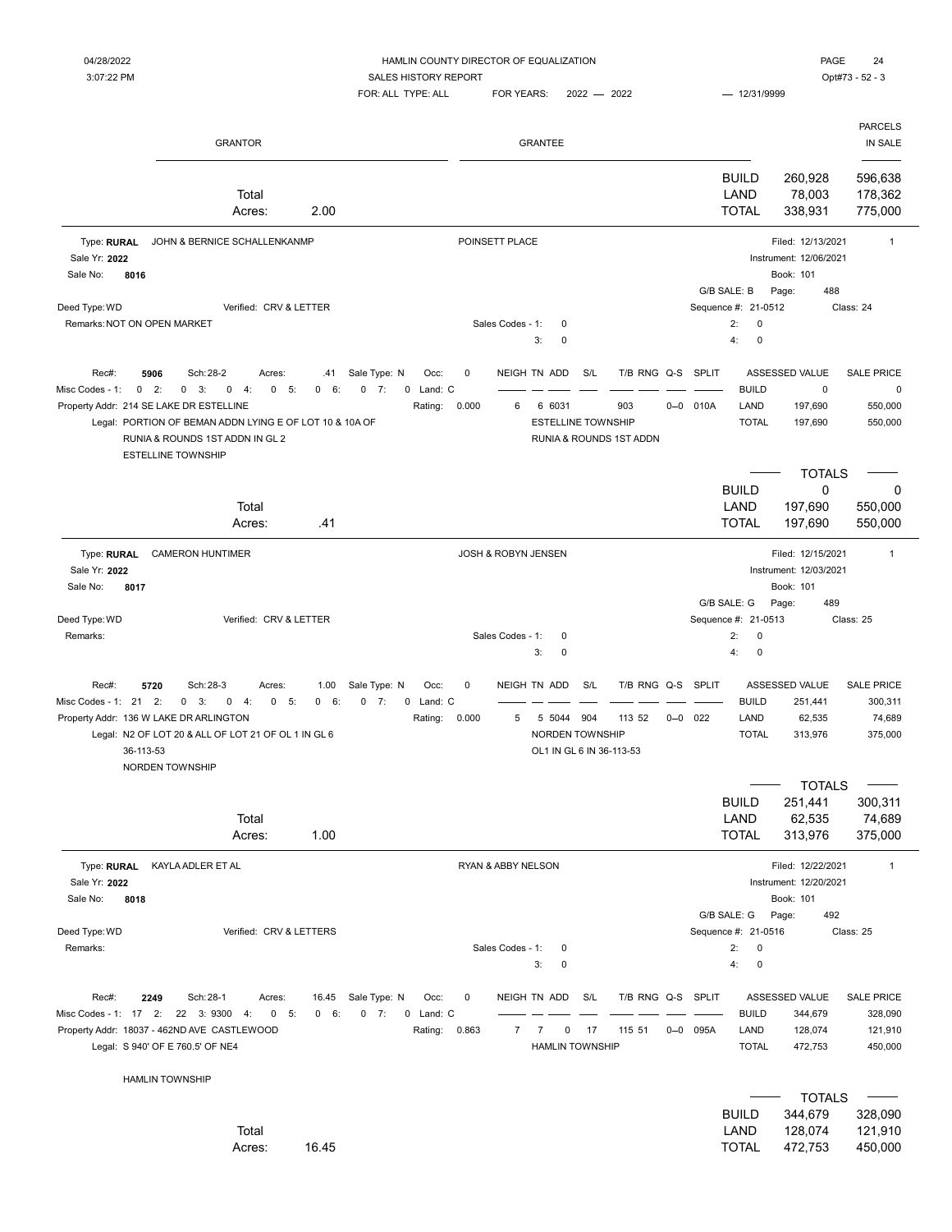| 04/28/2022 | HAMLIN COUNTY DIRECTOR OF EQUALIZATION | PAGE            | 24 |
|------------|----------------------------------------|-----------------|----|
| 3:07:22 PM | <b>SALES HISTORY REPORT</b>            | Opt#73 - 52 - 3 |    |

|                                                  |                              | FOR: ALL TYPE: ALL | <b>FOR YEARS:</b> | $2022 - 2022$ | $- 12/31/9999$                       |                                                                          |                               |
|--------------------------------------------------|------------------------------|--------------------|-------------------|---------------|--------------------------------------|--------------------------------------------------------------------------|-------------------------------|
|                                                  | <b>GRANTOR</b>               |                    | <b>GRANTEE</b>    |               |                                      |                                                                          | <b>PARCELS</b><br>IN SALE     |
|                                                  | Total<br>2.00<br>Acres:      |                    |                   |               | <b>BUILD</b><br>LAND<br><b>TOTAL</b> | 260,928<br>78,003<br>338,931                                             | 596,638<br>178,362<br>775,000 |
| Type: RURAL<br>Sale Yr: 2022<br>Sale No:<br>8016 | JOHN & BERNICE SCHALLENKANMP |                    | POINSETT PLACE    |               | G/B SALE: B                          | Filed: 12/13/2021<br>Instrument: 12/06/2021<br>Book: 101<br>488<br>Page: |                               |

**TOTALS** 

Sale No: 8016 Deed Type: WD Class: 24 Class: 24 Class: 24 Class: 24 Class: 24 Class: 24 Remarks:NOT ON OPEN MARKET **Sales Codes - 1: 0** 2: 0 3: 0 4: 0 Rec#: 5906 Sch:28-2 Acres: .41 Sale Type: N Occ: 0 NEIGH TN ADD S/L T/B RNG Q-S SPLIT ASSESSED VALUE SALE PRICE Misc Codes - 1: 0 5: 0 6: 0 7: 0 2: 0 3: 0 4: 0 Land: C BUILD 0 0 Property Addr: 214 SE LAKE DR ESTELLINE **Rating: 0.000** 6 6031 903 0-0 010A LAND 197,690 550,000 Legal: PORTION OF BEMAN ADDN LYING E OF LOT 10 & 10A OF **EXAMPLE ADDITED ASSOCIATED AT A CONTACT A** STOLOGY 550,000 RUNIA & ROUNDS 1ST ADDN IN GL 2 RUNIA & ROUNDS 1ST ADDN ESTELLINE TOWNSHIP BUILD 0 0 Total LAND 197,690 550,000 Acres: .41 TOTAL 197,690 550,000 Type: RURAL CAMERON HUNTIMER **RURAL CAMERON HUNTIMER** 1 Sale Yr: **2022** Instrument: 12/03/2021

Sale No: **8017** Book: 101 G/B SALE: G Page: 489 Deed Type: WD Class: 25 Class: 25 Remarks: Sales Codes - 1: 0 2: 0  $3: 0$  4: 0 Rec#: 5720 Sch:28-3 Acres: 1.00 Sale Type: N Occ: 0 NEIGH TN ADD S/L T/B RNG Q-S SPLIT ASSESSED VALUE SALE PRICE Misc Codes - 1: 21 2: 0 3: 0 4: 0 5: 0 6: 0 7: 0 Land: C – – – – – – – – – – – BUILD 251,441 300,311 Property Addr: 136 W LAKE DR ARLINGTON **Rating: 0.000** 5 5044 904 113 52 0-0 022 LAND 62,535 74,689 Legal: N2 OF LOT 20 & ALL OF LOT 21 OF OL 1 IN GL 6 NORDEN TOWNSHIP NORDEN TOWNSHIP TOTAL 313,976 375,000 36-113-53 OL1 IN GL 6 IN 36-113-53 NORDEN TOWNSHIP

|                                                                                                         |                     |                                  |                           |                     | <b>TOTALS</b>          |                   |
|---------------------------------------------------------------------------------------------------------|---------------------|----------------------------------|---------------------------|---------------------|------------------------|-------------------|
|                                                                                                         |                     |                                  |                           | <b>BUILD</b>        | 251,441                | 300,311           |
| Total                                                                                                   |                     |                                  |                           | LAND                | 62,535                 | 74,689            |
| 1.00<br>Acres:                                                                                          |                     |                                  |                           | <b>TOTAL</b>        | 313,976                | 375,000           |
| Type: RURAL<br>KAYLA ADLER ET AL                                                                        |                     | <b>RYAN &amp; ABBY NELSON</b>    |                           |                     | Filed: 12/22/2021      | 1                 |
| Sale Yr: 2022                                                                                           |                     |                                  |                           |                     | Instrument: 12/20/2021 |                   |
| Sale No:<br>8018                                                                                        |                     |                                  |                           |                     | Book: 101              |                   |
|                                                                                                         |                     |                                  |                           | G/B SALE: G         | 492<br>Page:           |                   |
| Verified: CRV & LETTERS<br>Deed Type: WD                                                                |                     |                                  |                           | Sequence #: 21-0516 |                        | Class: 25         |
| Remarks:                                                                                                |                     | Sales Codes - 1:<br>0            |                           | 2:<br>$\mathbf{0}$  |                        |                   |
|                                                                                                         |                     | 3:<br>0                          |                           | 4:<br>$\mathbf 0$   |                        |                   |
| Rec#:<br>Sch: 28-1<br>Sale Type: N<br>2249<br>16.45<br>Acres:                                           | $\mathbf 0$<br>Occ: | NEIGH TN ADD<br>S/L              | T/B RNG Q-S               | <b>SPLIT</b>        | ASSESSED VALUE         | <b>SALE PRICE</b> |
| 5:<br>2:<br>22<br>3:9300<br>$\mathbf 0$<br>$0 \t 6$<br>7:<br>Misc Codes - 1:<br>17<br>$\mathbf 0$<br>4: | 0 Land: C           |                                  |                           | <b>BUILD</b>        | 344,679                | 328,090           |
| Property Addr: 18037 - 462ND AVE CASTLEWOOD                                                             | 0.863<br>Rating:    | 17<br>$\overline{7}$<br>$\Omega$ | 115 51<br>$0 - 0$<br>095A | LAND                | 128,074                | 121,910           |
| Legal: S 940' OF E 760.5' OF NE4                                                                        |                     | <b>HAMLIN TOWNSHIP</b>           |                           | <b>TOTAL</b>        | 472,753                | 450,000           |
| <b>HAMLIN TOWNSHIP</b>                                                                                  |                     |                                  |                           |                     |                        |                   |

|        |       |              | $\overline{\phantom{a}}$ totals $\overline{\phantom{a}}$ |         |
|--------|-------|--------------|----------------------------------------------------------|---------|
|        |       | <b>BUILD</b> | 344.679 328.090                                          |         |
| Total  |       | LAND         | 128.074  121.910                                         |         |
| Acres: | 16.45 | TOTAL        | 472.753                                                  | 450.000 |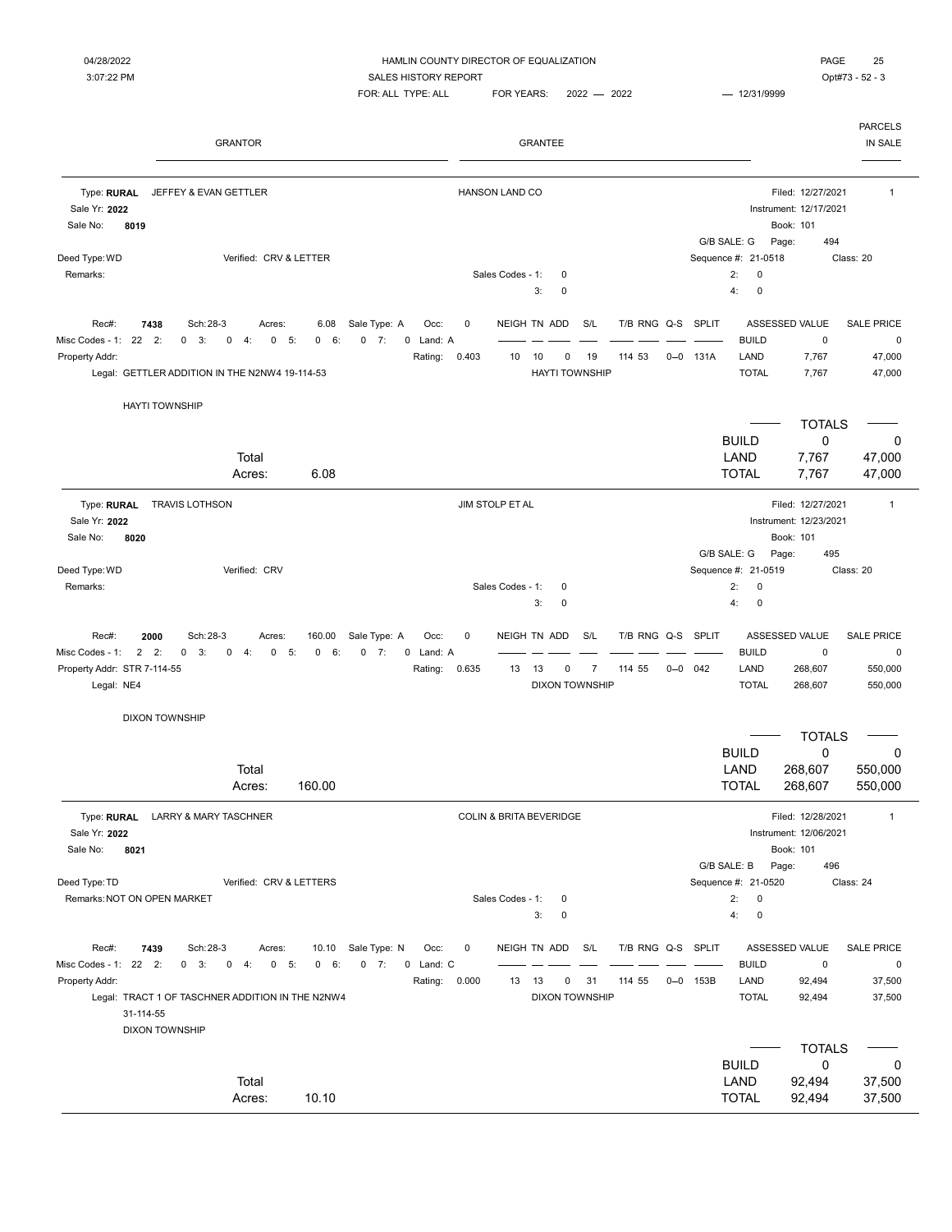| <b>GRANTOR</b>                                                                                                                                                                                                                                                           | <b>GRANTEE</b>                                                                                                                                                        | <b>PARCELS</b><br>IN SALE                                                                                                                                             |
|--------------------------------------------------------------------------------------------------------------------------------------------------------------------------------------------------------------------------------------------------------------------------|-----------------------------------------------------------------------------------------------------------------------------------------------------------------------|-----------------------------------------------------------------------------------------------------------------------------------------------------------------------|
| Type: RURAL<br>JEFFEY & EVAN GETTLER                                                                                                                                                                                                                                     | <b>HANSON LAND CO</b>                                                                                                                                                 | Filed: 12/27/2021<br>1                                                                                                                                                |
| Sale Yr: 2022<br>Sale No:<br>8019                                                                                                                                                                                                                                        |                                                                                                                                                                       | Instrument: 12/17/2021<br>Book: 101                                                                                                                                   |
| Verified: CRV & LETTER<br>Deed Type: WD<br>Remarks:                                                                                                                                                                                                                      | Sales Codes - 1:<br>0<br>3:<br>$\mathbf 0$                                                                                                                            | G/B SALE: G<br>Page:<br>494<br>Sequence #: 21-0518<br>Class: 20<br>2:<br>0<br>4:<br>$\mathbf 0$                                                                       |
| Rec#:<br>7438<br>Sch: 28-3<br>Sale Type: A<br>6.08<br>Acres:<br>Misc Codes - 1:<br>22<br>2:<br>$\mathbf{0}$<br>3:<br>$\mathbf 0$<br>5:<br>0<br>4:<br>0<br>0<br>6:<br>$-7:$<br>0<br>Property Addr:<br>Legal: GETTLER ADDITION IN THE N2NW4 19-114-53                      | NEIGH TN ADD<br>S/L<br>T/B RNG Q-S<br>Occ:<br>0<br>Land: A<br>0.403<br>10<br>19<br>114 53<br>$0 - 0$<br>Rating:<br>10<br>0<br><b>HAYTI TOWNSHIP</b>                   | <b>SPLIT</b><br>ASSESSED VALUE<br><b>SALE PRICE</b><br><b>BUILD</b><br>$\mathsf 0$<br>$\pmb{0}$<br>131A<br>LAND<br>7,767<br>47,000<br><b>TOTAL</b><br>47,000<br>7,767 |
| <b>HAYTI TOWNSHIP</b>                                                                                                                                                                                                                                                    |                                                                                                                                                                       |                                                                                                                                                                       |
| Total                                                                                                                                                                                                                                                                    |                                                                                                                                                                       | <b>TOTALS</b><br><b>BUILD</b><br>0<br>$\mathbf 0$<br>LAND<br>7,767<br>47,000                                                                                          |
| 6.08<br>Acres:                                                                                                                                                                                                                                                           |                                                                                                                                                                       | <b>TOTAL</b><br>7,767<br>47,000                                                                                                                                       |
| Type: RURAL<br><b>TRAVIS LOTHSON</b><br>Sale Yr: 2022<br>8020<br>Sale No:                                                                                                                                                                                                | JIM STOLP ET AL                                                                                                                                                       | Filed: 12/27/2021<br>$\mathbf{1}$<br>Instrument: 12/23/2021<br>Book: 101<br>G/B SALE: G<br>Page:<br>495                                                               |
| Deed Type: WD<br>Verified: CRV<br>Remarks:                                                                                                                                                                                                                               | Sales Codes - 1:<br>0<br>3:<br>$\mathbf 0$                                                                                                                            | Sequence #: 21-0519<br>Class: 20<br>2:<br>0<br>4:<br>$\mathbf 0$                                                                                                      |
| 2000<br>Sch: 28-3<br>Sale Type: A<br>Rec#:<br>Acres:<br>160.00<br>$\overline{2}$<br>2:<br>0<br>7:<br>Misc Codes - 1:<br>0<br>3:<br>0<br>4:<br>0<br>5:<br>0<br>6<br>0<br>Property Addr: STR 7-114-55<br>Legal: NE4                                                        | NEIGH TN ADD<br>S/L<br>T/B RNG Q-S SPLIT<br>Occ:<br>0<br>Land: A<br>$\overline{7}$<br>Rating:<br>0.635<br>13<br>13<br>0<br>114 55<br>$0 - 0$<br><b>DIXON TOWNSHIP</b> | ASSESSED VALUE<br><b>SALE PRICE</b><br><b>BUILD</b><br>$\pmb{0}$<br>0<br>042<br>LAND<br>550,000<br>268,607<br><b>TOTAL</b><br>268,607<br>550,000                      |
| <b>DIXON TOWNSHIP</b>                                                                                                                                                                                                                                                    |                                                                                                                                                                       | <b>TOTALS</b>                                                                                                                                                         |
| Total<br>160.00<br>Acres:                                                                                                                                                                                                                                                |                                                                                                                                                                       | <b>BUILD</b><br>$\mathbf 0$<br>0<br>LAND<br>268,607<br>550,000<br><b>TOTAL</b><br>268,607<br>550,000                                                                  |
| Type: RURAL LARRY & MARY TASCHNER<br>Sale Yr: 2022<br>Sale No:<br>8021                                                                                                                                                                                                   | COLIN & BRITA BEVERIDGE                                                                                                                                               | Filed: 12/28/2021<br>$\mathbf{1}$<br>Instrument: 12/06/2021<br>Book: 101<br>G/B SALE: B<br>Page:<br>496                                                               |
| Deed Type: TD<br>Verified: CRV & LETTERS<br>Remarks: NOT ON OPEN MARKET                                                                                                                                                                                                  | Sales Codes - 1:<br>0<br>3:<br>$\mathbf 0$                                                                                                                            | Sequence #: 21-0520<br>Class: 24<br>2:<br>$\mathbf 0$<br>4:<br>$\pmb{0}$                                                                                              |
| Rec#:<br>7439<br>Sch: 28-3<br>Sale Type: N<br>10.10<br>Acres:<br>Misc Codes - 1: 22 2:<br>$0 \quad 3:$<br>$0 \t 7:$<br>0<br>4:<br>$\mathbf{0}$<br>5:<br>0 6:<br>Property Addr:<br>Legal: TRACT 1 OF TASCHNER ADDITION IN THE N2NW4<br>31-114-55<br><b>DIXON TOWNSHIP</b> | NEIGH TN ADD<br>S/L<br>T/B RNG Q-S SPLIT<br>0<br>Occ:<br>0 Land: C<br>Rating: 0.000<br>13 13<br>31<br>114 55<br>0<br><b>DIXON TOWNSHIP</b>                            | ASSESSED VALUE<br><b>SALE PRICE</b><br><b>BUILD</b><br>$\pmb{0}$<br>0<br>LAND<br>$0 - 0$ 153B<br>92,494<br>37,500<br><b>TOTAL</b><br>37,500<br>92,494                 |
|                                                                                                                                                                                                                                                                          |                                                                                                                                                                       | <b>TOTALS</b>                                                                                                                                                         |
| Total<br>10.10<br>Acres:                                                                                                                                                                                                                                                 |                                                                                                                                                                       | <b>BUILD</b><br>0<br>0<br>LAND<br>92,494<br>37,500<br><b>TOTAL</b><br>92,494<br>37,500                                                                                |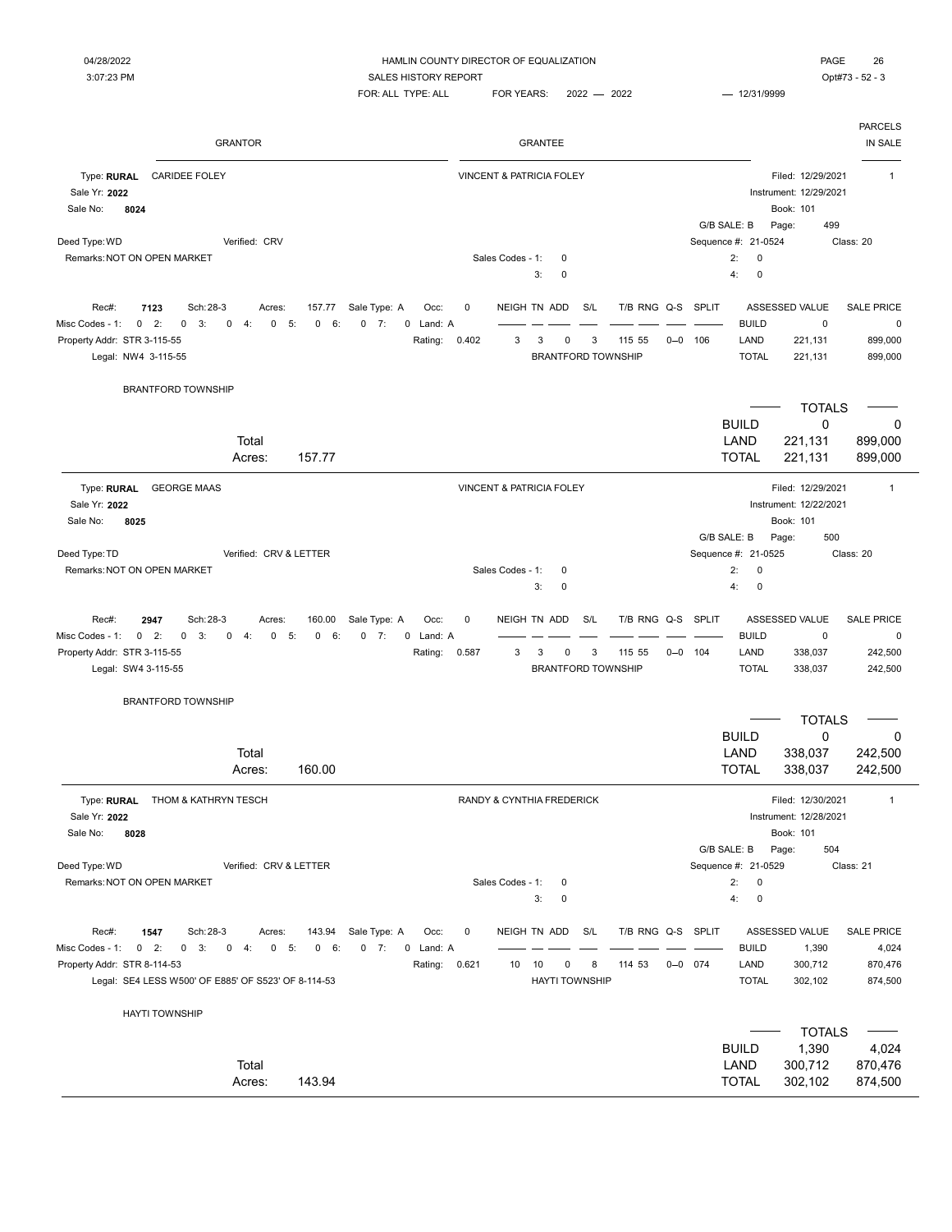| PAGE      | 21 |  |
|-----------|----|--|
| Ont#73 52 |    |  |

| <b>GRANTOR</b>                                                                                                                                                                                                                                                                                | <b>GRANTEE</b>                                                                                                                      | <b>PARCELS</b><br>IN SALE                                                                                                                   |
|-----------------------------------------------------------------------------------------------------------------------------------------------------------------------------------------------------------------------------------------------------------------------------------------------|-------------------------------------------------------------------------------------------------------------------------------------|---------------------------------------------------------------------------------------------------------------------------------------------|
| Type: RURAL<br><b>CARIDEE FOLEY</b><br>Sale Yr: 2022<br>Sale No:<br>8024                                                                                                                                                                                                                      | VINCENT & PATRICIA FOLEY                                                                                                            | Filed: 12/29/2021<br>$\mathbf{1}$<br>Instrument: 12/29/2021<br>Book: 101<br>499<br>G/B SALE: B<br>Page:                                     |
| Deed Type: WD<br>Verified: CRV<br>Remarks: NOT ON OPEN MARKET                                                                                                                                                                                                                                 | Sales Codes - 1:<br>0<br>3:<br>0                                                                                                    | Sequence #: 21-0524<br>Class: 20<br>2:<br>0<br>4:<br>$\mathbf 0$                                                                            |
| Sch: 28-3<br>Rec#:<br>7123<br>Sale Type: A<br>Occ:<br>Acres:<br>157.77<br>$0 \t2$<br>$0$ 7:<br>Misc Codes - 1:<br>0<br>3:<br>$\mathbf 0$<br>4:<br>0<br>5:<br>0<br>6:<br>0 Land: A<br>Property Addr: STR 3-115-55<br>Rating:<br>Legal: NW4 3-115-55                                            | NEIGH TN ADD<br>S/L<br>T/B RNG Q-S SPLIT<br>0<br>3<br>3<br>0.402<br>3<br>0<br>115 55<br>$0 - 0$<br>106<br><b>BRANTFORD TOWNSHIP</b> | <b>ASSESSED VALUE</b><br><b>SALE PRICE</b><br><b>BUILD</b><br>0<br>0<br>LAND<br>221,131<br>899,000<br><b>TOTAL</b><br>221,131<br>899,000    |
| <b>BRANTFORD TOWNSHIP</b>                                                                                                                                                                                                                                                                     |                                                                                                                                     | <b>TOTALS</b><br><b>BUILD</b><br>0<br>0                                                                                                     |
| Total<br>157.77<br>Acres:                                                                                                                                                                                                                                                                     |                                                                                                                                     | LAND<br>221,131<br>899,000<br><b>TOTAL</b><br>221,131<br>899,000                                                                            |
| Type: RURAL<br><b>GEORGE MAAS</b><br>Sale Yr: 2022<br>8025<br>Sale No:                                                                                                                                                                                                                        | VINCENT & PATRICIA FOLEY                                                                                                            | Filed: 12/29/2021<br>$\mathbf{1}$<br>Instrument: 12/22/2021<br>Book: 101                                                                    |
| Deed Type: TD<br>Verified: CRV & LETTER<br>Remarks: NOT ON OPEN MARKET                                                                                                                                                                                                                        | Sales Codes - 1:<br>0<br>0<br>3:                                                                                                    | G/B SALE: B<br>500<br>Page:<br>Sequence #: 21-0525<br>Class: 20<br>2:<br>$\mathbf 0$<br>4:<br>$\mathbf 0$                                   |
| Rec#:<br>Sch: 28-3<br>Sale Type: A<br>2947<br>160.00<br>Occ:<br>Acres:<br>$\mathbf 0$<br>2:<br>$\mathbf 0$<br>3:<br>0<br>$\mathbf 0$<br>0<br>Misc Codes - 1:<br>4:<br>5:<br>0<br>6:<br>7:<br>0 Land: A<br>Property Addr: STR 3-115-55<br>Rating:<br>Legal: SW4 3-115-55                       | NEIGH TN ADD<br>S/L<br>T/B RNG Q-S SPLIT<br>0<br>3<br>3<br>115 55<br>0.587<br>3<br>0<br>$0 - 0$<br>104<br><b>BRANTFORD TOWNSHIP</b> | ASSESSED VALUE<br><b>SALE PRICE</b><br><b>BUILD</b><br>$\mathbf 0$<br>0<br>LAND<br>242,500<br>338,037<br><b>TOTAL</b><br>242,500<br>338,037 |
| <b>BRANTFORD TOWNSHIP</b>                                                                                                                                                                                                                                                                     |                                                                                                                                     | <b>TOTALS</b>                                                                                                                               |
| Total<br>160.00<br>Acres:                                                                                                                                                                                                                                                                     |                                                                                                                                     | 0<br><b>BUILD</b><br>0<br>LAND<br>338,037<br>242,500<br><b>TOTAL</b><br>338,037<br>242,500                                                  |
| Type: RURAL<br>THOM & KATHRYN TESCH<br>Sale Yr: 2022<br>Sale No:<br>8028                                                                                                                                                                                                                      | RANDY & CYNTHIA FREDERICK                                                                                                           | Filed: 12/30/2021<br>$\mathbf{1}$<br>Instrument: 12/28/2021<br>Book: 101                                                                    |
| Deed Type: WD<br>Verified: CRV & LETTER<br>Remarks: NOT ON OPEN MARKET                                                                                                                                                                                                                        | Sales Codes - 1:<br>0<br>3:<br>0                                                                                                    | G/B SALE: B<br>Page:<br>504<br>Sequence #: 21-0529<br>Class: 21<br>2:<br>$\pmb{0}$<br>4:<br>$\pmb{0}$                                       |
| Rec#:<br>1547<br>Sch: 28-3<br>Sale Type: A<br>143.94<br>Occ:<br>Acres:<br>Misc Codes - 1:<br>$0$ 2:<br>$0 \quad 3:$<br>$0 \t 4:$<br>$0 - 5:$<br>6:<br>$0 \t 7:$<br>0 Land: A<br>$\mathbf{0}$<br>Property Addr: STR 8-114-53<br>Rating:<br>Legal: SE4 LESS W500' OF E885' OF S523' OF 8-114-53 | NEIGH TN ADD<br>S/L<br>T/B RNG Q-S SPLIT<br>0<br>10<br>10<br>8<br>114 53<br>$0 - 0$ 074<br>0.621<br>0<br><b>HAYTI TOWNSHIP</b>      | ASSESSED VALUE<br><b>SALE PRICE</b><br><b>BUILD</b><br>4,024<br>1,390<br>LAND<br>300,712<br>870,476<br><b>TOTAL</b><br>302,102<br>874,500   |
| <b>HAYTI TOWNSHIP</b>                                                                                                                                                                                                                                                                         |                                                                                                                                     | <b>TOTALS</b>                                                                                                                               |
| Total<br>143.94<br>Acres:                                                                                                                                                                                                                                                                     |                                                                                                                                     | 1,390<br><b>BUILD</b><br>4,024<br>LAND<br>300,712<br>870,476<br>874,500<br><b>TOTAL</b><br>302,102                                          |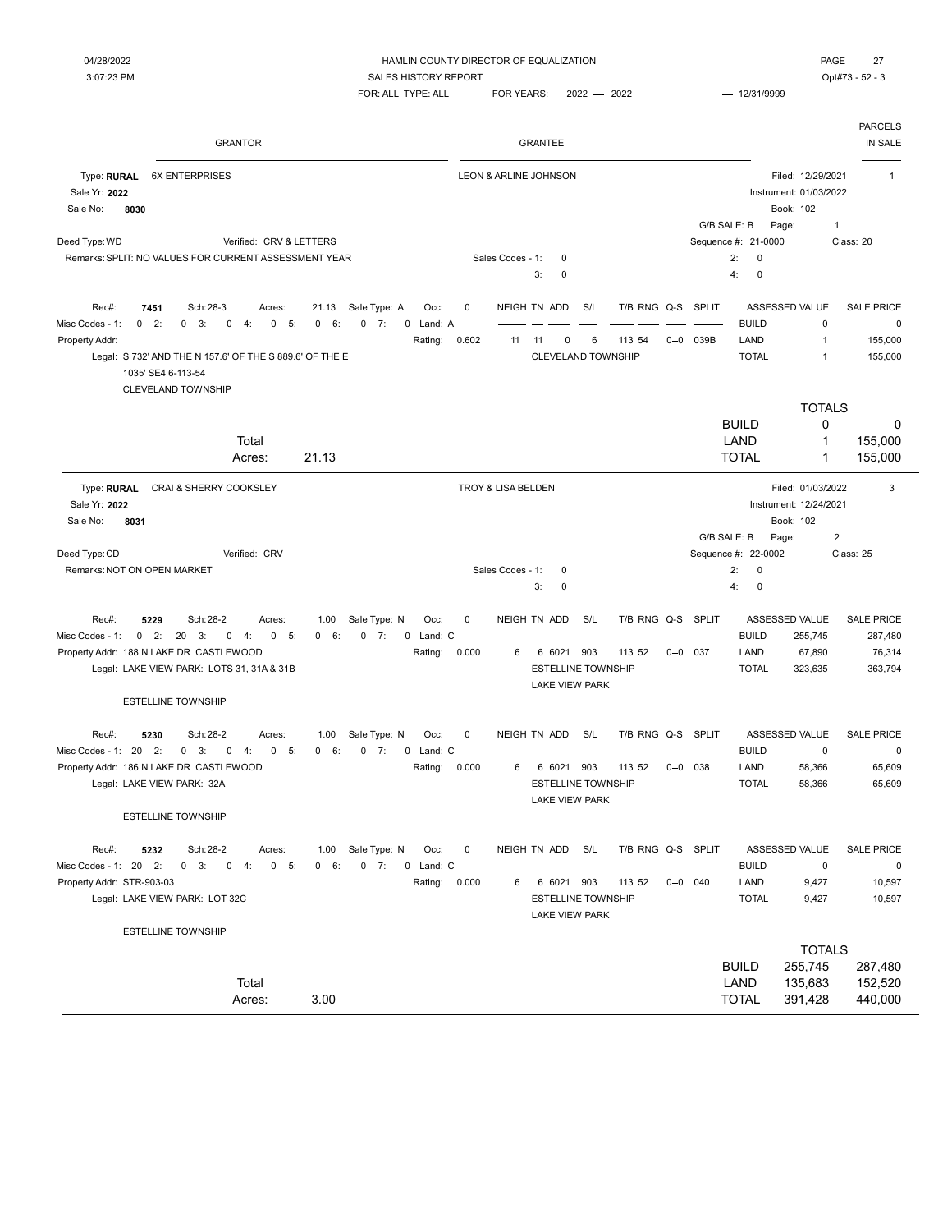| <b>GRANTOR</b>                                                                                                                                                                                                                                              |                                                                                         |                            | <b>GRANTEE</b>                                                                          |                             |                                |                                                               |                                                               | <b>PARCELS</b><br>IN SALE                            |
|-------------------------------------------------------------------------------------------------------------------------------------------------------------------------------------------------------------------------------------------------------------|-----------------------------------------------------------------------------------------|----------------------------|-----------------------------------------------------------------------------------------|-----------------------------|--------------------------------|---------------------------------------------------------------|---------------------------------------------------------------|------------------------------------------------------|
| Type: RURAL<br><b>6X ENTERPRISES</b><br>Sale Yr: 2022<br>Sale No:<br>8030                                                                                                                                                                                   |                                                                                         | LEON & ARLINE JOHNSON      |                                                                                         |                             |                                | Book: 102<br>G/B SALE: B<br>Page:                             | Filed: 12/29/2021<br>Instrument: 01/03/2022<br>$\overline{1}$ | $\mathbf 1$                                          |
| Deed Type: WD<br>Verified: CRV & LETTERS<br>Remarks: SPLIT: NO VALUES FOR CURRENT ASSESSMENT YEAR                                                                                                                                                           |                                                                                         | Sales Codes - 1:           | 0<br>3:<br>0                                                                            |                             |                                | Sequence #: 21-0000<br>2:<br>$\mathbf 0$<br>4:<br>$\mathbf 0$ |                                                               | Class: 20                                            |
| Rec#:<br>7451<br>Sch: 28-3<br>Acres:<br>Misc Codes - 1:<br>$0$ 2:<br>$0 \quad 3:$<br>$\mathbf 0$<br>4:<br>$\mathbf 0$<br>5:<br>Property Addr:<br>Legal: S 732' AND THE N 157.6' OF THE S 889.6' OF THE E<br>1035' SE4 6-113-54<br><b>CLEVELAND TOWNSHIP</b> | 21.13<br>Sale Type: A<br>Occ:<br>6:<br>$0 \t 7:$<br>0 Land: A<br>$\mathbf 0$<br>Rating: | $\mathbf 0$<br>0.602<br>11 | NEIGH TN ADD<br>S/L<br>0<br>6<br>11<br>CLEVELAND TOWNSHIP                               | T/B RNG Q-S SPLIT<br>113 54 | 039B<br>$0 - 0$                | ASSESSED VALUE<br><b>BUILD</b><br>LAND<br><b>TOTAL</b>        | $\mathbf 0$<br>$\mathbf{1}$<br>$\mathbf{1}$                   | <b>SALE PRICE</b><br>0<br>155,000<br>155,000         |
| Total<br>Acres:                                                                                                                                                                                                                                             | 21.13                                                                                   |                            |                                                                                         |                             |                                | <b>BUILD</b><br>LAND<br><b>TOTAL</b>                          | <b>TOTALS</b><br>0<br>1<br>$\mathbf{1}$                       | 0<br>155,000<br>155,000                              |
| Type: RURAL<br>CRAI & SHERRY COOKSLEY<br>Sale Yr: 2022<br>Sale No:<br>8031                                                                                                                                                                                  |                                                                                         | TROY & LISA BELDEN         |                                                                                         |                             |                                | Book: 102<br>G/B SALE: B<br>Page:                             | Filed: 01/03/2022<br>Instrument: 12/24/2021<br>$\overline{2}$ | 3                                                    |
| Deed Type: CD<br>Verified: CRV<br>Remarks: NOT ON OPEN MARKET                                                                                                                                                                                               |                                                                                         | Sales Codes - 1:           | 0<br>0<br>3:                                                                            |                             |                                | Sequence #: 22-0002<br>2:<br>0<br>4:<br>0                     |                                                               | Class: 25                                            |
| Rec#:<br>Sch: 28-2<br>5229<br>Acres:<br>$0 \t2$ :<br>20<br>Misc Codes - 1:<br>3:<br>0<br>4:<br>$\mathbf 0$<br>5:<br>Property Addr: 188 N LAKE DR CASTLEWOOD<br>Legal: LAKE VIEW PARK: LOTS 31, 31A & 31B<br><b>ESTELLINE TOWNSHIP</b>                       | Sale Type: N<br>1.00<br>Occ:<br>0 Land: C<br>$\mathbf{0}$<br>6:<br>$0 \t 7:$<br>Rating: | 0<br>0.000<br>6            | S/L<br>NEIGH TN ADD<br>6 6021 903<br><b>ESTELLINE TOWNSHIP</b><br><b>LAKE VIEW PARK</b> | T/B RNG Q-S<br>113 52       | <b>SPLIT</b><br>$0 - 0$<br>037 | ASSESSED VALUE<br><b>BUILD</b><br>LAND<br><b>TOTAL</b>        | 255,745<br>67,890<br>323,635                                  | <b>SALE PRICE</b><br>287,480<br>76,314<br>363,794    |
| 5230<br>Sch: 28-2<br>Rec#:<br>Acres:<br>Misc Codes - 1: 20<br>2:<br>3:<br>$\mathbf 0$<br>4:<br>$\mathbf 0$<br>5:<br>0<br>Property Addr: 186 N LAKE DR CASTLEWOOD<br>Legal: LAKE VIEW PARK: 32A<br><b>ESTELLINE TOWNSHIP</b>                                 | Sale Type: N<br>1.00<br>Occ:<br>$0 \t 7:$<br>0 Land: C<br>$\mathbf{0}$<br>6:<br>Rating: | $\mathbf 0$<br>0.000<br>6  | NEIGH TN ADD<br>S/L<br>6 6021 903<br><b>ESTELLINE TOWNSHIP</b><br><b>LAKE VIEW PARK</b> | T/B RNG Q-S SPLIT<br>113 52 | $0 - 0$ 038                    | ASSESSED VALUE<br><b>BUILD</b><br>LAND<br><b>TOTAL</b>        | $\mathsf 0$<br>58,366<br>58,366                               | <b>SALE PRICE</b><br>0<br>65,609<br>65,609           |
| Rec#:<br>5232<br>Sch: 28-2<br>Acres:<br>Misc Codes - 1: 20 2:<br>$0 \quad 3:$<br>$\mathbf 0$<br>4:<br>$\overline{0}$<br>5:<br>Property Addr: STR-903-03<br>Legal: LAKE VIEW PARK: LOT 32C                                                                   | Sale Type: N<br>1.00<br>Occ:<br>0 6:<br>$0 \t 7:$<br>0 Land: C<br>Rating:               | $\mathbf 0$<br>0.000<br>6  | NEIGH TN ADD<br>S/L<br>6 6021 903<br><b>ESTELLINE TOWNSHIP</b><br><b>LAKE VIEW PARK</b> | T/B RNG Q-S<br>113 52       | <b>SPLIT</b><br>$0 - 0$ 040    | ASSESSED VALUE<br><b>BUILD</b><br>LAND<br><b>TOTAL</b>        | $\mathsf 0$<br>9,427<br>9,427                                 | <b>SALE PRICE</b><br>$\mathbf 0$<br>10,597<br>10,597 |
| <b>ESTELLINE TOWNSHIP</b><br>Total<br>Acres:                                                                                                                                                                                                                | 3.00                                                                                    |                            |                                                                                         |                             |                                | <b>BUILD</b><br>LAND<br><b>TOTAL</b>                          | <b>TOTALS</b><br>255,745<br>135,683<br>391,428                | 287,480<br>152,520<br>440,000                        |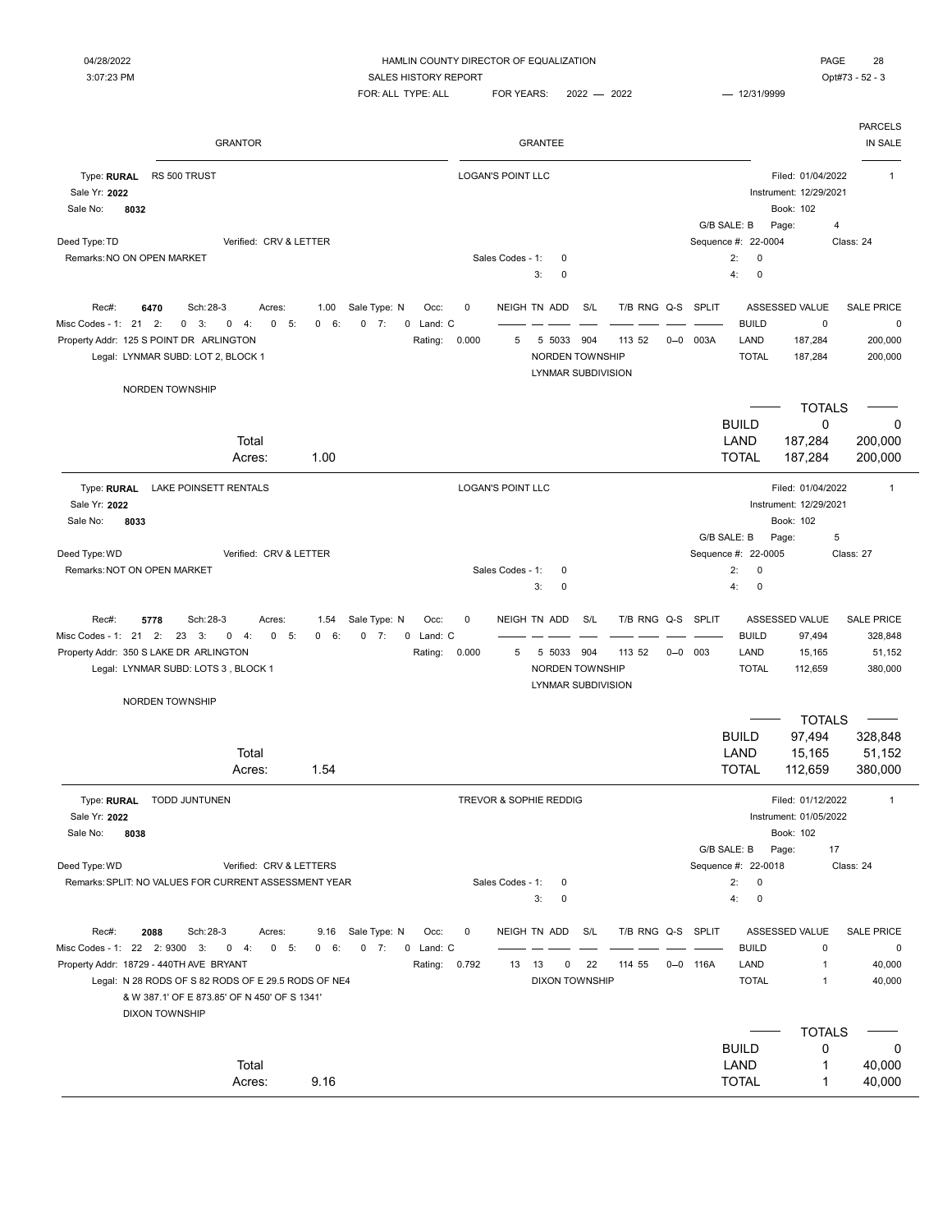PARCELS

04/28/2022 HAMLIN COUNTY DIRECTOR OF EQUALIZATION PAGE 28 3:07:23 PM SALES HISTORY REPORT SERVICES AND SALES HISTORY REPORT FOR: ALL TYPE: ALL FOR YEARS: 2022 - 2022 - 2021 - 12/31/9999 GRANTOR GRANTEE IN SALE Type: RURAL RS 500 TRUST **RURAL RIS** 500 TRUST **RURAL RIS RURAL RIS 2010 RURAL RIS 2010 RURAL RIS 500 TRUST** Sale Yr: **2022** Instrument: 12/29/2021 Sale No: **8032** Book: 102 G/B SALE: B Page: 4 Deed Type: TD **Sequence #: 22-0004** Class: 24 Remarks: NO ON OPEN MARKET COMES AND SALES Codes - 1: 0 2: 0 3: 0 4: 0 Rec#: 6470 Sch:28-3 Acres: 1.00 Sale Type: N Occ: 0 NEIGH TN ADD S/L T/B RNG Q-S SPLIT ASSESSED VALUE SALE PRICE Misc Codes - 1: 21 5: 0 6: 0 7: 0 2: 0 3: 0 4: 0 Land: C BUILD 0 0 Property Addr: 125 S POINT DR ARLINGTON **Rating: 0.000** 5 5033 904 113 52 0-0 003A LAND 187,284 200,000 Legal: LYNMAR SUBD: LOT 2, BLOCK 1 NORDEN TOWNSHIP TOTAL 187,284 200,000 LYNMAR SUBDIVISION NORDEN TOWNSHIP  $\frac{1}{2}$ TOTALS BUILD 0 0 Total LAND 187,284 200,000 Acres: 1.00 TOTAL 187,284 200,000 Type: RURAL LAKE POINSETT RENTALS **Rural LOGAN'S POINT LACKET CONTROL** COMPONER RURAL REPOINT AND RESEARCH 2022 Sale Yr: **2022** Instrument: 12/29/2021 Sale No: **8033** Book: 102 G/B SALE: B Page: 5 Deed Type: WD Class: 27 Class: 27 Remarks:NOT ON OPEN MARKET Sales Codes - 1: 0 2: 0 3: 0 4: 0 Rec#: 5778 Sch:28-3 Acres: 1.54 Sale Type: N Occ: 0 NEIGH TN ADD S/L T/B RNG Q-S SPLIT ASSESSED VALUE SALE PRICE Misc Codes - 1: 21 2: 23 3: 0 4: 0 5: 0 6: 0 7: 0 Land: C – – – – – – – – – – – BUILD 97,494 328,848 Property Addr: 350 S LAKE DR ARLINGTON **Ration Computer Station Rating: 0.000** 5 5 5033 904 113 52 0-0 003 LAND 15,165 51,152 Legal: LYNMAR SUBD: LOTS 3 , BLOCK 1 NORDEN TOWNSHIP NORDEN TOWNSHIP TOTAL 112,659 380,000 LYNMAR SUBDIVISION NORDEN TOWNSHIP TOTALS BUILD 97,494 328,848 Total LAND 15,165 51,152 Acres: 1.54 TOTAL 112,659 380,000 Type: **RURAL** TODD JUNTUNEN **RURAL TODD JUNTUNEN RURAL TODD ASSOPHIE REDDIG RURAL TODD JUNTUNEN** 1 Sale Yr: **2022** Instrument: 01/05/2022 Sale No: **8038** Book: 102 G/B SALE: B Page: 17 Deed Type: WD Class: 24 Critical: CRV & LETTERS Class: 24 Class: 24 Class: 24 Remarks: SPLIT: NO VALUES FOR CURRENT ASSESSMENT YEAR Sales Codes - 1: 0 2: 0 2: 0 3: 0 4: 0 Rec#: 2088 Sch:28-3 Acres: 9.16 Sale Type: N Occ: 0 NEIGH TN ADD S/L T/B RNG Q-S SPLIT ASSESSED VALUE SALE PRICE Misc Codes - 1: 22 2: 9300 3: 0 4: 0 5: 0 6: 0 7: 0 Land: C – – – – – – – – – – – – BUILD 0 0 0 Property Addr: 18729 - 440TH AVE BRYANT **Rating: 0.792** 13 13 0 22 114 55 0-0 116A LAND 1 40,000 Legal: N 28 RODS OF S 82 RODS OF E 29.5 RODS OF NE4 DIXON TOWNSHIP DIXON TOWNSHIP TOTAL 1 40,000

DIXON TOWNSHIP TOTALS BUILD 0 0 Total LAND 1 40,000 Acres: 9.16 Photo 2012 - 2013 - 2014 10:000 Photo 2014 10:000 Photo 2014 10:000 Photo 2014 10:000 Photo 2014 1

& W 387.1' OF E 873.85' OF N 450' OF S 1341'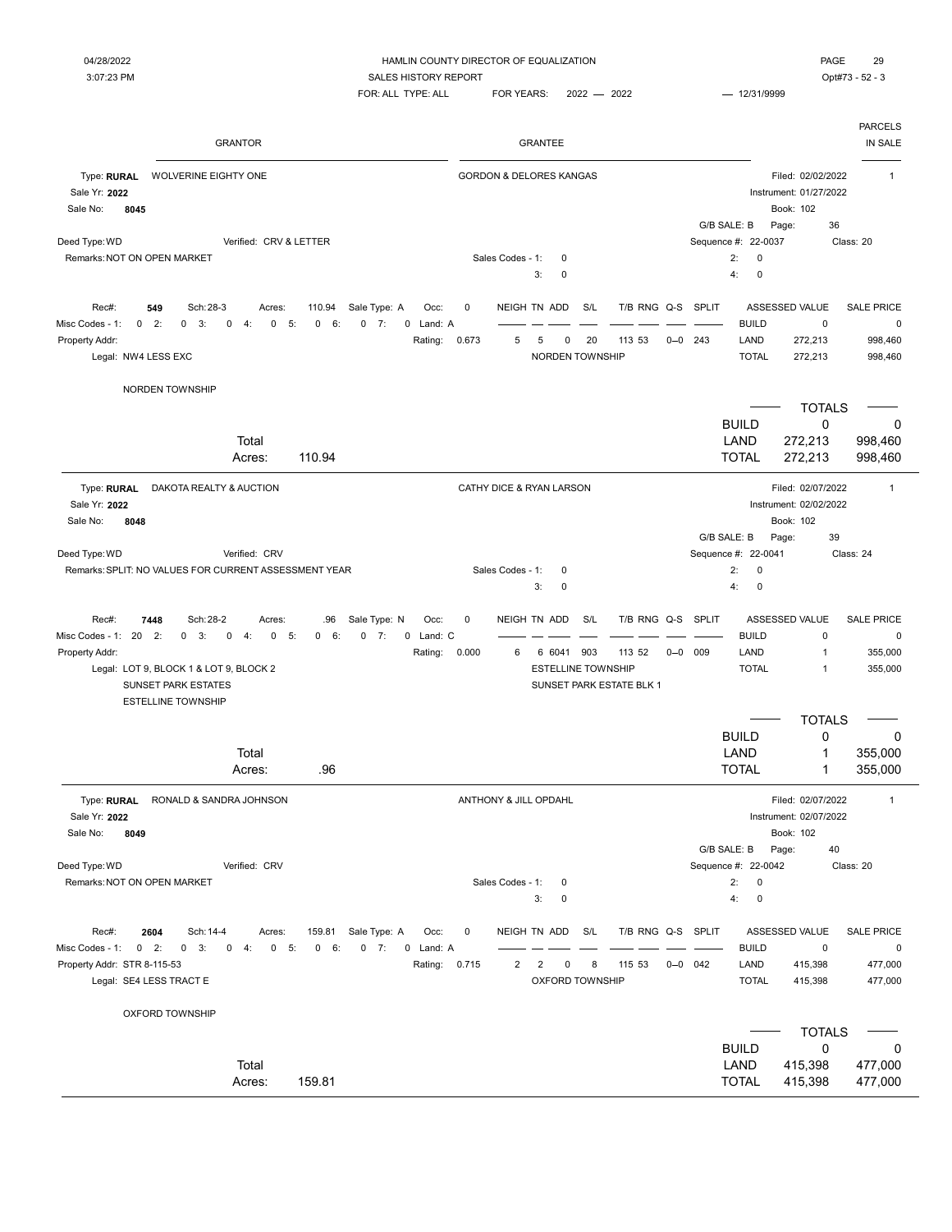$FOR: ALL TYPE: ALL \qquad FOR YEARS: \qquad 2022 \qquad \qquad 2022 \qquad \qquad 12/31/9999$ 

| PAGE   | つく |
|--------|----|
| - 1170 |    |

|                                                                                                         | <b>GRANTOR</b>                                                                                          |                   |                                    | <b>GRANTEE</b>                                |     |                                    |             |              |                                          |                                                          | <b>PARCELS</b><br>IN SALE      |
|---------------------------------------------------------------------------------------------------------|---------------------------------------------------------------------------------------------------------|-------------------|------------------------------------|-----------------------------------------------|-----|------------------------------------|-------------|--------------|------------------------------------------|----------------------------------------------------------|--------------------------------|
| Type: RURAL<br><b>WOLVERINE EIGHTY ONE</b><br>Sale Yr: 2022<br>Sale No:<br>8045                         |                                                                                                         |                   | <b>GORDON &amp; DELORES KANGAS</b> |                                               |     |                                    |             |              |                                          | Filed: 02/02/2022<br>Instrument: 01/27/2022<br>Book: 102 | $\mathbf{1}$                   |
|                                                                                                         |                                                                                                         |                   |                                    |                                               |     |                                    |             |              | G/B SALE: B                              | 36<br>Page:                                              |                                |
| Deed Type: WD<br>Remarks: NOT ON OPEN MARKET                                                            | Verified: CRV & LETTER                                                                                  |                   | Sales Codes - 1:                   | 0                                             |     |                                    |             |              | Sequence #: 22-0037<br>2:<br>$\mathbf 0$ |                                                          | Class: 20                      |
|                                                                                                         |                                                                                                         |                   |                                    | 3:<br>0                                       |     |                                    |             |              | 4:<br>$\mathbf 0$                        |                                                          |                                |
| Rec#:<br>549<br>Sch: 28-3<br>Misc Codes - 1:<br>$\mathbf 0$<br>2:<br>$0 \quad 3:$                       | Sale Type: A<br>Acres:<br>110.94<br>$\mathbf 0$<br>4:<br>$\mathbf 0$<br>5:<br>0<br>6:<br>$0 \t 7:$      | Occ:<br>0 Land: A | 0                                  | NEIGH TN ADD                                  | S/L | T/B RNG Q-S                        |             | <b>SPLIT</b> | <b>BUILD</b>                             | ASSESSED VALUE<br>$\mathbf 0$                            | <b>SALE PRICE</b><br>$\pmb{0}$ |
| Property Addr:<br>Legal: NW4 LESS EXC                                                                   |                                                                                                         | Rating:           | 0.673<br>5                         | 5<br>0<br>NORDEN TOWNSHIP                     | 20  | 113 53                             | $0 - 0$ 243 |              | LAND<br><b>TOTAL</b>                     | 272,213<br>272,213                                       | 998,460<br>998,460             |
| NORDEN TOWNSHIP                                                                                         |                                                                                                         |                   |                                    |                                               |     |                                    |             |              |                                          |                                                          |                                |
|                                                                                                         |                                                                                                         |                   |                                    |                                               |     |                                    |             |              |                                          | <b>TOTALS</b>                                            |                                |
|                                                                                                         |                                                                                                         |                   |                                    |                                               |     |                                    |             |              | <b>BUILD</b>                             | 0                                                        | 0                              |
|                                                                                                         | Total<br>110.94<br>Acres:                                                                               |                   |                                    |                                               |     |                                    |             |              | LAND<br><b>TOTAL</b>                     | 272,213<br>272,213                                       | 998,460<br>998,460             |
| Type: RURAL<br>Sale Yr: 2022                                                                            | DAKOTA REALTY & AUCTION                                                                                 |                   | CATHY DICE & RYAN LARSON           |                                               |     |                                    |             |              |                                          | Filed: 02/07/2022<br>Instrument: 02/02/2022              | $\mathbf{1}$                   |
| 8048<br>Sale No:                                                                                        |                                                                                                         |                   |                                    |                                               |     |                                    |             |              | G/B SALE: B                              | Book: 102<br>Page:<br>39                                 |                                |
| Deed Type: WD                                                                                           | Verified: CRV                                                                                           |                   |                                    |                                               |     |                                    |             |              | Sequence #: 22-0041                      |                                                          | Class: 24                      |
| Remarks: SPLIT: NO VALUES FOR CURRENT ASSESSMENT YEAR                                                   |                                                                                                         |                   | Sales Codes - 1:                   | 0                                             |     |                                    |             |              | 2:<br>$\mathbf 0$                        |                                                          |                                |
|                                                                                                         |                                                                                                         |                   |                                    |                                               |     |                                    |             |              | 4:<br>$\mathbf 0$                        |                                                          |                                |
|                                                                                                         |                                                                                                         |                   |                                    | 3:<br>$\mathbf 0$                             |     |                                    |             |              |                                          |                                                          |                                |
| Rec#:<br>Sch: 28-2<br>7448                                                                              | Sale Type: N<br>.96<br>Acres:                                                                           | Occ:              | 0                                  | NEIGH TN ADD                                  | S/L | T/B RNG Q-S                        |             | SPLIT        |                                          | ASSESSED VALUE                                           | <b>SALE PRICE</b>              |
| $\mathbf 0$<br>2:<br>3:                                                                                 | 0<br>4:<br>$\mathbf 0$<br>5:<br>0<br>6:<br>$0 \t 7:$                                                    | 0 Land: C         |                                    |                                               |     |                                    |             |              | <b>BUILD</b>                             | $\mathsf 0$                                              | $\pmb{0}$                      |
| Legal: LOT 9, BLOCK 1 & LOT 9, BLOCK 2<br>SUNSET PARK ESTATES                                           |                                                                                                         | Rating:           | 0.000<br>6                         | 6 6041 903<br><b>ESTELLINE TOWNSHIP</b>       |     | 113 52<br>SUNSET PARK ESTATE BLK 1 | $0 - 0$     | 009          | LAND<br><b>TOTAL</b>                     | $\overline{1}$<br>$\mathbf{1}$                           | 355,000<br>355,000             |
| <b>ESTELLINE TOWNSHIP</b>                                                                               |                                                                                                         |                   |                                    |                                               |     |                                    |             |              |                                          |                                                          |                                |
|                                                                                                         |                                                                                                         |                   |                                    |                                               |     |                                    |             |              |                                          | <b>TOTALS</b>                                            |                                |
|                                                                                                         |                                                                                                         |                   |                                    |                                               |     |                                    |             |              | <b>BUILD</b>                             | $\mathbf 0$                                              | 0                              |
|                                                                                                         | Total<br>.96<br>Acres:                                                                                  |                   |                                    |                                               |     |                                    |             |              | LAND<br><b>TOTAL</b>                     | 1<br>1                                                   | 355,000<br>355,000             |
| Type: RURAL<br>Sale Yr: 2022                                                                            | RONALD & SANDRA JOHNSON                                                                                 |                   | ANTHONY & JILL OPDAHL              |                                               |     |                                    |             |              |                                          | Filed: 02/07/2022<br>Instrument: 02/07/2022              | $\mathbf{1}$                   |
| Sale No:<br>8049                                                                                        |                                                                                                         |                   |                                    |                                               |     |                                    |             |              |                                          | Book: 102                                                |                                |
|                                                                                                         |                                                                                                         |                   |                                    |                                               |     |                                    |             |              | G/B SALE: B                              | Page:<br>40                                              |                                |
| Remarks: NOT ON OPEN MARKET                                                                             | Verified: CRV                                                                                           |                   | Sales Codes - 1:                   | 0                                             |     |                                    |             |              | Sequence #: 22-0042<br>2:<br>$\mathbf 0$ |                                                          | Class: 20                      |
|                                                                                                         |                                                                                                         |                   |                                    | 3:<br>$\mathbf 0$                             |     |                                    |             |              | 4:<br>$\pmb{0}$                          |                                                          |                                |
| 2604<br>Rec#:<br>Sch: 14-4<br>$0$ 2:<br>$0 \quad 3:$                                                    | Sale Type: A<br>159.81<br>Acres:<br>$0 \t 7:$<br>0<br>$-4:$<br>$\mathbf{0}$<br>5:<br>$\mathbf{0}$<br>6: | Occ:<br>0 Land: A | 0                                  | NEIGH TN ADD                                  | S/L | T/B RNG Q-S SPLIT                  |             |              | <b>BUILD</b>                             | ASSESSED VALUE<br>$\mathsf 0$                            | <b>SALE PRICE</b><br>$\pmb{0}$ |
| Legal: SE4 LESS TRACT E                                                                                 |                                                                                                         | Rating:           | 0.715<br>2                         | $\overline{2}$<br>0<br><b>OXFORD TOWNSHIP</b> | 8   | 115 53                             | $0 - 0$ 042 |              | LAND<br><b>TOTAL</b>                     | 415,398<br>415,398                                       | 477,000<br>477,000             |
| <b>OXFORD TOWNSHIP</b>                                                                                  |                                                                                                         |                   |                                    |                                               |     |                                    |             |              |                                          |                                                          |                                |
|                                                                                                         |                                                                                                         |                   |                                    |                                               |     |                                    |             |              |                                          | <b>TOTALS</b>                                            |                                |
| Misc Codes - 1: 20<br>Property Addr:<br>Deed Type: WD<br>Misc Codes - 1:<br>Property Addr: STR 8-115-53 |                                                                                                         |                   |                                    |                                               |     |                                    |             |              | <b>BUILD</b>                             | 0                                                        | 0                              |
|                                                                                                         | Total<br>Acres:<br>159.81                                                                               |                   |                                    |                                               |     |                                    |             |              | LAND<br><b>TOTAL</b>                     | 415,398<br>415,398                                       | 477,000<br>477,000             |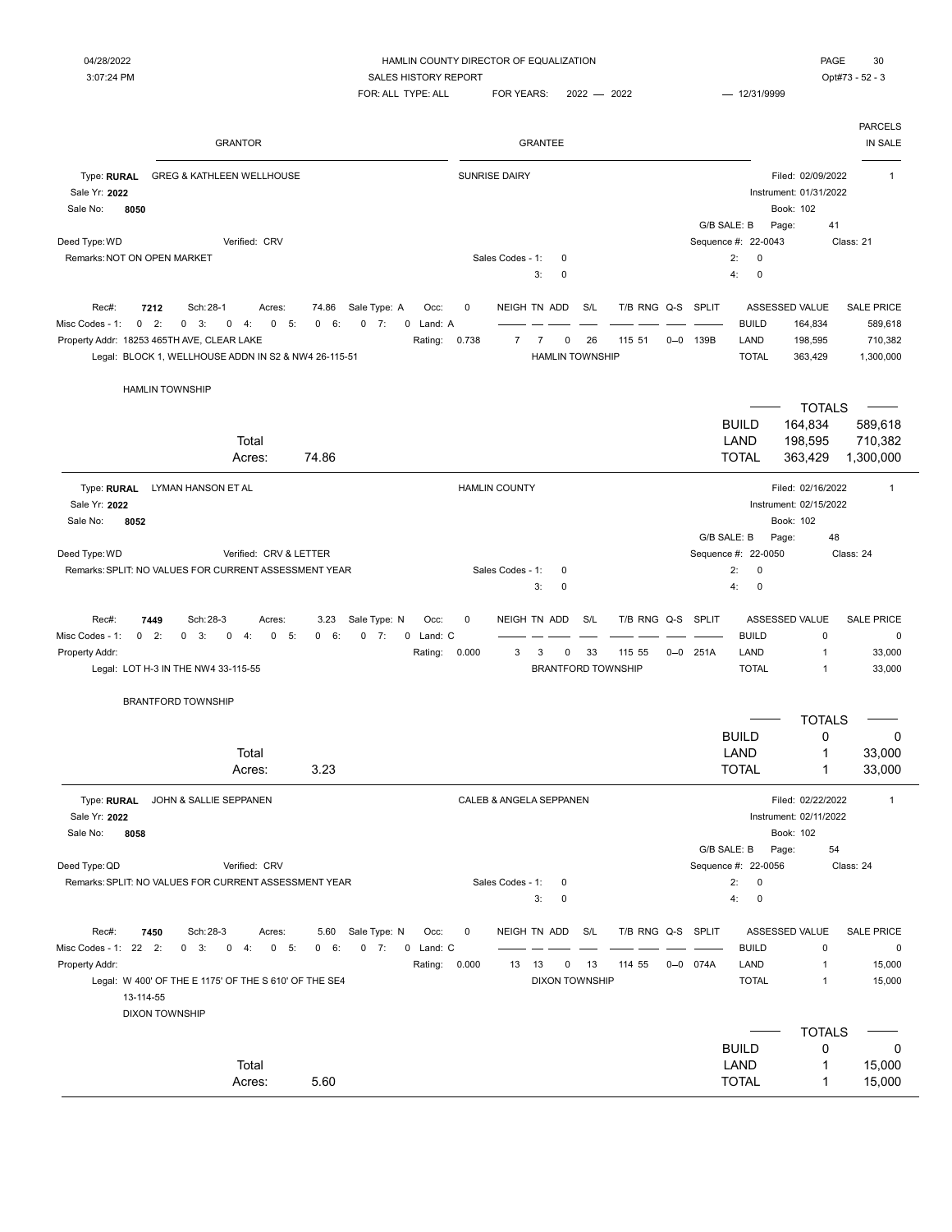| <b>GRANTOR</b>                                                                                                                                                          | <b>GRANTEE</b>                                                            | <b>PARCELS</b><br>IN SALE                                                |
|-------------------------------------------------------------------------------------------------------------------------------------------------------------------------|---------------------------------------------------------------------------|--------------------------------------------------------------------------|
| Type: RURAL<br><b>GREG &amp; KATHLEEN WELLHOUSE</b><br>Sale Yr: 2022                                                                                                    | <b>SUNRISE DAIRY</b>                                                      | Filed: 02/09/2022<br>$\mathbf{1}$<br>Instrument: 01/31/2022              |
| Sale No:<br>8050                                                                                                                                                        |                                                                           | Book: 102<br>G/B SALE: B<br>41<br>Page:                                  |
| Verified: CRV<br>Deed Type: WD                                                                                                                                          |                                                                           | Sequence #: 22-0043<br>Class: 21                                         |
| Remarks: NOT ON OPEN MARKET                                                                                                                                             | Sales Codes - 1:<br>0<br>3:<br>$\mathbf 0$                                | 2:<br>0<br>4:<br>0                                                       |
| Sch: 28-1<br>Rec#:<br>7212<br>74.86<br>Sale Type: A<br>Occ:<br>Acres:                                                                                                   | S/L<br>T/B RNG Q-S<br>0<br>NEIGH TN ADD                                   | SPLIT<br>ASSESSED VALUE<br><b>SALE PRICE</b>                             |
| 0<br>2:<br>0<br>Misc Codes - 1:<br>3:<br>0<br>4:<br>$\mathbf{0}$<br>- 5:<br>0<br>6:<br>0<br>$-7:$<br>0 Land: A<br>Property Addr: 18253 465TH AVE, CLEAR LAKE<br>Rating: | $\overline{7}$<br>0.738<br>$\overline{7}$<br>0<br>26<br>115 51<br>$0 - 0$ | <b>BUILD</b><br>164,834<br>589,618<br>LAND<br>139B<br>198,595<br>710,382 |
| Legal: BLOCK 1, WELLHOUSE ADDN IN S2 & NW4 26-115-51                                                                                                                    | <b>HAMLIN TOWNSHIP</b>                                                    | <b>TOTAL</b><br>363,429<br>1,300,000                                     |
| <b>HAMLIN TOWNSHIP</b>                                                                                                                                                  |                                                                           |                                                                          |
|                                                                                                                                                                         |                                                                           | <b>TOTALS</b>                                                            |
| Total                                                                                                                                                                   |                                                                           | <b>BUILD</b><br>164,834<br>589,618<br>LAND<br>198,595<br>710,382         |
| 74.86<br>Acres:                                                                                                                                                         |                                                                           | <b>TOTAL</b><br>363,429<br>1,300,000                                     |
| Type: RURAL<br>LYMAN HANSON ET AL                                                                                                                                       | <b>HAMLIN COUNTY</b>                                                      | Filed: 02/16/2022<br>$\mathbf{1}$                                        |
| Sale Yr: 2022                                                                                                                                                           |                                                                           | Instrument: 02/15/2022                                                   |
| 8052<br>Sale No:                                                                                                                                                        |                                                                           | Book: 102                                                                |
| Deed Type: WD<br>Verified: CRV & LETTER                                                                                                                                 |                                                                           | G/B SALE: B<br>Page:<br>48<br>Sequence #: 22-0050<br>Class: 24           |
| Remarks: SPLIT: NO VALUES FOR CURRENT ASSESSMENT YEAR                                                                                                                   | Sales Codes - 1:<br>0                                                     | 2:<br>0                                                                  |
|                                                                                                                                                                         | 3:<br>$\mathbf 0$                                                         | 4:<br>0                                                                  |
| Rec#:<br>Sch: 28-3<br>Sale Type: N<br>3.23<br>Occ:<br>7449<br>Acres:                                                                                                    | $\mathbf 0$<br>NEIGH TN ADD<br>S/L<br>T/B RNG Q-S SPLIT                   | ASSESSED VALUE<br><b>SALE PRICE</b>                                      |
| 0<br>2:<br>0 Land: C<br>Misc Codes - 1:<br>0<br>3:<br>0<br>4:<br>0<br>5:<br>$\mathbf 0$<br>6:<br>0<br>7:                                                                |                                                                           | <b>BUILD</b><br>$\mathbf 0$<br>0                                         |
| Property Addr:<br>Rating:                                                                                                                                               | 0.000<br>3<br>3<br>0<br>33<br>115 55<br>$0 - 0$                           | 251A<br>LAND<br>1<br>33,000                                              |
| Legal: LOT H-3 IN THE NW4 33-115-55                                                                                                                                     | <b>BRANTFORD TOWNSHIP</b>                                                 | <b>TOTAL</b><br>1<br>33,000                                              |
| <b>BRANTFORD TOWNSHIP</b>                                                                                                                                               |                                                                           |                                                                          |
|                                                                                                                                                                         |                                                                           | <b>TOTALS</b>                                                            |
| Total                                                                                                                                                                   |                                                                           | <b>BUILD</b><br>0<br>0<br>LAND<br>1                                      |
| 3.23<br>Acres:                                                                                                                                                          |                                                                           | 33,000<br><b>TOTAL</b><br>1<br>33,000                                    |
|                                                                                                                                                                         |                                                                           |                                                                          |
| Type: RURAL<br>JOHN & SALLIE SEPPANEN<br>Sale Yr: 2022                                                                                                                  | CALEB & ANGELA SEPPANEN                                                   | Filed: 02/22/2022<br>$\mathbf{1}$<br>Instrument: 02/11/2022              |
| Sale No:<br>8058                                                                                                                                                        |                                                                           | Book: 102                                                                |
|                                                                                                                                                                         |                                                                           | G/B SALE: B<br>Page:<br>54                                               |
| Deed Type: QD<br>Verified: CRV                                                                                                                                          |                                                                           | Sequence #: 22-0056<br>Class: 24                                         |
| Remarks: SPLIT: NO VALUES FOR CURRENT ASSESSMENT YEAR                                                                                                                   | Sales Codes - 1:<br>$\mathbf 0$                                           | 2:<br>0                                                                  |
|                                                                                                                                                                         | 3:<br>0                                                                   | 4:<br>0                                                                  |
| Rec#:<br>7450<br>Sch: 28-3<br>Sale Type: N<br>Occ:<br>Acres:<br>5.60                                                                                                    | NEIGH TN ADD<br>S/L<br>T/B RNG Q-S SPLIT<br>0                             | ASSESSED VALUE<br><b>SALE PRICE</b>                                      |
| Misc Codes - 1: 22 2:<br>$0 \quad 3:$<br>$\overline{0}$<br>4:<br>$0 - 5:$<br>$0 \t 7:$<br>0 Land: C<br>0 6:                                                             |                                                                           | <b>BUILD</b><br>$\mathbf 0$<br>$\mathbf 0$                               |
| Property Addr:<br>Rating:                                                                                                                                               | 0.000<br>13<br>13<br>0<br>13<br>114 55                                    | $0 - 0$ 074A<br>LAND<br>$\mathbf{1}$<br>15,000                           |
| Legal: W 400' OF THE E 1175' OF THE S 610' OF THE SE4<br>13-114-55<br><b>DIXON TOWNSHIP</b>                                                                             | <b>DIXON TOWNSHIP</b>                                                     | <b>TOTAL</b><br>15,000<br>$\mathbf{1}$                                   |
|                                                                                                                                                                         |                                                                           | <b>TOTALS</b>                                                            |
|                                                                                                                                                                         |                                                                           | <b>BUILD</b><br>0<br>0                                                   |
| Total                                                                                                                                                                   |                                                                           | LAND<br>15,000<br>1                                                      |
| Acres:<br>5.60                                                                                                                                                          |                                                                           | <b>TOTAL</b><br>1<br>15,000                                              |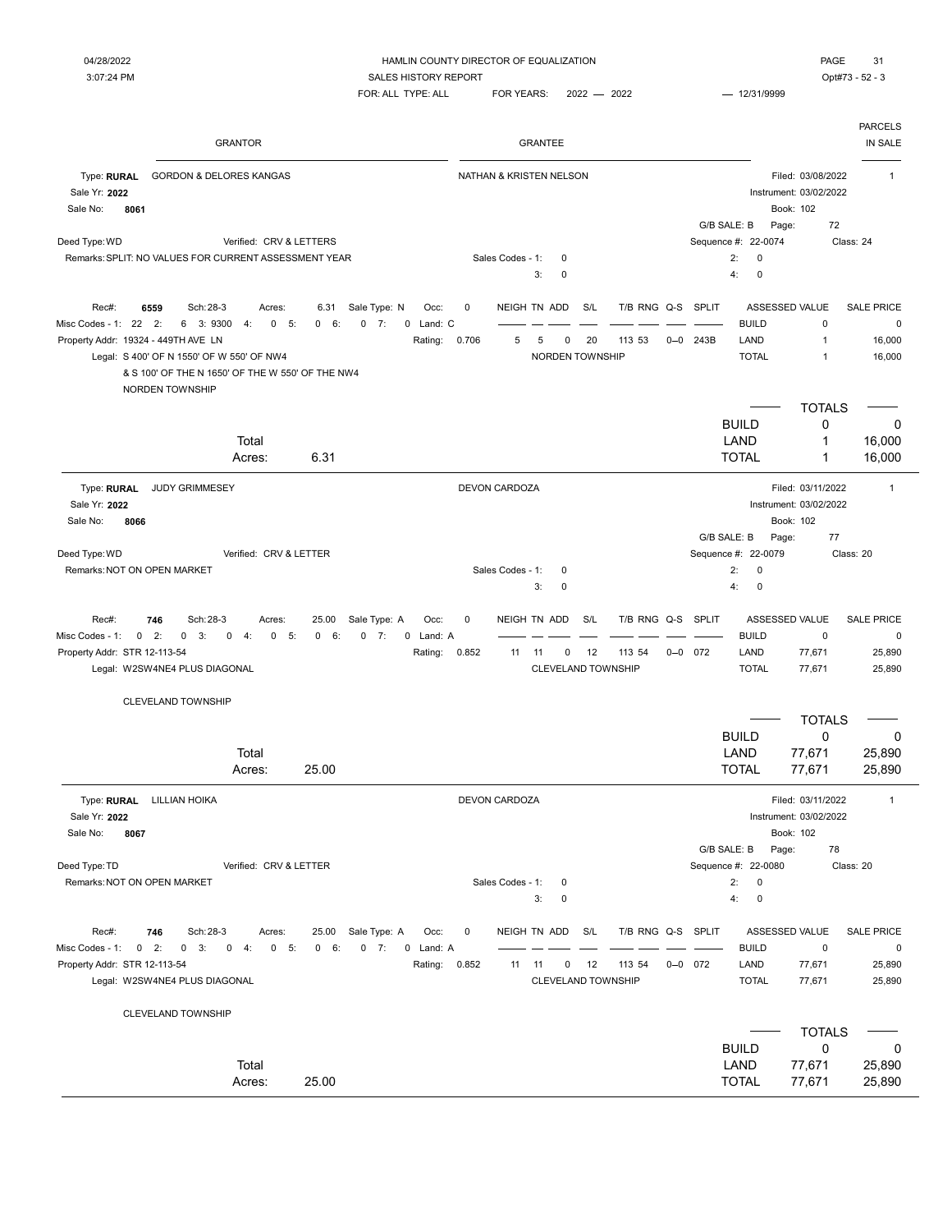| <b>GRANTOR</b>                                                                                                                                                                                                                                                                                                                   | <b>GRANTEE</b>                                                                                                      | <b>PARCELS</b><br>IN SALE                                                                                                              |
|----------------------------------------------------------------------------------------------------------------------------------------------------------------------------------------------------------------------------------------------------------------------------------------------------------------------------------|---------------------------------------------------------------------------------------------------------------------|----------------------------------------------------------------------------------------------------------------------------------------|
| Type: RURAL<br><b>GORDON &amp; DELORES KANGAS</b><br>Sale Yr: 2022<br>Sale No:<br>8061                                                                                                                                                                                                                                           | NATHAN & KRISTEN NELSON                                                                                             | Filed: 03/08/2022<br>$\mathbf{1}$<br>Instrument: 03/02/2022<br>Book: 102<br>72<br>G/B SALE: B<br>Page:                                 |
| Deed Type: WD<br>Verified: CRV & LETTERS                                                                                                                                                                                                                                                                                         |                                                                                                                     | Sequence #: 22-0074<br>Class: 24                                                                                                       |
| Remarks: SPLIT: NO VALUES FOR CURRENT ASSESSMENT YEAR                                                                                                                                                                                                                                                                            | Sales Codes - 1:<br>0                                                                                               | 2:<br>$\pmb{0}$                                                                                                                        |
|                                                                                                                                                                                                                                                                                                                                  | 3:<br>0                                                                                                             | 4:<br>$\mathbf 0$                                                                                                                      |
| Sch: 28-3<br>Sale Type: N<br>Rec#:<br>6559<br>6.31<br>Occ:<br>Acres:<br>Misc Codes - 1: 22<br>2:<br>6 3:9300<br>6:<br>$0 \t 7:$<br>0 Land: C<br>4:<br>0<br>5:<br>$\mathbf{0}$<br>Property Addr: 19324 - 449TH AVE LN<br>Rating:<br>Legal: S 400' OF N 1550' OF W 550' OF NW4<br>& S 100' OF THE N 1650' OF THE W 550' OF THE NW4 | 0<br>NEIGH TN ADD<br>S/L<br>T/B RNG Q-S SPLIT<br>0.706<br>5<br>5<br>20<br>113 53<br>$0 - 0$<br>0<br>NORDEN TOWNSHIP | ASSESSED VALUE<br><b>SALE PRICE</b><br><b>BUILD</b><br>0<br>0<br>243B<br>LAND<br>$\mathbf{1}$<br>16,000<br><b>TOTAL</b><br>1<br>16,000 |
| NORDEN TOWNSHIP                                                                                                                                                                                                                                                                                                                  |                                                                                                                     |                                                                                                                                        |
|                                                                                                                                                                                                                                                                                                                                  |                                                                                                                     | <b>TOTALS</b>                                                                                                                          |
|                                                                                                                                                                                                                                                                                                                                  |                                                                                                                     | <b>BUILD</b><br>0<br>0                                                                                                                 |
| Total<br>6.31                                                                                                                                                                                                                                                                                                                    |                                                                                                                     | LAND<br>1<br>16,000<br><b>TOTAL</b><br>1                                                                                               |
| Acres:                                                                                                                                                                                                                                                                                                                           |                                                                                                                     | 16,000                                                                                                                                 |
| Type: RURAL<br><b>JUDY GRIMMESEY</b><br>Sale Yr: 2022                                                                                                                                                                                                                                                                            | <b>DEVON CARDOZA</b>                                                                                                | Filed: 03/11/2022<br>$\mathbf{1}$<br>Instrument: 03/02/2022                                                                            |
| 8066<br>Sale No:                                                                                                                                                                                                                                                                                                                 |                                                                                                                     | Book: 102                                                                                                                              |
|                                                                                                                                                                                                                                                                                                                                  |                                                                                                                     | G/B SALE: B<br>77<br>Page:                                                                                                             |
| Deed Type: WD<br>Verified: CRV & LETTER                                                                                                                                                                                                                                                                                          |                                                                                                                     | Sequence #: 22-0079<br>Class: 20                                                                                                       |
| Remarks: NOT ON OPEN MARKET                                                                                                                                                                                                                                                                                                      | Sales Codes - 1:<br>0                                                                                               | 2:<br>0                                                                                                                                |
|                                                                                                                                                                                                                                                                                                                                  | 3:<br>0                                                                                                             | 4:<br>$\mathbf 0$                                                                                                                      |
| Sch: 28-3<br>Sale Type: A<br>Rec#:<br>746<br>25.00<br>Occ:<br>Acres:                                                                                                                                                                                                                                                             | NEIGH TN ADD<br>S/L<br>T/B RNG Q-S SPLIT<br>0                                                                       | ASSESSED VALUE<br><b>SALE PRICE</b>                                                                                                    |
| Misc Codes - 1:<br>$0 \t 2:$<br>$0 \quad 3:$<br>$\mathbf 0$<br>4:<br>$\mathsf{O}$<br>5:<br>$\mathbf{0}$<br>6:<br>$0 \t 7:$<br>0 Land: A                                                                                                                                                                                          |                                                                                                                     | <b>BUILD</b><br>$\mathbf 0$<br>$\pmb{0}$                                                                                               |
| Property Addr: STR 12-113-54<br>Rating:                                                                                                                                                                                                                                                                                          | 0.852<br>12<br>113 54<br>$0 - 0$ 072<br>11<br>11<br>0                                                               | LAND<br>77,671<br>25,890                                                                                                               |
| Legal: W2SW4NE4 PLUS DIAGONAL                                                                                                                                                                                                                                                                                                    | CLEVELAND TOWNSHIP                                                                                                  | <b>TOTAL</b><br>77,671<br>25,890                                                                                                       |
| <b>CLEVELAND TOWNSHIP</b>                                                                                                                                                                                                                                                                                                        |                                                                                                                     |                                                                                                                                        |
|                                                                                                                                                                                                                                                                                                                                  |                                                                                                                     | <b>TOTALS</b><br><b>BUILD</b><br>0<br>0                                                                                                |
| Total                                                                                                                                                                                                                                                                                                                            |                                                                                                                     | LAND<br>77,671<br>25,890                                                                                                               |
| 25.00<br>Acres:                                                                                                                                                                                                                                                                                                                  |                                                                                                                     | <b>TOTAL</b><br>77,671<br>25,890                                                                                                       |
| Type: RURAL LILLIAN HOIKA<br>Sale Yr: 2022                                                                                                                                                                                                                                                                                       | DEVON CARDOZA                                                                                                       | Filed: 03/11/2022<br>$\mathbf{1}$<br>Instrument: 03/02/2022                                                                            |
| Sale No:<br>8067                                                                                                                                                                                                                                                                                                                 |                                                                                                                     | Book: 102                                                                                                                              |
|                                                                                                                                                                                                                                                                                                                                  |                                                                                                                     | G/B SALE: B<br>Page:<br>78                                                                                                             |
| Deed Type: TD<br>Verified: CRV & LETTER                                                                                                                                                                                                                                                                                          |                                                                                                                     | Sequence #: 22-0080<br>Class: 20                                                                                                       |
| Remarks: NOT ON OPEN MARKET                                                                                                                                                                                                                                                                                                      | Sales Codes - 1:<br>0                                                                                               | 2:<br>$\mathsf 0$                                                                                                                      |
|                                                                                                                                                                                                                                                                                                                                  | 3:<br>0                                                                                                             | 4:<br>$\pmb{0}$                                                                                                                        |
| Sale Type: A<br>Rec#:<br>746<br>Sch: 28-3<br>Acres:<br>25.00<br>Occ:                                                                                                                                                                                                                                                             | NEIGH TN ADD<br>S/L<br>T/B RNG Q-S SPLIT<br>0                                                                       | ASSESSED VALUE<br><b>SALE PRICE</b>                                                                                                    |
| Misc Codes - 1: 0 2:<br>$0 \quad 3:$<br>$0 \t 4$ :<br>$0 - 5:$<br>0 6:<br>$0 \t 7:$<br>0 Land: A                                                                                                                                                                                                                                 |                                                                                                                     | <b>BUILD</b><br>$\pmb{0}$<br>0                                                                                                         |
| Property Addr: STR 12-113-54<br>Rating:                                                                                                                                                                                                                                                                                          | 0.852<br>113 54<br>$0 - 0$ 072<br>11<br>12<br>11<br>0                                                               | LAND<br>77,671<br>25,890                                                                                                               |
| Legal: W2SW4NE4 PLUS DIAGONAL                                                                                                                                                                                                                                                                                                    | CLEVELAND TOWNSHIP                                                                                                  | <b>TOTAL</b><br>77,671<br>25,890                                                                                                       |
| CLEVELAND TOWNSHIP                                                                                                                                                                                                                                                                                                               |                                                                                                                     |                                                                                                                                        |
|                                                                                                                                                                                                                                                                                                                                  |                                                                                                                     | <b>TOTALS</b>                                                                                                                          |
|                                                                                                                                                                                                                                                                                                                                  |                                                                                                                     | <b>BUILD</b><br>0<br>0                                                                                                                 |
| Total                                                                                                                                                                                                                                                                                                                            |                                                                                                                     | LAND<br>77,671<br>25,890                                                                                                               |
| 25.00<br>Acres:                                                                                                                                                                                                                                                                                                                  |                                                                                                                     | 25,890<br><b>TOTAL</b><br>77,671                                                                                                       |